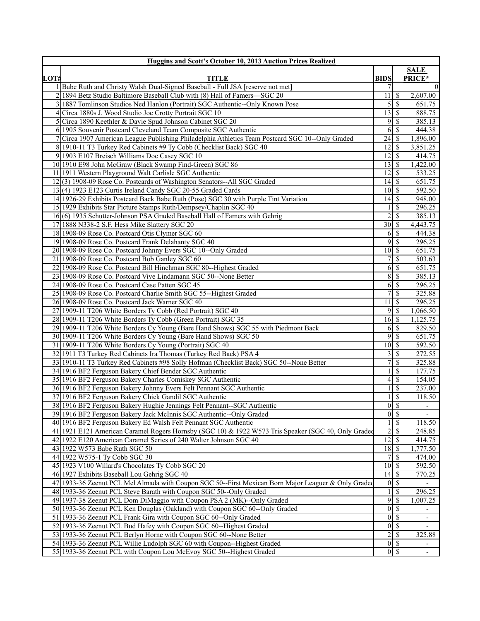|      | <b>Huggins and Scott's October 10, 2013 Auction Prices Realized</b>                                                         |                                 |                            |                          |
|------|-----------------------------------------------------------------------------------------------------------------------------|---------------------------------|----------------------------|--------------------------|
| LOT# | <b>TITLE</b>                                                                                                                | <b>BIDS</b>                     |                            | <b>SALE</b><br>PRICE*    |
|      | 1 Babe Ruth and Christy Walsh Dual-Signed Baseball - Full JSA [reserve not met]                                             | 7                               |                            | $\Omega$                 |
|      | 2 1894 Betz Studio Baltimore Baseball Club with (8) Hall of Famers—SGC 20                                                   | 11 <sup>1</sup>                 | S                          | 2,607.00                 |
|      | 1887 Tomlinson Studios Ned Hanlon (Portrait) SGC Authentic--Only Known Pose                                                 | 5                               | \$                         | 651.75                   |
| 4    | Circa 1880s J. Wood Studio Joe Crotty Portrait SGC 10                                                                       | 13                              | <sup>\$</sup>              | 888.75                   |
|      | 5 Circa 1890 Keethler & Davie Spud Johnson Cabinet SGC 20                                                                   | 9                               | \$                         | 385.13                   |
|      | 6 1905 Souvenir Postcard Cleveland Team Composite SGC Authentic                                                             | <sup>6</sup>                    | \$                         | 444.38                   |
|      | Circa 1907 American League Publishing Philadelphia Athletics Team Postcard SGC 10--Only Graded                              | $24 \mid$ \$                    |                            | 1,896.00                 |
|      | 8 1910-11 T3 Turkey Red Cabinets #9 Ty Cobb (Checklist Back) SGC 40                                                         | 12                              | S                          | 3,851.25                 |
|      | 9 1903 E107 Breisch Williams Doc Casey SGC 10                                                                               | 12                              | S                          | 414.75                   |
|      | 10 1910 E98 John McGraw (Black Swamp Find-Green) SGC 86                                                                     | $13$ $\bar{S}$                  |                            | 1,422.00                 |
|      | 11 1911 Western Playground Walt Carlisle SGC Authentic                                                                      | $12 \mid$ \$                    |                            | 533.25                   |
|      | 12(3) 1908-09 Rose Co. Postcards of Washington Senators--All SGC Graded                                                     | $14\overline{3}$                |                            | 651.75                   |
|      | 13(4) 1923 E123 Curtis Ireland Candy SGC 20-55 Graded Cards                                                                 | $10 \mid$ \$                    |                            | 592.50                   |
|      | 14 1926-29 Exhibits Postcard Back Babe Ruth (Pose) SGC 30 with Purple Tint Variation                                        | 14                              | <sup>\$</sup>              | 948.00                   |
|      | 15 1929 Exhibits Star Picture Stamps Ruth/Dempsey/Chaplin SGC 40                                                            |                                 | \$                         | 296.25                   |
|      | 16(6) 1935 Schutter-Johnson PSA Graded Baseball Hall of Famers with Gehrig                                                  | $\overline{2}$                  | <sup>\$</sup>              | 385.13                   |
|      | 17 1888 N338-2 S.F. Hess Mike Slattery SGC 20                                                                               | $\overline{30}$ \$              |                            | 4,443.75                 |
|      | 18 1908-09 Rose Co. Postcard Otis Clymer SGC 60                                                                             | <sup>6</sup>                    | \$                         | 444.38                   |
|      | 19 1908-09 Rose Co. Postcard Frank Delahanty SGC 40                                                                         |                                 | $9\sqrt{5}$                | 296.25                   |
|      | 20 1908-09 Rose Co. Postcard Johnny Evers SGC 10--Only Graded                                                               | 10 <sup> </sup>                 | \$                         | 651.75                   |
|      | 21 1908-09 Rose Co. Postcard Bob Ganley SGC 60                                                                              | 7 <sup>1</sup>                  | \$                         | 503.63                   |
|      | 22 1908-09 Rose Co. Postcard Bill Hinchman SGC 80--Highest Graded                                                           | <sup>6</sup>                    | <sup>\$</sup>              | 651.75                   |
|      | 23 1908-09 Rose Co. Postcard Vive Lindamann SGC 50--None Better                                                             | $\sqrt{8}$                      | \$                         | 385.13                   |
|      | 24 1908-09 Rose Co. Postcard Case Patten SGC 45                                                                             |                                 | $6 \mid \$$                | 296.25                   |
|      | 25 1908-09 Rose Co. Postcard Charlie Smith SGC 55--Highest Graded                                                           | $\overline{7}$                  | \$                         | 325.88                   |
|      | 26 1908-09 Rose Co. Postcard Jack Warner SGC 40                                                                             | 11                              | \$                         | 296.25                   |
|      | 27 1909-11 T206 White Borders Ty Cobb (Red Portrait) SGC 40                                                                 | 9                               | <sup>\$</sup>              | 1,066.50                 |
|      | 28 1909-11 T206 White Borders Ty Cobb (Green Portrait) SGC 35                                                               |                                 |                            | 1,125.75                 |
|      | 29 1909-11 T206 White Borders Cy Young (Bare Hand Shows) SGC 55 with Piedmont Back                                          | <sup>6</sup>                    | \$<br>95                   | 829.50<br>651.75         |
|      | 30 1909-11 T206 White Borders Cy Young (Bare Hand Shows) SGC 50<br>31 1909-11 T206 White Borders Cy Young (Portrait) SGC 40 | 10 <sup>1</sup>                 | <sup>\$</sup>              | 592.50                   |
|      | 32 1911 T3 Turkey Red Cabinets Ira Thomas (Turkey Red Back) PSA 4                                                           | $\overline{\mathbf{3}}$         | \$                         | 272.55                   |
|      | 33 1910-11 T3 Turkey Red Cabinets #98 Solly Hofman (Checklist Back) SGC 50--None Better                                     | $\overline{7}$                  | \$                         | 325.88                   |
|      | 34 1916 BF2 Ferguson Bakery Chief Bender SGC Authentic                                                                      |                                 | <sup>\$</sup>              | 177.75                   |
|      | 35 1916 BF2 Ferguson Bakery Charles Comiskey SGC Authentic                                                                  | 41                              | \$                         | 154.05                   |
|      | 36 1916 BF2 Ferguson Bakery Johnny Evers Felt Pennant SGC Authentic                                                         |                                 | $1 \overline{\smash{)}\,}$ | 237.00                   |
|      | 37 1916 BF2 Ferguson Bakery Chick Gandil SGC Authentic                                                                      |                                 | \$                         | 118.50                   |
|      | 38 1916 BF2 Ferguson Bakery Hughie Jennings Felt Pennant-SGC Authentic                                                      |                                 | $0 \mid \mathsf{S}$        |                          |
|      | 39 1916 BF2 Ferguson Bakery Jack McInnis SGC Authentic--Only Graded                                                         |                                 | $0 \mid \mathsf{S}$        | $\overline{\phantom{a}}$ |
|      | 40 1916 BF2 Ferguson Bakery Ed Walsh Felt Pennant SGC Authentic                                                             |                                 | $1\vert s$                 | 118.50                   |
|      | 41 1921 E121 American Caramel Rogers Hornsby (SGC 10) & 1922 W573 Tris Speaker (SGC 40, Only Graded                         |                                 | 2s                         | 248.85                   |
|      | 42 1922 E120 American Caramel Series of 240 Walter Johnson SGC 40                                                           | $12 \overline{\smash{\big)}\,}$ |                            | 414.75                   |
|      | 43 1922 W573 Babe Ruth SGC 50                                                                                               | $18 \,$ \$                      |                            | 1,777.50                 |
|      | 44 1922 W575-1 Ty Cobb SGC 30                                                                                               | 71                              | S                          | 474.00                   |
|      | 45 1923 V100 Willard's Chocolates Ty Cobb SGC 20                                                                            | $10 \mid$ \$                    |                            | 592.50                   |
|      | 46 1927 Exhibits Baseball Lou Gehrig SGC 40                                                                                 |                                 |                            | 770.25                   |
|      | 47 1933-36 Zeenut PCL Mel Almada with Coupon SGC 50--First Mexican Born Major Leaguer & Only Gradec                         |                                 | $0\sqrt{s}$                |                          |
|      | 48 1933-36 Zeenut PCL Steve Barath with Coupon SGC 50--Only Graded                                                          |                                 | $1 \overline{\smash{)}\,}$ | 296.25                   |
|      | 49 1937-38 Zeenut PCL Dom DiMaggio with Coupon PSA 2 (MK)--Only Graded                                                      |                                 | $9 \mid \$$                | 1,007.25                 |
|      | 50 1933-36 Zeenut PCL Ken Douglas (Oakland) with Coupon SGC 60--Only Graded                                                 |                                 | $0 \mid S$                 |                          |
|      | 51 1933-36 Zeenut PCL Frank Gira with Coupon SGC 60--Only Graded                                                            |                                 | 0s                         | $\overline{\phantom{0}}$ |
|      | 52 1933-36 Zeenut PCL Bud Hafey with Coupon SGC 60--Highest Graded                                                          |                                 | $0\sqrt{s}$                |                          |
|      | 53 1933-36 Zeenut PCL Berlyn Horne with Coupon SGC 60--None Better                                                          |                                 | $2 \mid$ \$                | 325.88                   |
|      | 54 1933-36 Zeenut PCL Willie Ludolph SGC 60 with Coupon--Highest Graded                                                     |                                 | $0 \mid \mathsf{S}$        |                          |
|      | 55 1933-36 Zeenut PCL with Coupon Lou McEvoy SGC 50--Highest Graded                                                         |                                 | $0\sqrt{s}$                | $\overline{\phantom{a}}$ |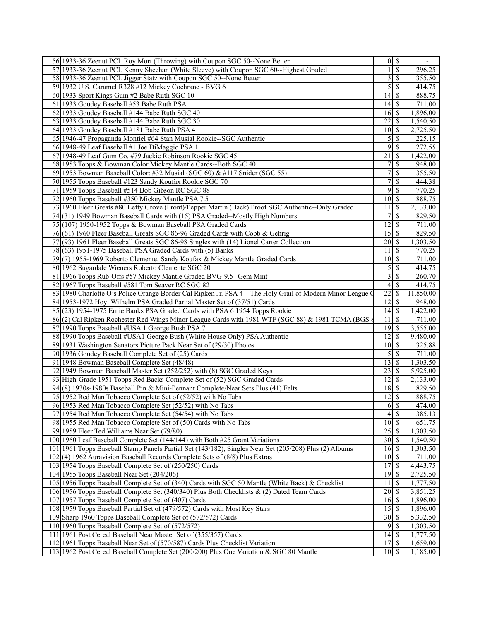| 56 1933-36 Zeenut PCL Roy Mort (Throwing) with Coupon SGC 50--None Better                               |                                  | $0 \mid S$                          |           |
|---------------------------------------------------------------------------------------------------------|----------------------------------|-------------------------------------|-----------|
| 57 1933-36 Zeenut PCL Kenny Sheehan (White Sleeve) with Coupon SGC 60--Highest Graded                   | 11                               | $\overline{\mathcal{S}}$            | 296.25    |
| 58 1933-36 Zeenut PCL Jigger Statz with Coupon SGC 50--None Better                                      |                                  | $3 \overline{\smash{)}\, \text{S}}$ | 355.50    |
| 59 1932 U.S. Caramel R328 #12 Mickey Cochrane - BVG 6                                                   | $\mathfrak{S}$                   | \$                                  | 414.75    |
| 60 1933 Sport Kings Gum #2 Babe Ruth SGC 10                                                             |                                  |                                     | 888.75    |
| 61 1933 Goudey Baseball #53 Babe Ruth PSA 1                                                             |                                  |                                     | 711.00    |
| 62 1933 Goudey Baseball #144 Babe Ruth SGC 40                                                           | $16 \mid$ \$                     |                                     | 1,896.00  |
| 63 1933 Goudey Baseball #144 Babe Ruth SGC 30                                                           | 221S                             |                                     | 1,540.50  |
| 64 1933 Goudey Baseball #181 Babe Ruth PSA 4                                                            | $10 \mid S$                      |                                     | 2,725.50  |
| 65 1946-47 Propaganda Montiel #64 Stan Musial Rookie--SGC Authentic                                     | $5\vert$                         | \$                                  | 225.15    |
| 66 1948-49 Leaf Baseball #1 Joe DiMaggio PSA 1                                                          | 9                                | \$                                  | 272.55    |
| 67 1948-49 Leaf Gum Co. #79 Jackie Robinson Rookie SGC 45                                               | $\overline{21}$                  | l \$                                | 1,422.00  |
| 68 1953 Topps & Bowman Color Mickey Mantle Cards--Both SGC 40                                           | 7 <sup>1</sup>                   | \$                                  | 948.00    |
| 69 1953 Bowman Baseball Color: #32 Musial (SGC 60) & #117 Snider (SGC 55)                               | 7                                | \$                                  | 355.50    |
| 70 1955 Topps Baseball #123 Sandy Koufax Rookie SGC 70                                                  | $\overline{7}$                   | \$                                  | 444.38    |
| 71 1959 Topps Baseball #514 Bob Gibson RC SGC 88                                                        | 9                                | \$                                  | 770.25    |
| 72 1960 Topps Baseball #350 Mickey Mantle PSA 7.5                                                       | $10 \mid$ \$                     |                                     | 888.75    |
| 73 1960 Fleer Greats #80 Lefty Grove (Front)/Pepper Martin (Back) Proof SGC Authentic--Only Graded      | 11                               | <sup>\$</sup>                       | 2,133.00  |
| 74(31) 1949 Bowman Baseball Cards with (15) PSA Graded--Mostly High Numbers                             | 7 <sup>1</sup>                   | \$                                  | 829.50    |
| 75 (107) 1950-1952 Topps & Bowman Baseball PSA Graded Cards                                             | 12                               | \$                                  | 711.00    |
| 76(61) 1960 Fleer Baseball Greats SGC 86-96 Graded Cards with Cobb & Gehrig                             | $15\overline{\smash{)}\,}$       |                                     | 829.50    |
| 77 (93) 1961 Fleer Baseball Greats SGC 86-98 Singles with (14) Lionel Carter Collection                 | $20 \mid$ \$                     |                                     | 1,303.50  |
| 78 (63) 1951-1975 Baseball PSA Graded Cards with (5) Banks                                              | 111S                             |                                     | 770.25    |
| 79(7) 1955-1969 Roberto Clemente, Sandy Koufax & Mickey Mantle Graded Cards                             | $10 \mid$ \$                     |                                     | 711.00    |
| 80 1962 Sugardale Wieners Roberto Clemente SGC 20                                                       | $\overline{5}$                   | \$                                  | 414.75    |
| 81 1966 Topps Rub-Offs #57 Mickey Mantle Graded BVG-9.5--Gem Mint                                       | $\overline{3}$                   | \$                                  | 260.70    |
| 82 1967 Topps Baseball #581 Tom Seaver RC SGC 82                                                        |                                  | $\overline{4}\overline{\smash{5}}$  | 414.75    |
| 83 1980 Charlotte O's Police Orange Border Cal Ripken Jr. PSA 4—The Holy Grail of Modern Minor League O | 22                               | <sup>\$</sup>                       | 11,850.00 |
| 84 1953-1972 Hoyt Wilhelm PSA Graded Partial Master Set of (37/51) Cards                                | $12 \mid$ \$                     |                                     | 948.00    |
| 85(23) 1954-1975 Ernie Banks PSA Graded Cards with PSA 6 1954 Topps Rookie                              | $14$ S                           |                                     | 1,422.00  |
| 86(2) Cal Ripken Rochester Red Wings Minor League Cards with 1981 WTF (SGC 88) & 1981 TCMA (BGS 8       | 11                               | $\overline{\mathbf{s}}$             | 711.00    |
| 87 1990 Topps Baseball #USA 1 George Bush PSA 7                                                         | $19\overline{3}$                 |                                     | 3,555.00  |
| 88 1990 Topps Baseball #USA1 George Bush (White House Only) PSA Authentic                               | 12 <sup>1</sup>                  | <sup>\$</sup>                       | 9,480.00  |
| 89 1931 Washington Senators Picture Pack Near Set of (29/30) Photos                                     | $10 \mid S$                      |                                     | 325.88    |
| 90 1936 Goudey Baseball Complete Set of (25) Cards                                                      |                                  | $5$   \$                            | 711.00    |
| 91 1948 Bowman Baseball Complete Set (48/48)                                                            | $13 \mid$ \$                     |                                     | 1,303.50  |
| 92 1949 Bowman Baseball Master Set (252/252) with (8) SGC Graded Keys                                   |                                  |                                     | 5,925.00  |
| 93 High-Grade 1951 Topps Red Backs Complete Set of (52) SGC Graded Cards                                | $12 \mid$ \$                     |                                     | 2,133.00  |
| 94(8) 1930s-1980s Baseball Pin & Mini-Pennant Complete/Near Sets Plus (41) Felts                        | $18 \overline{\smash{\big)} }$   |                                     | 829.50    |
| 95 1952 Red Man Tobacco Complete Set of (52/52) with No Tabs                                            | 12                               | $\overline{\mathcal{S}}$            | 888.75    |
| 96 1953 Red Man Tobacco Complete Set (52/52) with No Tabs                                               |                                  | $6 \overline{\smash{)}\,}$          | 474.00    |
| 97 1954 Red Man Tobacco Complete Set (54/54) with No Tabs                                               |                                  | $4\sqrt{3}$                         | 385.13    |
| 98 1955 Red Man Tobacco Complete Set of (50) Cards with No Tabs                                         | $10\sqrt{5}$                     |                                     | 651.75    |
| 99 1959 Fleer Ted Williams Near Set (79/80)                                                             | $25 \overline{\smash{\big)}\ 5}$ |                                     | 1,303.50  |
| 100 1960 Leaf Baseball Complete Set (144/144) with Both #25 Grant Variations                            | $30 \mid$ \$                     |                                     | 1,540.50  |
| 101 1961 Topps Baseball Stamp Panels Partial Set (143/182), Singles Near Set (205/208) Plus (2) Albums  | $16 \overline{\smash{\big)} }$   |                                     | 1,303.50  |
| 102(4) 1962 Auravision Baseball Records Complete Sets of (8/8) Plus Extras                              | $10 \mid$ \$                     |                                     | 711.00    |
| 103 1954 Topps Baseball Complete Set of (250/250) Cards                                                 |                                  |                                     | 4,443.75  |
| 104 1955 Topps Baseball Near Set (204/206)                                                              |                                  |                                     | 2,725.50  |
| 105 1956 Topps Baseball Complete Set of (340) Cards with SGC 50 Mantle (White Back) & Checklist         | $11 \overline{\smash{\big)}\,}$  |                                     | 1,777.50  |
| 106 1956 Topps Baseball Complete Set (340/340) Plus Both Checklists & (2) Dated Team Cards              | $20\overline{\smash{)}\,}$       |                                     | 3,851.25  |
| 107 1957 Topps Baseball Complete Set of (407) Cards                                                     | $16 \mid$ \$                     |                                     | 1,896.00  |
| 108 1959 Topps Baseball Partial Set of (479/572) Cards with Most Key Stars                              | 15S                              |                                     | 1,896.00  |
| 109 Sharp 1960 Topps Baseball Complete Set of (572/572) Cards                                           | $30 \mid$ \$                     |                                     | 5,332.50  |
| 110 1960 Topps Baseball Complete Set of (572/572)                                                       |                                  | $9$ \ $\frac{1}{3}$                 | 1,303.50  |
| 111 1961 Post Cereal Baseball Near Master Set of (355/357) Cards                                        | $14 \mid$ \$                     |                                     | 1,777.50  |
| 112 1961 Topps Baseball Near Set of (570/587) Cards Plus Checklist Variation                            | $17 \overline{\smash{\big)}\ 5}$ |                                     | 1,659.00  |
| 113 1962 Post Cereal Baseball Complete Set (200/200) Plus One Variation & SGC 80 Mantle                 | $10 \mid$ \$                     |                                     | 1,185.00  |
|                                                                                                         |                                  |                                     |           |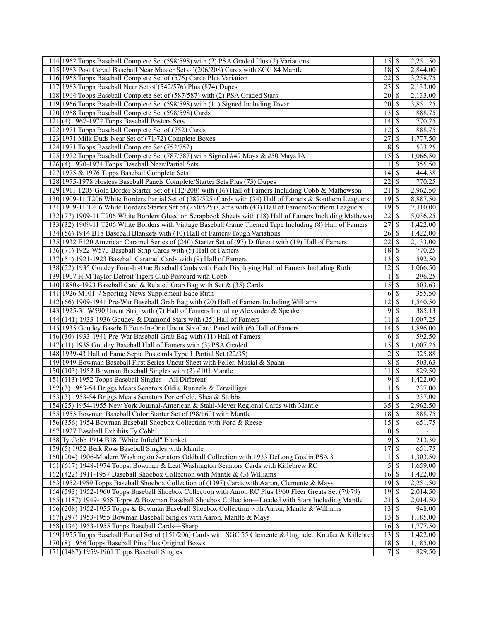| 114 1962 Topps Baseball Complete Set (598/598) with (2) PSA Graded Plus (2) Variations                     |                                  |                          | 2,251.50             |
|------------------------------------------------------------------------------------------------------------|----------------------------------|--------------------------|----------------------|
| 115 1963 Post Cereal Baseball Near Master Set of (206/208) Cards with SGC 84 Mantle                        | $18 \mid$ \$                     |                          | 2,844.00             |
| 116 1963 Topps Baseball Complete Set of (576) Cards Plus Variation                                         | $22 \mid$ \$                     |                          | 3,258.75             |
| 117 1963 Topps Baseball Near Set of (542/576) Plus (874) Dupes                                             |                                  |                          | 2,133.00             |
| 118 1964 Topps Baseball Complete Set of (587/587) with (2) PSA Graded Stars                                | $20$   \$                        |                          | 2,133.00             |
| 119 1966 Topps Baseball Complete Set (598/598) with (11) Signed Including Tovar                            | $20\vert \sqrt{5}$               |                          | 3,851.25             |
| 120 1968 Topps Baseball Complete Set (598/598) Cards                                                       | $13 \mid$ \$                     |                          | 888.75               |
| $121(4) 1967-1972$ Topps Baseball Posters Sets                                                             |                                  |                          | 770.25               |
| 122 1971 Topps Baseball Complete Set of (752) Cards                                                        | $12 \mid$ \$                     |                          | 888.75               |
| 123 1971 Milk Duds Near Set of (71/72) Complete Boxes                                                      | 27                               | \$                       | 1,777.50             |
| 124 1971 Topps Baseball Complete Set (752/752)                                                             | $8 \mid S$                       |                          | 533.25               |
| 125 1972 Topps Baseball Complete Set (787/787) with Signed #49 Mays & #50 Mays IA                          |                                  |                          | 1,066.50             |
| 126(4) 1970-1974 Topps Baseball Near/Partial Sets                                                          | 11                               | l \$                     | 355.50               |
| 127 1975 & 1976 Topps Baseball Complete Sets                                                               | $14 \mid$ \$                     |                          | 444.38               |
| 128 1975-1978 Hostess Baseball Panels Complete/Starter Sets Plus (73) Dupes                                | $22 \mid$ \$                     |                          | 770.25               |
| 129 1911 T205 Gold Border Starter Set of (112/208) with (16) Hall of Famers Including Cobb & Mathewson     | 21                               | \$                       | 2,962.50             |
| 130 1909-11 T206 White Borders Partial Set of (282/525) Cards with (34) Hall of Famers & Southern Leaguers | $19$ \$                          |                          | 8,887.50             |
| 131 1909-11 T206 White Borders Starter Set of (250/525) Cards with (43) Hall of Famers/Southern Leaguers   | $19$ $\overline{\text{S}}$       |                          | 7,110.00             |
| 132 (77) 1909-11 T206 White Borders Glued on Scrapbook Sheets with (18) Hall of Famers Including Mathewsc  | 22                               | $\overline{\mathcal{S}}$ | 5,036.25             |
| 133(32) 1909-11 T206 White Borders with Vintage Baseball Game Themed Tape Including (8) Hall of Famers     | 27                               | S                        | 1,422.00             |
| 134 (56) 1914 B18 Baseball Blankets with (10) Hall of Famers/Tough Variations                              | $26 \mid$ \$                     |                          | 1,422.00             |
| 135 1922 E120 American Caramel Series of (240) Starter Set of (97) Different with (19) Hall of Famers      |                                  |                          | 2,133.00             |
| 136(71) 1922 W573 Baseball Strip Cards with (5) Hall of Famers                                             | $18 \mid$ \$                     |                          | 770.25               |
| 137(51) 1921-1923 Baseball Caramel Cards with (9) Hall of Famers                                           | $13 \mid$ \$                     |                          | 592.50               |
| 138 (22) 1935 Goudey Four-In-One Baseball Cards with Each Displaying Hall of Famers Including Ruth         | $12 \mid$ \$                     |                          | 1,066.50             |
| 139 1907 H.M Taylor Detroit Tigers Club Postcard with Cobb                                                 |                                  | $\overline{\mathcal{S}}$ | 296.25               |
| 140 1880s-1923 Baseball Card & Related Grab Bag with Set & (35) Cards                                      |                                  |                          | 503.63               |
| 141 1926 M101-7 Sporting News Supplement Babe Ruth                                                         | $6 \mid$ \$                      |                          | 355.50               |
| 142 (66) 1909-1941 Pre-War Baseball Grab Bag with (20) Hall of Famers Including Williams                   | $\overline{12}$ \$               |                          | 1,540.50             |
| 143 1925-31 W590 Uncut Strip with (7) Hall of Famers Including Alexander & Speaker                         | $9$ \ $\frac{1}{2}$              |                          | 385.13               |
| 144 (141) 1933-1936 Goudey & Diamond Stars with (25) Hall of Famers                                        | 11                               | l \$                     | 1,007.25             |
| 145 1935 Goudey Baseball Four-In-One Uncut Six-Card Panel with (6) Hall of Famers                          | $14 \mid$ \$                     |                          | 1,896.00             |
| 146(30) 1933-1941 Pre-War Baseball Grab Bag with (11) Hall of Famers                                       | $6$ \ $\frac{1}{2}$              |                          | 592.50               |
| 147(11) 1938 Goudey Baseball Hall of Famers with (3) PSA Graded                                            |                                  |                          | 1,007.25             |
| 148 1939-43 Hall of Fame Sepia Postcards Type 1 Partial Set (22/35)                                        | $\overline{c}$                   | S                        | 325.88               |
| 149 1949 Bowman Baseball First Series Uncut Sheet with Feller, Musial & Spahn                              | 8S                               |                          | 503.63               |
| $150(103)$ 1952 Bowman Baseball Singles with (2) #101 Mantle                                               | 11                               | $\overline{\mathbf{s}}$  | 829.50               |
| 151 (113) 1952 Topps Baseball Singles—All Different                                                        | 9S                               |                          | 1,422.00             |
| 152(3) 1953-54 Briggs Meats Senators Oldis, Runnels & Terwilliger                                          |                                  | \$                       | 237.00               |
| 153(3) 1953-54 Briggs Meats Senators Porterfield, Shea & Stobbs                                            |                                  | $\overline{\mathcal{S}}$ | 237.00               |
| 154 (25) 1954-1955 New York Journal-American & Stahl-Meyer Regional Cards with Mantle                      | 35S                              |                          | 2,962.50             |
| 155 1953 Bowman Baseball Color Starter Set of (98/160) with Mantle                                         | $18 \mid$ \$                     |                          | 888.75               |
| 156 (356) 1954 Bowman Baseball Shoebox Collection with Ford & Reese                                        | $15 \overline{\smash{\big)}\ 5}$ |                          | 651.75               |
| 157 1927 Baseball Exhibits Ty Cobb                                                                         | $0\sqrt{s}$                      |                          |                      |
| 158 Ty Cobb 1914 B18 "White Infield" Blanket                                                               | 9                                | \$                       | 213.30               |
| 159(5) 1952 Berk Ross Baseball Singles with Mantle                                                         | 17S                              |                          | 651.75               |
| 160 (204) 1906-Modern Washington Senators Oddball Collection with 1933 DeLong Goslin PSA 3                 | 11                               | l \$                     | 1,303.50             |
| 161 (617) 1948-1974 Topps, Bowman & Leaf Washington Senators Cards with Killebrew RC                       | $5$ \ $\sqrt{3}$                 |                          | 1,659.00             |
| 162(422) 1911-1957 Baseball Shoebox Collection with Mantle & (3) Williams                                  | $16 \mid$ \$                     |                          | 1,422.00             |
| 163 1952-1959 Topps Baseball Shoebox Collection of (1397) Cards with Aaron, Clemente & Mays                | $19$ $\overline{\text{S}}$       |                          | 2,251.50             |
| 164 (593) 1952-1960 Topps Baseball Shoebox Collection with Aaron RC Plus 1960 Fleer Greats Set (79/79)     | $\overline{19}$ \$               |                          | 2,014.50             |
| 165 (1187) 1949-1958 Topps & Bowman Baseball Shoebox Collection—Loaded with Stars Including Mantle         | 21                               | \$                       | 2,014.50             |
| 166 (208) 1952-1955 Topps & Bowman Baseball Shoebox Collection with Aaron, Mantle & Williams               | $13 \mid$ \$                     |                          | 948.00               |
| 167 (297) 1953-1955 Bowman Baseball Singles with Aaron, Mantle & Mays                                      | $13 \mid$ \$                     |                          | 1,185.00             |
| 168 (134) 1953-1955 Topps Baseball Cards—Sharp                                                             | $16 \mid$ \$<br>$13 \mid$ \$     |                          | 1,777.50             |
| 169 1955 Topps Baseball Partial Set of (151/206) Cards with SGC 55 Clemente & Ungraded Koufax & Killebrev  |                                  |                          | 1,422.00<br>1,185.00 |
| 170 (8) 1956 Topps Baseball Pins Plus Original Boxes<br>171 (1487) 1959-1961 Topps Baseball Singles        | $18 \mid$ \$                     |                          | 829.50               |
|                                                                                                            |                                  |                          |                      |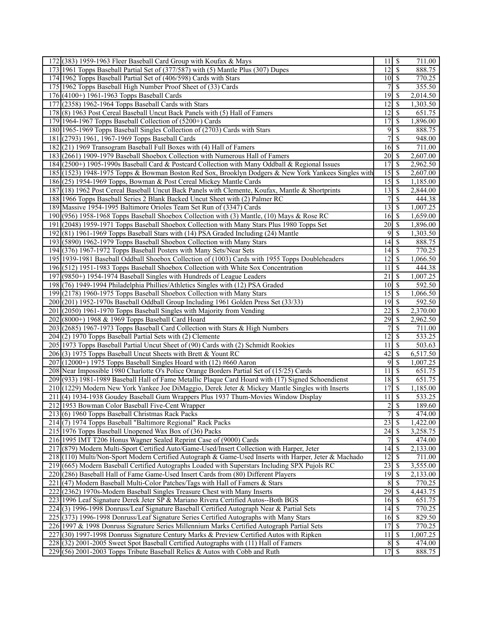| 172 (383) 1959-1963 Fleer Baseball Card Group with Koufax & Mays                                                                                                                       | 11                          | \$                       | 711.00           |
|----------------------------------------------------------------------------------------------------------------------------------------------------------------------------------------|-----------------------------|--------------------------|------------------|
| 173 1961 Topps Baseball Partial Set of (377/587) with (5) Mantle Plus (307) Dupes                                                                                                      | $\overline{12}$ \$          |                          | 888.75           |
| 174 1962 Topps Baseball Partial Set of (406/598) Cards with Stars                                                                                                                      | $10\overline{\smash{)}\,}$  |                          | 770.25           |
| 175 1962 Topps Baseball High Number Proof Sheet of (33) Cards                                                                                                                          | 7                           | <sup>\$</sup>            | 355.50           |
| 176 (4100+) 1961-1963 Topps Baseball Cards                                                                                                                                             | 19                          | - \$                     | 2,014.50         |
| 177 (2358) 1962-1964 Topps Baseball Cards with Stars                                                                                                                                   | 12                          | l \$                     | 1,303.50         |
| 178 (8) 1963 Post Cereal Baseball Uncut Back Panels with (5) Hall of Famers                                                                                                            | 12                          | $\overline{\mathbf{s}}$  | 651.75           |
| 179 1964-1967 Topps Baseball Collection of (5200+) Cards                                                                                                                               | 17                          | \$                       | 1,896.00         |
| 180 1965-1969 Topps Baseball Singles Collection of (2703) Cards with Stars                                                                                                             | $9\sqrt{5}$                 |                          | 888.75           |
| 181 (2793) 1961, 1967-1969 Topps Baseball Cards                                                                                                                                        |                             | \$                       | 948.00           |
| 182(21) 1969 Transogram Baseball Full Boxes with (4) Hall of Famers                                                                                                                    | $16 \mid$ \$                |                          | 711.00           |
| 183 (2661) 1909-1979 Baseball Shoebox Collection with Numerous Hall of Famers                                                                                                          | $\overline{20}$ \$          |                          | 2,607.00         |
| 184 (2500+) 1905-1990s Baseball Card & Postcard Collection with Many Oddball & Regional Issues                                                                                         | 17                          | $\overline{\mathbf{s}}$  | 2,962.50         |
| 185 (1523) 1948-1975 Topps & Bowman Boston Red Sox, Brooklyn Dodgers & New York Yankees Singles with                                                                                   |                             |                          | 2,607.00         |
| 186 (25) 1954-1969 Topps, Bowman & Post Cereal Mickey Mantle Cards                                                                                                                     | $15 \overline{\smash{)}\,}$ |                          | 1,185.00         |
| 187 (18) 1962 Post Cereal Baseball Uncut Back Panels with Clemente, Koufax, Mantle & Shortprints                                                                                       | $13 \mid$ \$                |                          | 2,844.00         |
| 188 1966 Topps Baseball Series 2 Blank Backed Uncut Sheet with (2) Palmer RC                                                                                                           | 7                           | S                        | 444.38           |
| 189 Massive 1954-1995 Baltimore Orioles Team Set Run of (3347) Cards                                                                                                                   | $13 \mid$ \$                |                          | 1,007.25         |
| 190 (956) 1958-1968 Topps Baseball Shoebox Collection with (3) Mantle, (10) Mays & Rose RC                                                                                             | $16\overline{3}$            |                          | 1,659.00         |
| 191 (2048) 1959-1971 Topps Baseball Shoebox Collection with Many Stars Plus 1980 Topps Set                                                                                             | $20$ $\sqrt{5}$             |                          | 1,896.00         |
| 192 (81) 1961-1969 Topps Baseball Stars with (14) PSA Graded Including (24) Mantle                                                                                                     | 9S                          |                          | 1,303.50         |
| 193 (5890) 1962-1979 Topps Baseball Shoebox Collection with Many Stars                                                                                                                 |                             |                          | 888.75           |
| 194 (376) 1967-1972 Topps Baseball Posters with Many Sets/Near Sets                                                                                                                    |                             |                          | 770.25           |
| 195 1939-1981 Baseball Oddball Shoebox Collection of (1003) Cards with 1955 Topps Doubleheaders                                                                                        | $12 \mid$ \$                |                          | 1,066.50         |
| 196 (512) 1951-1983 Topps Baseball Shoebox Collection with White Sox Concentration                                                                                                     | 11                          | $\overline{\mathcal{S}}$ | 444.38           |
| 197 (9850+) 1954-1974 Baseball Singles with Hundreds of League Leaders                                                                                                                 | 21                          | S                        | 1,007.25         |
| 198 (76) 1949-1994 Philadelphia Phillies/Athletics Singles with (12) PSA Graded                                                                                                        | $10\overline{\smash{)}\,}$  |                          | 592.50           |
| 199 (2178) 1960-1975 Topps Baseball Shoebox Collection with Many Stars                                                                                                                 |                             |                          | 1,066.50         |
| 200 (201) 1952-1970s Baseball Oddball Group Including 1961 Golden Press Set (33/33)                                                                                                    | $\overline{19}$ \$          |                          | 592.50           |
| 201 (2050) 1961-1970 Topps Baseball Singles with Majority from Vending                                                                                                                 | 22                          | S                        | 2,370.00         |
| 202 (8000+) 1968 & 1969 Topps Baseball Card Hoard                                                                                                                                      | $\overline{29}$             | $\mathcal{S}$            | 2,962.50         |
| 203 (2685) 1967-1973 Topps Baseball Card Collection with Stars & High Numbers                                                                                                          | 7                           | \$                       | 711.00           |
| 204 (2) 1970 Topps Baseball Partial Sets with (2) Clemente                                                                                                                             | $12 \mid$ \$                |                          | 533.25           |
| 205 1973 Topps Baseball Partial Uncut Sheet of (90) Cards with (2) Schmidt Rookies                                                                                                     | 11                          | $\mathbb{S}$             | 503.63           |
| 206(3) 1975 Topps Baseball Uncut Sheets with Brett & Yount RC                                                                                                                          | 42                          | S                        | 6,517.50         |
| $207$ (12000+) 1975 Topps Baseball Singles Hoard with (12) #660 Aaron                                                                                                                  | $9$ \ $\frac{1}{3}$         |                          | 1,007.25         |
| 208 Near Impossible 1980 Charlotte O's Police Orange Borders Partial Set of (15/25) Cards                                                                                              | 11                          | \$                       | 651.75           |
| 209 (933) 1981-1989 Baseball Hall of Fame Metallic Plaque Card Hoard with (17) Signed Schoendienst                                                                                     | $18 \mid$ \$                |                          | 651.75           |
| 210 (1229) Modern New York Yankee Joe DiMaggio, Derek Jeter & Mickey Mantle Singles with Inserts                                                                                       | 17                          | $\overline{\mathcal{S}}$ | 1,185.00         |
| 211 (4) 1934-1938 Goudey Baseball Gum Wrappers Plus 1937 Thum-Movies Window Display                                                                                                    | $11 \overline{\smash{)}\,}$ |                          | 533.25           |
| 212 1953 Bowman Color Baseball Five-Cent Wrapper                                                                                                                                       | $2 \mid$ \$                 |                          | 189.60           |
| 213(6) 1960 Topps Baseball Christmas Rack Packs                                                                                                                                        | $\overline{7}$              | $\overline{\mathcal{S}}$ | 474.00           |
| 214(7) 1974 Topps Baseball "Baltimore Regional" Rack Packs                                                                                                                             | 23                          | \$                       | 1,422.00         |
| 215 1976 Topps Baseball Unopened Wax Box of (36) Packs                                                                                                                                 |                             |                          | 3,258.75         |
| 216 1995 IMT T206 Honus Wagner Sealed Reprint Case of (9000) Cards                                                                                                                     |                             | $\mathbf{\$}$            | 474.00           |
| 217 (879) Modern Multi-Sport Certified Auto/Game-Used/Insert Collection with Harper, Jeter                                                                                             |                             |                          | 2,133.00         |
| 218 (110) Multi/Non-Sport Modern Certified Autograph & Game-Used Inserts with Harper, Jeter & Machado                                                                                  | $\overline{12}$ \$          |                          | 711.00           |
| 219 (665) Modern Baseball Certified Autographs Loaded with Superstars Including SPX Pujols RC                                                                                          | 23                          | l \$                     | 3,555.00         |
| 220 (286) Baseball Hall of Fame Game-Used Insert Cards from (80) Different Players                                                                                                     |                             |                          | 2,133.00         |
| 221 (47) Modern Baseball Multi-Color Patches/Tags with Hall of Famers & Stars                                                                                                          | 8                           | $\sqrt{S}$               | 770.25           |
| 222 (2362) 1970s-Modern Baseball Singles Treasure Chest with Many Inserts                                                                                                              |                             |                          | 4,443.75         |
| 223 1996 Leaf Signature Derek Jeter SP & Mariano Rivera Certified Autos--Both BGS                                                                                                      | $16 \mid$ \$                |                          | 651.75           |
| 224 (3) 1996-1998 Donruss/Leaf Signature Baseball Certified Autograph Near & Partial Sets                                                                                              | $14 \overline{\smash{3}}$   |                          | 770.25           |
| 225 (373) 1996-1998 Donruss/Leaf Signature Series Certified Autographs with Many Stars                                                                                                 | $16 \mid$ \$                |                          | 829.50<br>770.25 |
| 226 1997 & 1998 Donruss Signature Series Millennium Marks Certified Autograph Partial Sets<br>227 (30) 1997-1998 Donruss Signature Century Marks & Preview Certified Autos with Ripken | $11 \mid$ \$                |                          | 1,007.25         |
| 228 (32) 2001-2005 Sweet Spot Baseball Certified Autographs with (11) Hall of Famers                                                                                                   | $8\sqrt{5}$                 |                          | 474.00           |
| 229 (56) 2001-2003 Topps Tribute Baseball Relics & Autos with Cobb and Ruth                                                                                                            |                             |                          | 888.75           |
|                                                                                                                                                                                        |                             |                          |                  |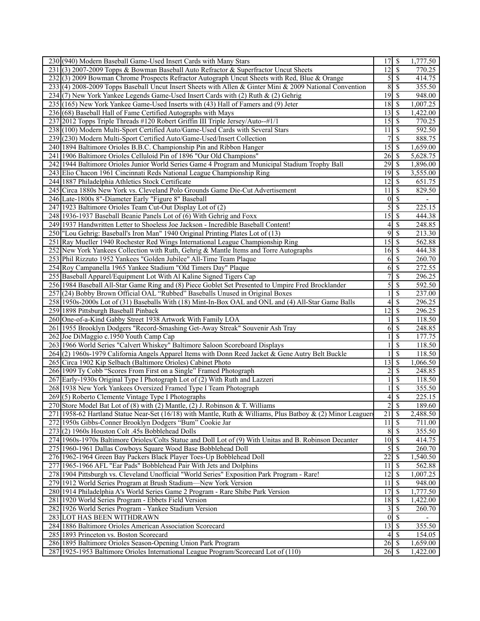| 230 (940) Modern Baseball Game-Used Insert Cards with Many Stars                                            | 17S                        |                           | 1,777.50 |
|-------------------------------------------------------------------------------------------------------------|----------------------------|---------------------------|----------|
| 231 (3) 2007-2009 Topps & Bowman Baseball Auto Refractor & Superfractor Uncut Sheets                        | 12                         | $\sqrt{s}$                | 770.25   |
| 232(3) 2009 Bowman Chrome Prospects Refractor Autograph Uncut Sheets with Red, Blue & Orange                |                            | $5\overline{\smash{)}\,}$ | 414.75   |
| 233(4) 2008-2009 Topps Baseball Uncut Insert Sheets with Allen & Ginter Mini & 2009 National Convention     | 8                          | $\overline{\mathcal{S}}$  | 355.50   |
| 234 (7) New York Yankee Legends Game-Used Insert Cards with (2) Ruth & (2) Gehrig                           | $\overline{19}$ \$         |                           | 948.00   |
| 235 (165) New York Yankee Game-Used Inserts with (43) Hall of Famers and (9) Jeter                          |                            |                           | 1,007.25 |
| 236 (68) Baseball Hall of Fame Certified Autographs with Mays                                               | 13                         | $\sqrt{s}$                | 1,422.00 |
| 237 2012 Topps Triple Threads #120 Robert Griffin III Triple Jersey/Auto--#1/1                              | $15\overline{3}$           |                           | 770.25   |
|                                                                                                             |                            |                           |          |
| 238 (100) Modern Multi-Sport Certified Auto/Game-Used Cards with Several Stars                              | 11                         | \$                        | 592.50   |
| 239 (230) Modern Multi-Sport Certified Auto/Game-Used/Insert Collection                                     | 7                          | $\mathcal{S}$             | 888.75   |
| 240 1894 Baltimore Orioles B.B.C. Championship Pin and Ribbon Hanger                                        | 15                         | \$                        | 1,659.00 |
| 241 1906 Baltimore Orioles Celluloid Pin of 1896 "Our Old Champions"                                        | $26 \mid$ \$               |                           | 5,628.75 |
| 242 1944 Baltimore Orioles Junior World Series Game 4 Program and Municipal Stadium Trophy Ball             | 29                         | \$                        | 1,896.00 |
| 243 Elio Chacon 1961 Cincinnati Reds National League Championship Ring                                      | $19$ $\overline{\text{S}}$ |                           | 3,555.00 |
| 244 1887 Philadelphia Athletics Stock Certificate                                                           | $12 \mid$ \$               |                           | 651.75   |
| 245 Circa 1880s New York vs. Cleveland Polo Grounds Game Die-Cut Advertisement                              | 11                         | $\mathcal{S}$             | 829.50   |
| 246 Late-1800s 8"-Diameter Early "Figure 8" Baseball                                                        |                            | $0\vert$ \$               |          |
| 247 1923 Baltimore Orioles Team Cut-Out Display Lot of (2)                                                  | 5                          | $\overline{\mathcal{S}}$  | 225.15   |
| 248 1936-1937 Baseball Beanie Panels Lot of (6) With Gehrig and Foxx                                        | $\overline{15}$            | $\overline{\mathcal{S}}$  | 444.38   |
| 249 1937 Handwritten Letter to Shoeless Joe Jackson - Incredible Baseball Content!                          | 4                          | $\overline{\mathcal{S}}$  | 248.85   |
| 250 "Lou Gehrig: Baseball's Iron Man" 1940 Original Printing Plates Lot of (13)                             | 9                          | $\overline{\mathcal{S}}$  | 213.30   |
| 251 Ray Mueller 1940 Rochester Red Wings International League Championship Ring                             | 15                         | \$                        | 562.88   |
|                                                                                                             |                            |                           |          |
| 252 New York Yankees Collection with Ruth, Gehrig & Mantle Items and Torre Autographs                       | $16 \mid$ \$               |                           | 444.38   |
| 253 Phil Rizzuto 1952 Yankees "Golden Jubilee" All-Time Team Plaque                                         | 6                          | $\mathcal{S}$             | 260.70   |
| 254 Roy Campanella 1965 Yankee Stadium "Old Timers Day" Plaque                                              | 6                          | $\mathcal{S}$             | 272.55   |
| 255 Baseball Apparel/Equipment Lot With Al Kaline Signed Tigers Cap                                         | $\overline{7}$             | $\overline{\mathcal{S}}$  | 296.25   |
| 256 1984 Baseball All-Star Game Ring and (8) Piece Goblet Set Presented to Umpire Fred Brocklander          | 5                          | \$                        | 592.50   |
| 257 (24) Bobby Brown Official OAL "Rubbed" Baseballs Unused in Original Boxes                               |                            | \$                        | 237.00   |
| 258 1950s-2000s Lot of (31) Baseballs With (18) Mint-In-Box OAL and ONL and (4) All-Star Game Balls         | 4                          | $\overline{\mathcal{S}}$  | 296.25   |
| 259 1898 Pittsburgh Baseball Pinback                                                                        | $\overline{12}$            | $\mathcal{S}$             | 296.25   |
| 260 One-of-a-Kind Gabby Street 1938 Artwork With Family LOA                                                 |                            | $\mathbb{S}$              | 118.50   |
| 261 1955 Brooklyn Dodgers "Record-Smashing Get-Away Streak" Souvenir Ash Tray                               | 6                          | $\overline{\mathcal{S}}$  | 248.85   |
| 262 Joe DiMaggio c.1950 Youth Camp Cap                                                                      |                            | \$                        | 177.75   |
| 263 1966 World Series "Calvert Whiskey" Baltimore Saloon Scoreboard Displays                                |                            | \$                        | 118.50   |
| 264(2) 1960s-1979 California Angels Apparel Items with Donn Reed Jacket & Gene Autry Belt Buckle            |                            | $\mathcal{S}$             | 118.50   |
| 265 Circa 1902 Kip Selbach (Baltimore Orioles) Cabinet Photo                                                | 13                         | $\overline{\mathcal{S}}$  | 1,066.50 |
| 266 1909 Ty Cobb "Scores From First on a Single" Framed Photograph                                          | 2                          | $\overline{\mathcal{S}}$  | 248.85   |
|                                                                                                             |                            |                           |          |
| 267 Early-1930s Original Type I Photograph Lot of (2) With Ruth and Lazzeri                                 |                            | $\mathcal{S}$             | 118.50   |
| 268 1938 New York Yankees Oversized Framed Type I Team Photograph                                           |                            | \$                        | 355.50   |
| 269(5) Roberto Clemente Vintage Type I Photographs                                                          | 4                          | \$                        | 225.15   |
| 270 Store Model Bat Lot of (8) with (2) Mantle, (2) J. Robinson & T. Williams                               |                            | $\overline{2}$ \$         | 189.60   |
| 271 1958-62 Hartland Statue Near-Set (16/18) with Mantle, Ruth & Williams, Plus Batboy & (2) Minor Leaguers | $21 \mid$ \$               |                           | 2,488.50 |
| 272 1950s Gibbs-Conner Brooklyn Dodgers "Bum" Cookie Jar                                                    | 11                         | $\overline{\mathcal{S}}$  | 711.00   |
| $273(2)$ 1960s Houston Colt .45s Bobblehead Dolls                                                           |                            | 8S                        | 355.50   |
| 274 1960s-1970s Baltimore Orioles/Colts Statue and Doll Lot of (9) With Unitas and B. Robinson Decanter     | $10 \mid$ \$               |                           | 414.75   |
| 275 1960-1961 Dallas Cowboys Square Wood Base Bobblehead Doll                                               | 5                          | <sup>\$</sup>             | 260.70   |
| 276 1962-1964 Green Bay Packers Black Player Toes-Up Bobblehead Doll                                        | $\overline{22}$            | l \$                      | 1,540.50 |
| 277 1965-1966 AFL "Ear Pads" Bobblehead Pair With Jets and Dolphins                                         | 11                         | $\vert$ \$                | 562.88   |
| 278 1904 Pittsburgh vs. Cleveland Unofficial "World Series" Exposition Park Program - Rare!                 | $12 \mid$ \$               |                           | 1,007.25 |
| 279 1912 World Series Program at Brush Stadium—New York Version                                             | 11                         | S                         | 948.00   |
| 280 1914 Philadelphia A's World Series Game 2 Program - Rare Shibe Park Version                             | 17                         | $\mathcal{S}$             | 1,777.50 |
| 281 1920 World Series Program - Ebbets Field Version                                                        |                            |                           | 1,422.00 |
|                                                                                                             |                            | l \$                      |          |
| 282 1926 World Series Program - Yankee Stadium Version                                                      | $\overline{\mathbf{3}}$    |                           | 260.70   |
| 283 LOT HAS BEEN WITHDRAWN                                                                                  |                            | $0\sqrt{s}$               |          |
| 284 1886 Baltimore Orioles American Association Scorecard                                                   | $13 \mid$ \$               |                           | 355.50   |
| 285 1893 Princeton vs. Boston Scorecard                                                                     |                            | $4\sqrt{3}$               | 154.05   |
| 286 1895 Baltimore Orioles Season-Opening Union Park Program                                                | $26 \mid$ \$               |                           | 1,659.00 |
| 287 1925-1953 Baltimore Orioles International League Program/Scorecard Lot of (110)                         | $26 \mid$ \$               |                           | 1,422.00 |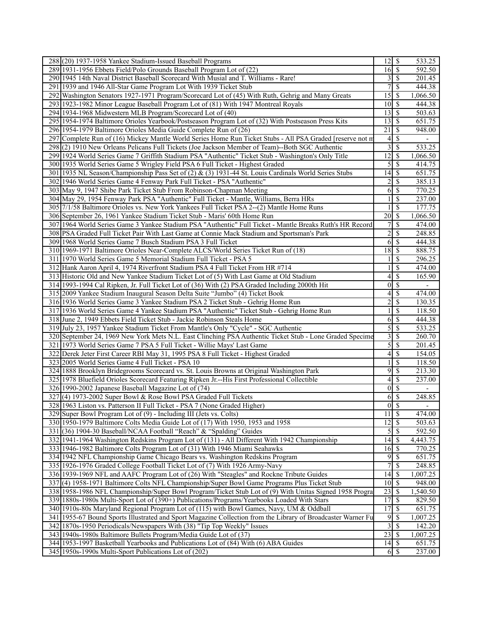| 288 (20) 1937-1958 Yankee Stadium-Issued Baseball Programs                                                   | $12 \mid$ \$                |                                            | 533.25                   |
|--------------------------------------------------------------------------------------------------------------|-----------------------------|--------------------------------------------|--------------------------|
| 289 1931-1956 Ebbets Field/Polo Grounds Baseball Program Lot of (22)                                         | $16 \mid$ \$                |                                            | 592.50                   |
| 290 1945 14th Naval District Baseball Scorecard With Musial and T. Williams - Rare!                          |                             | $3 \overline{\smash{)}\smash{)}\smash{\}}$ | 201.45                   |
| 291 1939 and 1946 All-Star Game Program Lot With 1939 Ticket Stub                                            | 7                           | $\mathbb{S}$                               | 444.38                   |
| 292 Washington Senators 1927-1971 Program/Scorecard Lot of (45) With Ruth, Gehrig and Many Greats            | $\overline{15}$ \$          |                                            | 1,066.50                 |
| 293 1923-1982 Minor League Baseball Program Lot of (81) With 1947 Montreal Royals                            | $10\vert S$                 |                                            | 444.38                   |
| 294 1934-1968 Midwestern MLB Program/Scorecard Lot of (40)                                                   | $13 \mid$ \$                |                                            | 503.63                   |
| 295 1954-1974 Baltimore Orioles Yearbook/Postseason Program Lot of (32) With Postseason Press Kits           | $13 \mid$ \$                |                                            | 651.75                   |
| 296 1954-1979 Baltimore Orioles Media Guide Complete Run of (26)                                             | 21                          | \$                                         | 948.00                   |
| 297 Complete Run of (16) Mickey Mantle World Series Home Run Ticket Stubs - All PSA Graded [reserve not m    |                             | $4\overline{3}$                            |                          |
| 298 (2) 1910 New Orleans Pelicans Full Tickets (Joe Jackson Member of Team)--Both SGC Authentic              | $\frac{3}{ }$               | S                                          | 533.25                   |
|                                                                                                              | $\overline{12}$ \$          |                                            | 1,066.50                 |
| 299 1924 World Series Game 7 Griffith Stadium PSA "Authentic" Ticket Stub - Washington's Only Title          |                             | $\sqrt{s}$                                 |                          |
| 300 1935 World Series Game 5 Wrigley Field PSA 6 Full Ticket - Highest Graded                                | $\mathfrak{S}$              |                                            | 414.75                   |
| 301 1935 NL Season/Championship Pass Set of (2) & (3) 1931-44 St. Louis Cardinals World Series Stubs         |                             |                                            | 651.75                   |
| 302 1946 World Series Game 4 Fenway Park Full Ticket - PSA "Authentic"                                       | 2                           | $\mathcal{S}$                              | 385.13                   |
| 303 May 9, 1947 Shibe Park Ticket Stub From Robinson-Chapman Meeting                                         | 6                           | $\mathcal{S}$                              | 770.25                   |
| 304 May 29, 1954 Fenway Park PSA "Authentic" Full Ticket - Mantle, Williams, Berra HRs                       |                             | \$                                         | 237.00                   |
| 305 7/1/58 Baltimore Orioles vs. New York Yankees Full Ticket PSA 2--(2) Mantle Home Runs                    |                             | $\mathcal{S}$                              | 177.75                   |
| 306 September 26, 1961 Yankee Stadium Ticket Stub - Maris' 60th Home Run                                     | $\overline{20}$ \$          |                                            | 1,066.50                 |
| 307 1964 World Series Game 3 Yankee Stadium PSA "Authentic" Full Ticket - Mantle Breaks Ruth's HR Record     | $\overline{7}$              | $\mathcal{S}$                              | 474.00                   |
| 308 PSA Graded Full Ticket Pair With Last Game at Connie Mack Stadium and Sportsman's Park                   | $\overline{c}$              | <sup>\$</sup>                              | 248.85                   |
| 309 1968 World Series Game 7 Busch Stadium PSA 3 Full Ticket                                                 |                             |                                            | 444.38                   |
| 310 1969-1971 Baltimore Orioles Near-Complete ALCS/World Series Ticket Run of (18)                           | $\overline{18}$ \$          |                                            | 888.75                   |
| 311 1970 World Series Game 5 Memorial Stadium Full Ticket - PSA 5                                            |                             | \$                                         | 296.25                   |
| 312 Hank Aaron April 4, 1974 Riverfront Stadium PSA 4 Full Ticket From HR #714                               |                             | \$                                         | 474.00                   |
| 313 Historic Old and New Yankee Stadium Ticket Lot of (5) With Last Game at Old Stadium                      |                             | $4\sqrt{3}$                                | 165.90                   |
| 314 1993-1994 Cal Ripken, Jr. Full Ticket Lot of (36) With (2) PSA Graded Including 2000th Hit               | $\overline{0}$              | \$                                         | $\overline{\phantom{a}}$ |
| 315 2009 Yankee Stadium Inaugural Season Delta Suite "Jumbo" (4) Ticket Book                                 | 4                           | \$                                         | 474.00                   |
| 316 1936 World Series Game 3 Yankee Stadium PSA 2 Ticket Stub - Gehrig Home Run                              | $\overline{c}$              | \$                                         | 130.35                   |
| 317 1936 World Series Game 4 Yankee Stadium PSA "Authentic" Ticket Stub - Gehrig Home Run                    |                             | \$                                         | 118.50                   |
| 318 June 2, 1949 Ebbets Field Ticket Stub - Jackie Robinson Steals Home                                      | 6                           | -\$                                        | 444.38                   |
| 319 July 23, 1957 Yankee Stadium Ticket From Mantle's Only "Cycle" - SGC Authentic                           |                             | $5\overline{\smash{)}\,}$                  | 533.25                   |
| 320 September 24, 1969 New York Mets N.L. East Clinching PSA Authentic Ticket Stub - Lone Graded Specime     | $\overline{\mathbf{3}}$     | \$                                         | 260.70                   |
| 321 1973 World Series Game 7 PSA 5 Full Ticket - Willie Mays' Last Game                                      | 5                           | \$                                         | 201.45                   |
| 322 Derek Jeter First Career RBI May 31, 1995 PSA 8 Full Ticket - Highest Graded                             |                             |                                            | 154.05                   |
| 323 2005 World Series Game 4 Full Ticket - PSA 10                                                            |                             | \$                                         | 118.50                   |
| 324 1888 Brooklyn Bridegrooms Scorecard vs. St. Louis Browns at Original Washington Park                     | 9                           | $\mathbb{S}$                               | 213.30                   |
| 325 1978 Bluefield Orioles Scorecard Featuring Ripken Jr.--His First Professional Collectible                |                             |                                            | 237.00                   |
| 326 1990-2002 Japanese Baseball Magazine Lot of (74)                                                         |                             | $0 \mid \mathsf{S}$                        |                          |
| 327(4) 1973-2002 Super Bowl & Rose Bowl PSA Graded Full Tickets                                              | 6                           | \$                                         | 248.85                   |
| 328 1963 Liston vs. Patterson II Full Ticket - PSA 7 (None Graded Higher)                                    |                             | $0\sqrt{s}$                                | $\overline{\phantom{a}}$ |
| 329 Super Bowl Program Lot of (9) - Including III (Jets vs. Colts)                                           | $11 \mid$ \$                |                                            | 474.00                   |
| 330 1950-1979 Baltimore Colts Media Guide Lot of (17) With 1950, 1953 and 1958                               | $\overline{12}$ \$          |                                            | 503.63                   |
| 331 (36) 1904-30 Baseball/NCAA Football "Reach" & "Spalding" Guides                                          |                             | $\sqrt{5}$                                 | 592.50                   |
| 332 1941-1964 Washington Redskins Program Lot of (131) - All Different With 1942 Championship                | $14 \overline{\smash{)}\,}$ |                                            | 4,443.75                 |
| 333 1946-1982 Baltimore Colts Program Lot of (31) With 1946 Miami Seahawks                                   | $16 \mid$ \$                |                                            | 770.25                   |
| 334 1942 NFL Championship Game Chicago Bears vs. Washington Redskins Program                                 |                             | 95                                         | 651.75                   |
| 335 1926-1976 Graded College Football Ticket Lot of (7) With 1926 Army-Navy                                  | 7                           | $\overline{\mathcal{S}}$                   | 248.85                   |
| 336 1939-1969 NFL and AAFC Program Lot of (26) With "Steagles" and Rockne Tribute Guides                     | $14 \mid$ \$                |                                            | 1,007.25                 |
| 337 (4) 1958-1971 Baltimore Colts NFL Championship/Super Bowl Game Programs Plus Ticket Stub                 | $10\overline{\smash{)}\,}$  |                                            | 948.00                   |
| 338 1958-1986 NFL Championship/Super Bowl Program/Ticket Stub Lot of (9) With Unitas Signed 1958 Progra      | $\overline{23}$ \$          |                                            | 1,540.50                 |
| 339 1880s-1980s Multi-Sport Lot of (390+) Publications/Programs/Yearbooks Loaded With Stars                  | $\overline{17}$ \$          |                                            | 829.50                   |
| 340 1910s-80s Maryland Regional Program Lot of (115) with Bowl Games, Navy, UM & Oddball                     | 17S                         |                                            | 651.75                   |
| 341 1955-67 Bound Sports Illustrated and Sport Magazine Collection from the Library of Broadcaster Warner Fu | 9                           | $\overline{\mathcal{S}}$                   | 1,007.25                 |
| 342 1870s-1950 Periodicals/Newspapers With (38) "Tip Top Weekly" Issues                                      | $\overline{\mathbf{3}}$     | $\overline{\mathcal{S}}$                   | 142.20                   |
| 343 1940s-1980s Baltimore Bullets Program/Media Guide Lot of (37)                                            | $23 \mid$ \$                |                                            | 1,007.25                 |
| 344 1953-1997 Basketball Yearbooks and Publications Lot of (84) With (6) ABA Guides                          | $14 \mid$ \$                |                                            | 651.75                   |
| 345 1950s-1990s Multi-Sport Publications Lot of (202)                                                        |                             | $6$   \$                                   | 237.00                   |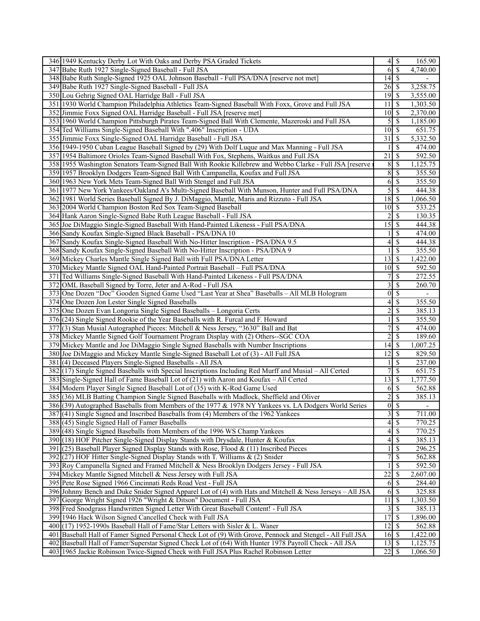| 346 1949 Kentucky Derby Lot With Oaks and Derby PSA Graded Tickets<br>$4$ \ $\frac{1}{3}$<br>165.90<br>$6\sqrt{5}$<br>347 Babe Ruth 1927 Single-Signed Baseball - Full JSA<br>4,740.00<br>$\overline{14}$ \$<br>348 Babe Ruth Single-Signed 1925 OAL Johnson Baseball - Full PSA/DNA [reserve not met]<br>$26\overline{3}$<br>3,258.75<br>349 Babe Ruth 1927 Single-Signed Baseball - Full JSA<br>350 Lou Gehrig Signed OAL Harridge Ball - Full JSA<br>$19$ $\sqrt{S}$<br>3,555.00<br>351 1930 World Champion Philadelphia Athletics Team-Signed Baseball With Foxx, Grove and Full JSA<br>11<br>l \$<br>1,303.50<br>352 Jimmie Foxx Signed OAL Harridge Baseball - Full JSA [reserve met]<br>$10 \mid$ \$<br>2,370.00<br>  S<br>353 1960 World Champion Pittsburgh Pirates Team-Signed Ball With Clemente, Mazeroski and Full JSA<br>5<br>1,185.00<br>354 Ted Williams Single-Signed Baseball With ".406" Inscription - UDA<br>$10 \mid$ \$<br>651.75<br>355 Jimmie Foxx Single-Signed OAL Harridge Baseball - Full JSA<br>31<br>  S<br>5,332.50<br>356 1949-1950 Cuban League Baseball Signed by (29) With Dolf Luque and Max Manning - Full JSA<br>\$<br>474.00<br>$\overline{21}$<br>592.50<br>357 1954 Baltimore Orioles Team-Signed Baseball With Fox, Stephens, Waitkus and Full JSA<br>  S<br>$8$   \$<br>$1,12\overline{5.75}$<br>358 1955 Washington Senators Team-Signed Ball With Rookie Killebrew and Webbo Clarke - Full JSA [reserve<br>$\overline{8}$<br>$\overline{\mathcal{S}}$<br>355.50<br>359 1957 Brooklyn Dodgers Team-Signed Ball With Campanella, Koufax and Full JSA<br>$6\overline{3}$<br>355.50<br>360 1963 New York Mets Team-Signed Ball With Stengel and Full JSA<br>$5\overline{)}$<br>361 1977 New York Yankees/Oakland A's Multi-Signed Baseball With Munson, Hunter and Full PSA/DNA<br>444.38<br>$18 \mid$ \$<br>1,066.50<br>362 1981 World Series Baseball Signed By J. DiMaggio, Mantle, Maris and Rizzuto - Full JSA<br>$10 \mid$ \$<br>363 2004 World Champion Boston Red Sox Team-Signed Baseball<br>533.25<br>$\overline{\mathcal{S}}$<br>$\overline{2}$<br>364 Hank Aaron Single-Signed Babe Ruth League Baseball - Full JSA<br>130.35<br>15<br>  \$<br>365 Joe DiMaggio Single-Signed Baseball With Hand-Painted Likeness - Full PSA/DNA<br>444.38<br>$\mathcal{S}$<br>474.00<br>366 Sandy Koufax Single-Signed Black Baseball - PSA/DNA 10<br><sup>\$</sup><br>367 Sandy Koufax Single-Signed Baseball With No-Hitter Inscription - PSA/DNA 9.5<br>444.38<br>4<br>355.50<br>\$<br>368 Sandy Koufax Single-Signed Baseball With No-Hitter Inscription - PSA/DNA 9<br>$\overline{13}$ \$<br>1,422.00<br>369 Mickey Charles Mantle Single Signed Ball with Full PSA/DNA Letter<br>$10 \overline{\smash{\big)} }$<br>592.50<br>370 Mickey Mantle Signed OAL Hand-Painted Portrait Baseball - Full PSA/DNA<br>\$<br>272.55<br>7<br>371 Ted Williams Single-Signed Baseball With Hand-Painted Likeness - Full PSA/DNA<br>3<br>$\mathcal{S}$<br>372 OML Baseball Signed by Torre, Jeter and A-Rod - Full JSA<br>260.70<br>$\boldsymbol{0}$<br>\$<br>373 One Dozen "Doc" Gooden Signed Game Used "Last Year at Shea" Baseballs - All MLB Hologram<br>4<br>\$<br>374 One Dozen Jon Lester Single Signed Baseballs<br>355.50<br>$\overline{\mathbf{c}}$<br>\$<br>375 One Dozen Evan Longoria Single Signed Baseballs - Longoria Certs<br>385.13<br>\$<br>376 (24) Single Signed Rookie of the Year Baseballs with R. Furcal and F. Howard<br>355.50<br>7<br>\$<br>377(3) Stan Musial Autographed Pieces: Mitchell & Ness Jersey, "3630" Ball and Bat<br>474.00<br>378 Mickey Mantle Signed Golf Tournament Program Display with (2) Others--SGC COA<br>2<br>$\mathcal{S}$<br>189.60<br>379 Mickey Mantle and Joe DiMaggio Single Signed Baseballs with Number Inscriptions<br>1,007.25<br>12<br>  \$<br>829.50<br>380 Joe DiMaggio and Mickey Mantle Single-Signed Baseball Lot of (3) - All Full JSA<br><sup>\$</sup><br>381 (4) Deceased Players Single-Signed Baseballs - All JSA<br>237.00<br>7<br>$\overline{\mathcal{S}}$<br>382 (17) Single Signed Baseballs with Special Inscriptions Including Red Murff and Musial – All Certed<br>651.75<br>$13 \mid$ \$<br>1,777.50<br>383 Single-Signed Hall of Fame Baseball Lot of (21) with Aaron and Koufax – All Certed<br>-\$<br>384 Modern Player Single Signed Baseball Lot of (35) with K-Rod Game Used<br>562.88<br>6<br>$\overline{2}$<br>$\overline{\$}$<br>385 (36) MLB Batting Champion Single Signed Baseballs with Madlock, Sheffield and Oliver<br>385.13<br>$0\sqrt{S}$<br>386 (39) Autographed Baseballs from Members of the 1977 & 1978 NY Yankees vs. LA Dodgers World Series<br>$\overline{\phantom{a}}$<br>3S<br>387 (41) Single Signed and Inscribed Baseballs from (4) Members of the 1962 Yankees<br>711.00<br>4S<br>388 (45) Single Signed Hall of Famer Baseballs<br>770.25<br>$4\sqrt{3}$<br>389(48) Single Signed Baseballs from Members of the 1996 WS Champ Yankees<br>770.25<br>$4\vert$<br>$\mathcal{S}$<br>385.13<br>390 (18) HOF Pitcher Single-Signed Display Stands with Drysdale, Hunter & Koufax<br>\$<br>391 (25) Baseball Player Signed Display Stands with Rose, Flood & (11) Inscribed Pieces<br>296.25<br>7<br>$\mathcal{S}$<br>392 $(27)$ HOF Hitter Single-Signed Display Stands with T. Williams & (2) Snider<br>562.88<br>$\mathbb{S}$<br>393 Roy Campanella Signed and Framed Mitchell & Ness Brooklyn Dodgers Jersey - Full JSA<br>592.50<br>22<br>$\mathcal{S}$<br>394 Mickey Mantle Signed Mitchell & Ness Jersey with Full JSA<br>2,607.00<br>284.40<br>395 Pete Rose Signed 1966 Cincinnati Reds Road Vest - Full JSA<br>396 Johnny Bench and Duke Snider Signed Apparel Lot of (4) with Hats and Mitchell & Ness Jerseys - All JSA<br>325.88<br>397 George Wright Signed 1926 "Wright & Ditson" Document - Full JSA<br>$11 \mid$ \$<br>1,303.50<br>$3 \overline{\smash{)}\,}$<br>385.13<br>398 Fred Snodgrass Handwritten Signed Letter With Great Baseball Content! - Full JSA<br>399 1946 Hack Wilson Signed Cancelled Check with Full JSA<br>1,896.00<br>$12 \mid$ \$<br>400 (17) 1952-1990s Baseball Hall of Fame/Star Letters with Sisler & L. Waner<br>562.88<br>$16 \mid$ \$<br>401 Baseball Hall of Famer Signed Personal Check Lot of (9) With Grove, Pennock and Stengel - All Full JSA<br>1,422.00<br>402 Baseball Hall of Famer/Superstar Signed Check Lot of (64) With Hunter 1978 Payroll Check - All JSA<br>$13 \overline{\smash{)}\,}$<br>1,125.75<br>403 1965 Jackie Robinson Twice-Signed Check with Full JSA Plus Rachel Robinson Letter<br>1,066.50 |  |  |
|------------------------------------------------------------------------------------------------------------------------------------------------------------------------------------------------------------------------------------------------------------------------------------------------------------------------------------------------------------------------------------------------------------------------------------------------------------------------------------------------------------------------------------------------------------------------------------------------------------------------------------------------------------------------------------------------------------------------------------------------------------------------------------------------------------------------------------------------------------------------------------------------------------------------------------------------------------------------------------------------------------------------------------------------------------------------------------------------------------------------------------------------------------------------------------------------------------------------------------------------------------------------------------------------------------------------------------------------------------------------------------------------------------------------------------------------------------------------------------------------------------------------------------------------------------------------------------------------------------------------------------------------------------------------------------------------------------------------------------------------------------------------------------------------------------------------------------------------------------------------------------------------------------------------------------------------------------------------------------------------------------------------------------------------------------------------------------------------------------------------------------------------------------------------------------------------------------------------------------------------------------------------------------------------------------------------------------------------------------------------------------------------------------------------------------------------------------------------------------------------------------------------------------------------------------------------------------------------------------------------------------------------------------------------------------------------------------------------------------------------------------------------------------------------------------------------------------------------------------------------------------------------------------------------------------------------------------------------------------------------------------------------------------------------------------------------------------------------------------------------------------------------------------------------------------------------------------------------------------------------------------------------------------------------------------------------------------------------------------------------------------------------------------------------------------------------------------------------------------------------------------------------------------------------------------------------------------------------------------------------------------------------------------------------------------------------------------------------------------------------------------------------------------------------------------------------------------------------------------------------------------------------------------------------------------------------------------------------------------------------------------------------------------------------------------------------------------------------------------------------------------------------------------------------------------------------------------------------------------------------------------------------------------------------------------------------------------------------------------------------------------------------------------------------------------------------------------------------------------------------------------------------------------------------------------------------------------------------------------------------------------------------------------------------------------------------------------------------------------------------------------------------------------------------------------------------------------------------------------------------------------------------------------------------------------------------------------------------------------------------------------------------------------------------------------------------------------------------------------------------------------------------------------------------------------------------------------------------------------------------------------------------------------------------------------------------------------------------------------------------------------------------------------------------------------------------------------------------------------------------------------------------------------------------------------------------------------------------------------------------------------------------------------------------------------------------------------------------------------------------------------------------------------------------------------------------------------------------------------------------------------------------------------------------------------------------------------------------------------------------------------------------------------------------------------------------------------------------------------------------------------------------------------------------------------------------------------------------------------------------------------------------------------------------------------------------------------------------------------------------------------------------------------------------------------------------------------------------------------------------------------------------------------------------------------------------------------------------------------------|--|--|
|                                                                                                                                                                                                                                                                                                                                                                                                                                                                                                                                                                                                                                                                                                                                                                                                                                                                                                                                                                                                                                                                                                                                                                                                                                                                                                                                                                                                                                                                                                                                                                                                                                                                                                                                                                                                                                                                                                                                                                                                                                                                                                                                                                                                                                                                                                                                                                                                                                                                                                                                                                                                                                                                                                                                                                                                                                                                                                                                                                                                                                                                                                                                                                                                                                                                                                                                                                                                                                                                                                                                                                                                                                                                                                                                                                                                                                                                                                                                                                                                                                                                                                                                                                                                                                                                                                                                                                                                                                                                                                                                                                                                                                                                                                                                                                                                                                                                                                                                                                                                                                                                                                                                                                                                                                                                                                                                                                                                                                                                                                                                                                                                                                                                                                                                                                                                                                                                                                                                                                                                                                                                                                                                                                                                                                                                                                                                                                                                                                                                                                                                                                                                                  |  |  |
|                                                                                                                                                                                                                                                                                                                                                                                                                                                                                                                                                                                                                                                                                                                                                                                                                                                                                                                                                                                                                                                                                                                                                                                                                                                                                                                                                                                                                                                                                                                                                                                                                                                                                                                                                                                                                                                                                                                                                                                                                                                                                                                                                                                                                                                                                                                                                                                                                                                                                                                                                                                                                                                                                                                                                                                                                                                                                                                                                                                                                                                                                                                                                                                                                                                                                                                                                                                                                                                                                                                                                                                                                                                                                                                                                                                                                                                                                                                                                                                                                                                                                                                                                                                                                                                                                                                                                                                                                                                                                                                                                                                                                                                                                                                                                                                                                                                                                                                                                                                                                                                                                                                                                                                                                                                                                                                                                                                                                                                                                                                                                                                                                                                                                                                                                                                                                                                                                                                                                                                                                                                                                                                                                                                                                                                                                                                                                                                                                                                                                                                                                                                                                  |  |  |
|                                                                                                                                                                                                                                                                                                                                                                                                                                                                                                                                                                                                                                                                                                                                                                                                                                                                                                                                                                                                                                                                                                                                                                                                                                                                                                                                                                                                                                                                                                                                                                                                                                                                                                                                                                                                                                                                                                                                                                                                                                                                                                                                                                                                                                                                                                                                                                                                                                                                                                                                                                                                                                                                                                                                                                                                                                                                                                                                                                                                                                                                                                                                                                                                                                                                                                                                                                                                                                                                                                                                                                                                                                                                                                                                                                                                                                                                                                                                                                                                                                                                                                                                                                                                                                                                                                                                                                                                                                                                                                                                                                                                                                                                                                                                                                                                                                                                                                                                                                                                                                                                                                                                                                                                                                                                                                                                                                                                                                                                                                                                                                                                                                                                                                                                                                                                                                                                                                                                                                                                                                                                                                                                                                                                                                                                                                                                                                                                                                                                                                                                                                                                                  |  |  |
|                                                                                                                                                                                                                                                                                                                                                                                                                                                                                                                                                                                                                                                                                                                                                                                                                                                                                                                                                                                                                                                                                                                                                                                                                                                                                                                                                                                                                                                                                                                                                                                                                                                                                                                                                                                                                                                                                                                                                                                                                                                                                                                                                                                                                                                                                                                                                                                                                                                                                                                                                                                                                                                                                                                                                                                                                                                                                                                                                                                                                                                                                                                                                                                                                                                                                                                                                                                                                                                                                                                                                                                                                                                                                                                                                                                                                                                                                                                                                                                                                                                                                                                                                                                                                                                                                                                                                                                                                                                                                                                                                                                                                                                                                                                                                                                                                                                                                                                                                                                                                                                                                                                                                                                                                                                                                                                                                                                                                                                                                                                                                                                                                                                                                                                                                                                                                                                                                                                                                                                                                                                                                                                                                                                                                                                                                                                                                                                                                                                                                                                                                                                                                  |  |  |
|                                                                                                                                                                                                                                                                                                                                                                                                                                                                                                                                                                                                                                                                                                                                                                                                                                                                                                                                                                                                                                                                                                                                                                                                                                                                                                                                                                                                                                                                                                                                                                                                                                                                                                                                                                                                                                                                                                                                                                                                                                                                                                                                                                                                                                                                                                                                                                                                                                                                                                                                                                                                                                                                                                                                                                                                                                                                                                                                                                                                                                                                                                                                                                                                                                                                                                                                                                                                                                                                                                                                                                                                                                                                                                                                                                                                                                                                                                                                                                                                                                                                                                                                                                                                                                                                                                                                                                                                                                                                                                                                                                                                                                                                                                                                                                                                                                                                                                                                                                                                                                                                                                                                                                                                                                                                                                                                                                                                                                                                                                                                                                                                                                                                                                                                                                                                                                                                                                                                                                                                                                                                                                                                                                                                                                                                                                                                                                                                                                                                                                                                                                                                                  |  |  |
|                                                                                                                                                                                                                                                                                                                                                                                                                                                                                                                                                                                                                                                                                                                                                                                                                                                                                                                                                                                                                                                                                                                                                                                                                                                                                                                                                                                                                                                                                                                                                                                                                                                                                                                                                                                                                                                                                                                                                                                                                                                                                                                                                                                                                                                                                                                                                                                                                                                                                                                                                                                                                                                                                                                                                                                                                                                                                                                                                                                                                                                                                                                                                                                                                                                                                                                                                                                                                                                                                                                                                                                                                                                                                                                                                                                                                                                                                                                                                                                                                                                                                                                                                                                                                                                                                                                                                                                                                                                                                                                                                                                                                                                                                                                                                                                                                                                                                                                                                                                                                                                                                                                                                                                                                                                                                                                                                                                                                                                                                                                                                                                                                                                                                                                                                                                                                                                                                                                                                                                                                                                                                                                                                                                                                                                                                                                                                                                                                                                                                                                                                                                                                  |  |  |
|                                                                                                                                                                                                                                                                                                                                                                                                                                                                                                                                                                                                                                                                                                                                                                                                                                                                                                                                                                                                                                                                                                                                                                                                                                                                                                                                                                                                                                                                                                                                                                                                                                                                                                                                                                                                                                                                                                                                                                                                                                                                                                                                                                                                                                                                                                                                                                                                                                                                                                                                                                                                                                                                                                                                                                                                                                                                                                                                                                                                                                                                                                                                                                                                                                                                                                                                                                                                                                                                                                                                                                                                                                                                                                                                                                                                                                                                                                                                                                                                                                                                                                                                                                                                                                                                                                                                                                                                                                                                                                                                                                                                                                                                                                                                                                                                                                                                                                                                                                                                                                                                                                                                                                                                                                                                                                                                                                                                                                                                                                                                                                                                                                                                                                                                                                                                                                                                                                                                                                                                                                                                                                                                                                                                                                                                                                                                                                                                                                                                                                                                                                                                                  |  |  |
|                                                                                                                                                                                                                                                                                                                                                                                                                                                                                                                                                                                                                                                                                                                                                                                                                                                                                                                                                                                                                                                                                                                                                                                                                                                                                                                                                                                                                                                                                                                                                                                                                                                                                                                                                                                                                                                                                                                                                                                                                                                                                                                                                                                                                                                                                                                                                                                                                                                                                                                                                                                                                                                                                                                                                                                                                                                                                                                                                                                                                                                                                                                                                                                                                                                                                                                                                                                                                                                                                                                                                                                                                                                                                                                                                                                                                                                                                                                                                                                                                                                                                                                                                                                                                                                                                                                                                                                                                                                                                                                                                                                                                                                                                                                                                                                                                                                                                                                                                                                                                                                                                                                                                                                                                                                                                                                                                                                                                                                                                                                                                                                                                                                                                                                                                                                                                                                                                                                                                                                                                                                                                                                                                                                                                                                                                                                                                                                                                                                                                                                                                                                                                  |  |  |
|                                                                                                                                                                                                                                                                                                                                                                                                                                                                                                                                                                                                                                                                                                                                                                                                                                                                                                                                                                                                                                                                                                                                                                                                                                                                                                                                                                                                                                                                                                                                                                                                                                                                                                                                                                                                                                                                                                                                                                                                                                                                                                                                                                                                                                                                                                                                                                                                                                                                                                                                                                                                                                                                                                                                                                                                                                                                                                                                                                                                                                                                                                                                                                                                                                                                                                                                                                                                                                                                                                                                                                                                                                                                                                                                                                                                                                                                                                                                                                                                                                                                                                                                                                                                                                                                                                                                                                                                                                                                                                                                                                                                                                                                                                                                                                                                                                                                                                                                                                                                                                                                                                                                                                                                                                                                                                                                                                                                                                                                                                                                                                                                                                                                                                                                                                                                                                                                                                                                                                                                                                                                                                                                                                                                                                                                                                                                                                                                                                                                                                                                                                                                                  |  |  |
|                                                                                                                                                                                                                                                                                                                                                                                                                                                                                                                                                                                                                                                                                                                                                                                                                                                                                                                                                                                                                                                                                                                                                                                                                                                                                                                                                                                                                                                                                                                                                                                                                                                                                                                                                                                                                                                                                                                                                                                                                                                                                                                                                                                                                                                                                                                                                                                                                                                                                                                                                                                                                                                                                                                                                                                                                                                                                                                                                                                                                                                                                                                                                                                                                                                                                                                                                                                                                                                                                                                                                                                                                                                                                                                                                                                                                                                                                                                                                                                                                                                                                                                                                                                                                                                                                                                                                                                                                                                                                                                                                                                                                                                                                                                                                                                                                                                                                                                                                                                                                                                                                                                                                                                                                                                                                                                                                                                                                                                                                                                                                                                                                                                                                                                                                                                                                                                                                                                                                                                                                                                                                                                                                                                                                                                                                                                                                                                                                                                                                                                                                                                                                  |  |  |
|                                                                                                                                                                                                                                                                                                                                                                                                                                                                                                                                                                                                                                                                                                                                                                                                                                                                                                                                                                                                                                                                                                                                                                                                                                                                                                                                                                                                                                                                                                                                                                                                                                                                                                                                                                                                                                                                                                                                                                                                                                                                                                                                                                                                                                                                                                                                                                                                                                                                                                                                                                                                                                                                                                                                                                                                                                                                                                                                                                                                                                                                                                                                                                                                                                                                                                                                                                                                                                                                                                                                                                                                                                                                                                                                                                                                                                                                                                                                                                                                                                                                                                                                                                                                                                                                                                                                                                                                                                                                                                                                                                                                                                                                                                                                                                                                                                                                                                                                                                                                                                                                                                                                                                                                                                                                                                                                                                                                                                                                                                                                                                                                                                                                                                                                                                                                                                                                                                                                                                                                                                                                                                                                                                                                                                                                                                                                                                                                                                                                                                                                                                                                                  |  |  |
|                                                                                                                                                                                                                                                                                                                                                                                                                                                                                                                                                                                                                                                                                                                                                                                                                                                                                                                                                                                                                                                                                                                                                                                                                                                                                                                                                                                                                                                                                                                                                                                                                                                                                                                                                                                                                                                                                                                                                                                                                                                                                                                                                                                                                                                                                                                                                                                                                                                                                                                                                                                                                                                                                                                                                                                                                                                                                                                                                                                                                                                                                                                                                                                                                                                                                                                                                                                                                                                                                                                                                                                                                                                                                                                                                                                                                                                                                                                                                                                                                                                                                                                                                                                                                                                                                                                                                                                                                                                                                                                                                                                                                                                                                                                                                                                                                                                                                                                                                                                                                                                                                                                                                                                                                                                                                                                                                                                                                                                                                                                                                                                                                                                                                                                                                                                                                                                                                                                                                                                                                                                                                                                                                                                                                                                                                                                                                                                                                                                                                                                                                                                                                  |  |  |
|                                                                                                                                                                                                                                                                                                                                                                                                                                                                                                                                                                                                                                                                                                                                                                                                                                                                                                                                                                                                                                                                                                                                                                                                                                                                                                                                                                                                                                                                                                                                                                                                                                                                                                                                                                                                                                                                                                                                                                                                                                                                                                                                                                                                                                                                                                                                                                                                                                                                                                                                                                                                                                                                                                                                                                                                                                                                                                                                                                                                                                                                                                                                                                                                                                                                                                                                                                                                                                                                                                                                                                                                                                                                                                                                                                                                                                                                                                                                                                                                                                                                                                                                                                                                                                                                                                                                                                                                                                                                                                                                                                                                                                                                                                                                                                                                                                                                                                                                                                                                                                                                                                                                                                                                                                                                                                                                                                                                                                                                                                                                                                                                                                                                                                                                                                                                                                                                                                                                                                                                                                                                                                                                                                                                                                                                                                                                                                                                                                                                                                                                                                                                                  |  |  |
|                                                                                                                                                                                                                                                                                                                                                                                                                                                                                                                                                                                                                                                                                                                                                                                                                                                                                                                                                                                                                                                                                                                                                                                                                                                                                                                                                                                                                                                                                                                                                                                                                                                                                                                                                                                                                                                                                                                                                                                                                                                                                                                                                                                                                                                                                                                                                                                                                                                                                                                                                                                                                                                                                                                                                                                                                                                                                                                                                                                                                                                                                                                                                                                                                                                                                                                                                                                                                                                                                                                                                                                                                                                                                                                                                                                                                                                                                                                                                                                                                                                                                                                                                                                                                                                                                                                                                                                                                                                                                                                                                                                                                                                                                                                                                                                                                                                                                                                                                                                                                                                                                                                                                                                                                                                                                                                                                                                                                                                                                                                                                                                                                                                                                                                                                                                                                                                                                                                                                                                                                                                                                                                                                                                                                                                                                                                                                                                                                                                                                                                                                                                                                  |  |  |
|                                                                                                                                                                                                                                                                                                                                                                                                                                                                                                                                                                                                                                                                                                                                                                                                                                                                                                                                                                                                                                                                                                                                                                                                                                                                                                                                                                                                                                                                                                                                                                                                                                                                                                                                                                                                                                                                                                                                                                                                                                                                                                                                                                                                                                                                                                                                                                                                                                                                                                                                                                                                                                                                                                                                                                                                                                                                                                                                                                                                                                                                                                                                                                                                                                                                                                                                                                                                                                                                                                                                                                                                                                                                                                                                                                                                                                                                                                                                                                                                                                                                                                                                                                                                                                                                                                                                                                                                                                                                                                                                                                                                                                                                                                                                                                                                                                                                                                                                                                                                                                                                                                                                                                                                                                                                                                                                                                                                                                                                                                                                                                                                                                                                                                                                                                                                                                                                                                                                                                                                                                                                                                                                                                                                                                                                                                                                                                                                                                                                                                                                                                                                                  |  |  |
|                                                                                                                                                                                                                                                                                                                                                                                                                                                                                                                                                                                                                                                                                                                                                                                                                                                                                                                                                                                                                                                                                                                                                                                                                                                                                                                                                                                                                                                                                                                                                                                                                                                                                                                                                                                                                                                                                                                                                                                                                                                                                                                                                                                                                                                                                                                                                                                                                                                                                                                                                                                                                                                                                                                                                                                                                                                                                                                                                                                                                                                                                                                                                                                                                                                                                                                                                                                                                                                                                                                                                                                                                                                                                                                                                                                                                                                                                                                                                                                                                                                                                                                                                                                                                                                                                                                                                                                                                                                                                                                                                                                                                                                                                                                                                                                                                                                                                                                                                                                                                                                                                                                                                                                                                                                                                                                                                                                                                                                                                                                                                                                                                                                                                                                                                                                                                                                                                                                                                                                                                                                                                                                                                                                                                                                                                                                                                                                                                                                                                                                                                                                                                  |  |  |
|                                                                                                                                                                                                                                                                                                                                                                                                                                                                                                                                                                                                                                                                                                                                                                                                                                                                                                                                                                                                                                                                                                                                                                                                                                                                                                                                                                                                                                                                                                                                                                                                                                                                                                                                                                                                                                                                                                                                                                                                                                                                                                                                                                                                                                                                                                                                                                                                                                                                                                                                                                                                                                                                                                                                                                                                                                                                                                                                                                                                                                                                                                                                                                                                                                                                                                                                                                                                                                                                                                                                                                                                                                                                                                                                                                                                                                                                                                                                                                                                                                                                                                                                                                                                                                                                                                                                                                                                                                                                                                                                                                                                                                                                                                                                                                                                                                                                                                                                                                                                                                                                                                                                                                                                                                                                                                                                                                                                                                                                                                                                                                                                                                                                                                                                                                                                                                                                                                                                                                                                                                                                                                                                                                                                                                                                                                                                                                                                                                                                                                                                                                                                                  |  |  |
|                                                                                                                                                                                                                                                                                                                                                                                                                                                                                                                                                                                                                                                                                                                                                                                                                                                                                                                                                                                                                                                                                                                                                                                                                                                                                                                                                                                                                                                                                                                                                                                                                                                                                                                                                                                                                                                                                                                                                                                                                                                                                                                                                                                                                                                                                                                                                                                                                                                                                                                                                                                                                                                                                                                                                                                                                                                                                                                                                                                                                                                                                                                                                                                                                                                                                                                                                                                                                                                                                                                                                                                                                                                                                                                                                                                                                                                                                                                                                                                                                                                                                                                                                                                                                                                                                                                                                                                                                                                                                                                                                                                                                                                                                                                                                                                                                                                                                                                                                                                                                                                                                                                                                                                                                                                                                                                                                                                                                                                                                                                                                                                                                                                                                                                                                                                                                                                                                                                                                                                                                                                                                                                                                                                                                                                                                                                                                                                                                                                                                                                                                                                                                  |  |  |
|                                                                                                                                                                                                                                                                                                                                                                                                                                                                                                                                                                                                                                                                                                                                                                                                                                                                                                                                                                                                                                                                                                                                                                                                                                                                                                                                                                                                                                                                                                                                                                                                                                                                                                                                                                                                                                                                                                                                                                                                                                                                                                                                                                                                                                                                                                                                                                                                                                                                                                                                                                                                                                                                                                                                                                                                                                                                                                                                                                                                                                                                                                                                                                                                                                                                                                                                                                                                                                                                                                                                                                                                                                                                                                                                                                                                                                                                                                                                                                                                                                                                                                                                                                                                                                                                                                                                                                                                                                                                                                                                                                                                                                                                                                                                                                                                                                                                                                                                                                                                                                                                                                                                                                                                                                                                                                                                                                                                                                                                                                                                                                                                                                                                                                                                                                                                                                                                                                                                                                                                                                                                                                                                                                                                                                                                                                                                                                                                                                                                                                                                                                                                                  |  |  |
|                                                                                                                                                                                                                                                                                                                                                                                                                                                                                                                                                                                                                                                                                                                                                                                                                                                                                                                                                                                                                                                                                                                                                                                                                                                                                                                                                                                                                                                                                                                                                                                                                                                                                                                                                                                                                                                                                                                                                                                                                                                                                                                                                                                                                                                                                                                                                                                                                                                                                                                                                                                                                                                                                                                                                                                                                                                                                                                                                                                                                                                                                                                                                                                                                                                                                                                                                                                                                                                                                                                                                                                                                                                                                                                                                                                                                                                                                                                                                                                                                                                                                                                                                                                                                                                                                                                                                                                                                                                                                                                                                                                                                                                                                                                                                                                                                                                                                                                                                                                                                                                                                                                                                                                                                                                                                                                                                                                                                                                                                                                                                                                                                                                                                                                                                                                                                                                                                                                                                                                                                                                                                                                                                                                                                                                                                                                                                                                                                                                                                                                                                                                                                  |  |  |
|                                                                                                                                                                                                                                                                                                                                                                                                                                                                                                                                                                                                                                                                                                                                                                                                                                                                                                                                                                                                                                                                                                                                                                                                                                                                                                                                                                                                                                                                                                                                                                                                                                                                                                                                                                                                                                                                                                                                                                                                                                                                                                                                                                                                                                                                                                                                                                                                                                                                                                                                                                                                                                                                                                                                                                                                                                                                                                                                                                                                                                                                                                                                                                                                                                                                                                                                                                                                                                                                                                                                                                                                                                                                                                                                                                                                                                                                                                                                                                                                                                                                                                                                                                                                                                                                                                                                                                                                                                                                                                                                                                                                                                                                                                                                                                                                                                                                                                                                                                                                                                                                                                                                                                                                                                                                                                                                                                                                                                                                                                                                                                                                                                                                                                                                                                                                                                                                                                                                                                                                                                                                                                                                                                                                                                                                                                                                                                                                                                                                                                                                                                                                                  |  |  |
|                                                                                                                                                                                                                                                                                                                                                                                                                                                                                                                                                                                                                                                                                                                                                                                                                                                                                                                                                                                                                                                                                                                                                                                                                                                                                                                                                                                                                                                                                                                                                                                                                                                                                                                                                                                                                                                                                                                                                                                                                                                                                                                                                                                                                                                                                                                                                                                                                                                                                                                                                                                                                                                                                                                                                                                                                                                                                                                                                                                                                                                                                                                                                                                                                                                                                                                                                                                                                                                                                                                                                                                                                                                                                                                                                                                                                                                                                                                                                                                                                                                                                                                                                                                                                                                                                                                                                                                                                                                                                                                                                                                                                                                                                                                                                                                                                                                                                                                                                                                                                                                                                                                                                                                                                                                                                                                                                                                                                                                                                                                                                                                                                                                                                                                                                                                                                                                                                                                                                                                                                                                                                                                                                                                                                                                                                                                                                                                                                                                                                                                                                                                                                  |  |  |
|                                                                                                                                                                                                                                                                                                                                                                                                                                                                                                                                                                                                                                                                                                                                                                                                                                                                                                                                                                                                                                                                                                                                                                                                                                                                                                                                                                                                                                                                                                                                                                                                                                                                                                                                                                                                                                                                                                                                                                                                                                                                                                                                                                                                                                                                                                                                                                                                                                                                                                                                                                                                                                                                                                                                                                                                                                                                                                                                                                                                                                                                                                                                                                                                                                                                                                                                                                                                                                                                                                                                                                                                                                                                                                                                                                                                                                                                                                                                                                                                                                                                                                                                                                                                                                                                                                                                                                                                                                                                                                                                                                                                                                                                                                                                                                                                                                                                                                                                                                                                                                                                                                                                                                                                                                                                                                                                                                                                                                                                                                                                                                                                                                                                                                                                                                                                                                                                                                                                                                                                                                                                                                                                                                                                                                                                                                                                                                                                                                                                                                                                                                                                                  |  |  |
|                                                                                                                                                                                                                                                                                                                                                                                                                                                                                                                                                                                                                                                                                                                                                                                                                                                                                                                                                                                                                                                                                                                                                                                                                                                                                                                                                                                                                                                                                                                                                                                                                                                                                                                                                                                                                                                                                                                                                                                                                                                                                                                                                                                                                                                                                                                                                                                                                                                                                                                                                                                                                                                                                                                                                                                                                                                                                                                                                                                                                                                                                                                                                                                                                                                                                                                                                                                                                                                                                                                                                                                                                                                                                                                                                                                                                                                                                                                                                                                                                                                                                                                                                                                                                                                                                                                                                                                                                                                                                                                                                                                                                                                                                                                                                                                                                                                                                                                                                                                                                                                                                                                                                                                                                                                                                                                                                                                                                                                                                                                                                                                                                                                                                                                                                                                                                                                                                                                                                                                                                                                                                                                                                                                                                                                                                                                                                                                                                                                                                                                                                                                                                  |  |  |
|                                                                                                                                                                                                                                                                                                                                                                                                                                                                                                                                                                                                                                                                                                                                                                                                                                                                                                                                                                                                                                                                                                                                                                                                                                                                                                                                                                                                                                                                                                                                                                                                                                                                                                                                                                                                                                                                                                                                                                                                                                                                                                                                                                                                                                                                                                                                                                                                                                                                                                                                                                                                                                                                                                                                                                                                                                                                                                                                                                                                                                                                                                                                                                                                                                                                                                                                                                                                                                                                                                                                                                                                                                                                                                                                                                                                                                                                                                                                                                                                                                                                                                                                                                                                                                                                                                                                                                                                                                                                                                                                                                                                                                                                                                                                                                                                                                                                                                                                                                                                                                                                                                                                                                                                                                                                                                                                                                                                                                                                                                                                                                                                                                                                                                                                                                                                                                                                                                                                                                                                                                                                                                                                                                                                                                                                                                                                                                                                                                                                                                                                                                                                                  |  |  |
|                                                                                                                                                                                                                                                                                                                                                                                                                                                                                                                                                                                                                                                                                                                                                                                                                                                                                                                                                                                                                                                                                                                                                                                                                                                                                                                                                                                                                                                                                                                                                                                                                                                                                                                                                                                                                                                                                                                                                                                                                                                                                                                                                                                                                                                                                                                                                                                                                                                                                                                                                                                                                                                                                                                                                                                                                                                                                                                                                                                                                                                                                                                                                                                                                                                                                                                                                                                                                                                                                                                                                                                                                                                                                                                                                                                                                                                                                                                                                                                                                                                                                                                                                                                                                                                                                                                                                                                                                                                                                                                                                                                                                                                                                                                                                                                                                                                                                                                                                                                                                                                                                                                                                                                                                                                                                                                                                                                                                                                                                                                                                                                                                                                                                                                                                                                                                                                                                                                                                                                                                                                                                                                                                                                                                                                                                                                                                                                                                                                                                                                                                                                                                  |  |  |
|                                                                                                                                                                                                                                                                                                                                                                                                                                                                                                                                                                                                                                                                                                                                                                                                                                                                                                                                                                                                                                                                                                                                                                                                                                                                                                                                                                                                                                                                                                                                                                                                                                                                                                                                                                                                                                                                                                                                                                                                                                                                                                                                                                                                                                                                                                                                                                                                                                                                                                                                                                                                                                                                                                                                                                                                                                                                                                                                                                                                                                                                                                                                                                                                                                                                                                                                                                                                                                                                                                                                                                                                                                                                                                                                                                                                                                                                                                                                                                                                                                                                                                                                                                                                                                                                                                                                                                                                                                                                                                                                                                                                                                                                                                                                                                                                                                                                                                                                                                                                                                                                                                                                                                                                                                                                                                                                                                                                                                                                                                                                                                                                                                                                                                                                                                                                                                                                                                                                                                                                                                                                                                                                                                                                                                                                                                                                                                                                                                                                                                                                                                                                                  |  |  |
|                                                                                                                                                                                                                                                                                                                                                                                                                                                                                                                                                                                                                                                                                                                                                                                                                                                                                                                                                                                                                                                                                                                                                                                                                                                                                                                                                                                                                                                                                                                                                                                                                                                                                                                                                                                                                                                                                                                                                                                                                                                                                                                                                                                                                                                                                                                                                                                                                                                                                                                                                                                                                                                                                                                                                                                                                                                                                                                                                                                                                                                                                                                                                                                                                                                                                                                                                                                                                                                                                                                                                                                                                                                                                                                                                                                                                                                                                                                                                                                                                                                                                                                                                                                                                                                                                                                                                                                                                                                                                                                                                                                                                                                                                                                                                                                                                                                                                                                                                                                                                                                                                                                                                                                                                                                                                                                                                                                                                                                                                                                                                                                                                                                                                                                                                                                                                                                                                                                                                                                                                                                                                                                                                                                                                                                                                                                                                                                                                                                                                                                                                                                                                  |  |  |
|                                                                                                                                                                                                                                                                                                                                                                                                                                                                                                                                                                                                                                                                                                                                                                                                                                                                                                                                                                                                                                                                                                                                                                                                                                                                                                                                                                                                                                                                                                                                                                                                                                                                                                                                                                                                                                                                                                                                                                                                                                                                                                                                                                                                                                                                                                                                                                                                                                                                                                                                                                                                                                                                                                                                                                                                                                                                                                                                                                                                                                                                                                                                                                                                                                                                                                                                                                                                                                                                                                                                                                                                                                                                                                                                                                                                                                                                                                                                                                                                                                                                                                                                                                                                                                                                                                                                                                                                                                                                                                                                                                                                                                                                                                                                                                                                                                                                                                                                                                                                                                                                                                                                                                                                                                                                                                                                                                                                                                                                                                                                                                                                                                                                                                                                                                                                                                                                                                                                                                                                                                                                                                                                                                                                                                                                                                                                                                                                                                                                                                                                                                                                                  |  |  |
|                                                                                                                                                                                                                                                                                                                                                                                                                                                                                                                                                                                                                                                                                                                                                                                                                                                                                                                                                                                                                                                                                                                                                                                                                                                                                                                                                                                                                                                                                                                                                                                                                                                                                                                                                                                                                                                                                                                                                                                                                                                                                                                                                                                                                                                                                                                                                                                                                                                                                                                                                                                                                                                                                                                                                                                                                                                                                                                                                                                                                                                                                                                                                                                                                                                                                                                                                                                                                                                                                                                                                                                                                                                                                                                                                                                                                                                                                                                                                                                                                                                                                                                                                                                                                                                                                                                                                                                                                                                                                                                                                                                                                                                                                                                                                                                                                                                                                                                                                                                                                                                                                                                                                                                                                                                                                                                                                                                                                                                                                                                                                                                                                                                                                                                                                                                                                                                                                                                                                                                                                                                                                                                                                                                                                                                                                                                                                                                                                                                                                                                                                                                                                  |  |  |
|                                                                                                                                                                                                                                                                                                                                                                                                                                                                                                                                                                                                                                                                                                                                                                                                                                                                                                                                                                                                                                                                                                                                                                                                                                                                                                                                                                                                                                                                                                                                                                                                                                                                                                                                                                                                                                                                                                                                                                                                                                                                                                                                                                                                                                                                                                                                                                                                                                                                                                                                                                                                                                                                                                                                                                                                                                                                                                                                                                                                                                                                                                                                                                                                                                                                                                                                                                                                                                                                                                                                                                                                                                                                                                                                                                                                                                                                                                                                                                                                                                                                                                                                                                                                                                                                                                                                                                                                                                                                                                                                                                                                                                                                                                                                                                                                                                                                                                                                                                                                                                                                                                                                                                                                                                                                                                                                                                                                                                                                                                                                                                                                                                                                                                                                                                                                                                                                                                                                                                                                                                                                                                                                                                                                                                                                                                                                                                                                                                                                                                                                                                                                                  |  |  |
|                                                                                                                                                                                                                                                                                                                                                                                                                                                                                                                                                                                                                                                                                                                                                                                                                                                                                                                                                                                                                                                                                                                                                                                                                                                                                                                                                                                                                                                                                                                                                                                                                                                                                                                                                                                                                                                                                                                                                                                                                                                                                                                                                                                                                                                                                                                                                                                                                                                                                                                                                                                                                                                                                                                                                                                                                                                                                                                                                                                                                                                                                                                                                                                                                                                                                                                                                                                                                                                                                                                                                                                                                                                                                                                                                                                                                                                                                                                                                                                                                                                                                                                                                                                                                                                                                                                                                                                                                                                                                                                                                                                                                                                                                                                                                                                                                                                                                                                                                                                                                                                                                                                                                                                                                                                                                                                                                                                                                                                                                                                                                                                                                                                                                                                                                                                                                                                                                                                                                                                                                                                                                                                                                                                                                                                                                                                                                                                                                                                                                                                                                                                                                  |  |  |
|                                                                                                                                                                                                                                                                                                                                                                                                                                                                                                                                                                                                                                                                                                                                                                                                                                                                                                                                                                                                                                                                                                                                                                                                                                                                                                                                                                                                                                                                                                                                                                                                                                                                                                                                                                                                                                                                                                                                                                                                                                                                                                                                                                                                                                                                                                                                                                                                                                                                                                                                                                                                                                                                                                                                                                                                                                                                                                                                                                                                                                                                                                                                                                                                                                                                                                                                                                                                                                                                                                                                                                                                                                                                                                                                                                                                                                                                                                                                                                                                                                                                                                                                                                                                                                                                                                                                                                                                                                                                                                                                                                                                                                                                                                                                                                                                                                                                                                                                                                                                                                                                                                                                                                                                                                                                                                                                                                                                                                                                                                                                                                                                                                                                                                                                                                                                                                                                                                                                                                                                                                                                                                                                                                                                                                                                                                                                                                                                                                                                                                                                                                                                                  |  |  |
|                                                                                                                                                                                                                                                                                                                                                                                                                                                                                                                                                                                                                                                                                                                                                                                                                                                                                                                                                                                                                                                                                                                                                                                                                                                                                                                                                                                                                                                                                                                                                                                                                                                                                                                                                                                                                                                                                                                                                                                                                                                                                                                                                                                                                                                                                                                                                                                                                                                                                                                                                                                                                                                                                                                                                                                                                                                                                                                                                                                                                                                                                                                                                                                                                                                                                                                                                                                                                                                                                                                                                                                                                                                                                                                                                                                                                                                                                                                                                                                                                                                                                                                                                                                                                                                                                                                                                                                                                                                                                                                                                                                                                                                                                                                                                                                                                                                                                                                                                                                                                                                                                                                                                                                                                                                                                                                                                                                                                                                                                                                                                                                                                                                                                                                                                                                                                                                                                                                                                                                                                                                                                                                                                                                                                                                                                                                                                                                                                                                                                                                                                                                                                  |  |  |
|                                                                                                                                                                                                                                                                                                                                                                                                                                                                                                                                                                                                                                                                                                                                                                                                                                                                                                                                                                                                                                                                                                                                                                                                                                                                                                                                                                                                                                                                                                                                                                                                                                                                                                                                                                                                                                                                                                                                                                                                                                                                                                                                                                                                                                                                                                                                                                                                                                                                                                                                                                                                                                                                                                                                                                                                                                                                                                                                                                                                                                                                                                                                                                                                                                                                                                                                                                                                                                                                                                                                                                                                                                                                                                                                                                                                                                                                                                                                                                                                                                                                                                                                                                                                                                                                                                                                                                                                                                                                                                                                                                                                                                                                                                                                                                                                                                                                                                                                                                                                                                                                                                                                                                                                                                                                                                                                                                                                                                                                                                                                                                                                                                                                                                                                                                                                                                                                                                                                                                                                                                                                                                                                                                                                                                                                                                                                                                                                                                                                                                                                                                                                                  |  |  |
|                                                                                                                                                                                                                                                                                                                                                                                                                                                                                                                                                                                                                                                                                                                                                                                                                                                                                                                                                                                                                                                                                                                                                                                                                                                                                                                                                                                                                                                                                                                                                                                                                                                                                                                                                                                                                                                                                                                                                                                                                                                                                                                                                                                                                                                                                                                                                                                                                                                                                                                                                                                                                                                                                                                                                                                                                                                                                                                                                                                                                                                                                                                                                                                                                                                                                                                                                                                                                                                                                                                                                                                                                                                                                                                                                                                                                                                                                                                                                                                                                                                                                                                                                                                                                                                                                                                                                                                                                                                                                                                                                                                                                                                                                                                                                                                                                                                                                                                                                                                                                                                                                                                                                                                                                                                                                                                                                                                                                                                                                                                                                                                                                                                                                                                                                                                                                                                                                                                                                                                                                                                                                                                                                                                                                                                                                                                                                                                                                                                                                                                                                                                                                  |  |  |
|                                                                                                                                                                                                                                                                                                                                                                                                                                                                                                                                                                                                                                                                                                                                                                                                                                                                                                                                                                                                                                                                                                                                                                                                                                                                                                                                                                                                                                                                                                                                                                                                                                                                                                                                                                                                                                                                                                                                                                                                                                                                                                                                                                                                                                                                                                                                                                                                                                                                                                                                                                                                                                                                                                                                                                                                                                                                                                                                                                                                                                                                                                                                                                                                                                                                                                                                                                                                                                                                                                                                                                                                                                                                                                                                                                                                                                                                                                                                                                                                                                                                                                                                                                                                                                                                                                                                                                                                                                                                                                                                                                                                                                                                                                                                                                                                                                                                                                                                                                                                                                                                                                                                                                                                                                                                                                                                                                                                                                                                                                                                                                                                                                                                                                                                                                                                                                                                                                                                                                                                                                                                                                                                                                                                                                                                                                                                                                                                                                                                                                                                                                                                                  |  |  |
|                                                                                                                                                                                                                                                                                                                                                                                                                                                                                                                                                                                                                                                                                                                                                                                                                                                                                                                                                                                                                                                                                                                                                                                                                                                                                                                                                                                                                                                                                                                                                                                                                                                                                                                                                                                                                                                                                                                                                                                                                                                                                                                                                                                                                                                                                                                                                                                                                                                                                                                                                                                                                                                                                                                                                                                                                                                                                                                                                                                                                                                                                                                                                                                                                                                                                                                                                                                                                                                                                                                                                                                                                                                                                                                                                                                                                                                                                                                                                                                                                                                                                                                                                                                                                                                                                                                                                                                                                                                                                                                                                                                                                                                                                                                                                                                                                                                                                                                                                                                                                                                                                                                                                                                                                                                                                                                                                                                                                                                                                                                                                                                                                                                                                                                                                                                                                                                                                                                                                                                                                                                                                                                                                                                                                                                                                                                                                                                                                                                                                                                                                                                                                  |  |  |
|                                                                                                                                                                                                                                                                                                                                                                                                                                                                                                                                                                                                                                                                                                                                                                                                                                                                                                                                                                                                                                                                                                                                                                                                                                                                                                                                                                                                                                                                                                                                                                                                                                                                                                                                                                                                                                                                                                                                                                                                                                                                                                                                                                                                                                                                                                                                                                                                                                                                                                                                                                                                                                                                                                                                                                                                                                                                                                                                                                                                                                                                                                                                                                                                                                                                                                                                                                                                                                                                                                                                                                                                                                                                                                                                                                                                                                                                                                                                                                                                                                                                                                                                                                                                                                                                                                                                                                                                                                                                                                                                                                                                                                                                                                                                                                                                                                                                                                                                                                                                                                                                                                                                                                                                                                                                                                                                                                                                                                                                                                                                                                                                                                                                                                                                                                                                                                                                                                                                                                                                                                                                                                                                                                                                                                                                                                                                                                                                                                                                                                                                                                                                                  |  |  |
|                                                                                                                                                                                                                                                                                                                                                                                                                                                                                                                                                                                                                                                                                                                                                                                                                                                                                                                                                                                                                                                                                                                                                                                                                                                                                                                                                                                                                                                                                                                                                                                                                                                                                                                                                                                                                                                                                                                                                                                                                                                                                                                                                                                                                                                                                                                                                                                                                                                                                                                                                                                                                                                                                                                                                                                                                                                                                                                                                                                                                                                                                                                                                                                                                                                                                                                                                                                                                                                                                                                                                                                                                                                                                                                                                                                                                                                                                                                                                                                                                                                                                                                                                                                                                                                                                                                                                                                                                                                                                                                                                                                                                                                                                                                                                                                                                                                                                                                                                                                                                                                                                                                                                                                                                                                                                                                                                                                                                                                                                                                                                                                                                                                                                                                                                                                                                                                                                                                                                                                                                                                                                                                                                                                                                                                                                                                                                                                                                                                                                                                                                                                                                  |  |  |
|                                                                                                                                                                                                                                                                                                                                                                                                                                                                                                                                                                                                                                                                                                                                                                                                                                                                                                                                                                                                                                                                                                                                                                                                                                                                                                                                                                                                                                                                                                                                                                                                                                                                                                                                                                                                                                                                                                                                                                                                                                                                                                                                                                                                                                                                                                                                                                                                                                                                                                                                                                                                                                                                                                                                                                                                                                                                                                                                                                                                                                                                                                                                                                                                                                                                                                                                                                                                                                                                                                                                                                                                                                                                                                                                                                                                                                                                                                                                                                                                                                                                                                                                                                                                                                                                                                                                                                                                                                                                                                                                                                                                                                                                                                                                                                                                                                                                                                                                                                                                                                                                                                                                                                                                                                                                                                                                                                                                                                                                                                                                                                                                                                                                                                                                                                                                                                                                                                                                                                                                                                                                                                                                                                                                                                                                                                                                                                                                                                                                                                                                                                                                                  |  |  |
|                                                                                                                                                                                                                                                                                                                                                                                                                                                                                                                                                                                                                                                                                                                                                                                                                                                                                                                                                                                                                                                                                                                                                                                                                                                                                                                                                                                                                                                                                                                                                                                                                                                                                                                                                                                                                                                                                                                                                                                                                                                                                                                                                                                                                                                                                                                                                                                                                                                                                                                                                                                                                                                                                                                                                                                                                                                                                                                                                                                                                                                                                                                                                                                                                                                                                                                                                                                                                                                                                                                                                                                                                                                                                                                                                                                                                                                                                                                                                                                                                                                                                                                                                                                                                                                                                                                                                                                                                                                                                                                                                                                                                                                                                                                                                                                                                                                                                                                                                                                                                                                                                                                                                                                                                                                                                                                                                                                                                                                                                                                                                                                                                                                                                                                                                                                                                                                                                                                                                                                                                                                                                                                                                                                                                                                                                                                                                                                                                                                                                                                                                                                                                  |  |  |
|                                                                                                                                                                                                                                                                                                                                                                                                                                                                                                                                                                                                                                                                                                                                                                                                                                                                                                                                                                                                                                                                                                                                                                                                                                                                                                                                                                                                                                                                                                                                                                                                                                                                                                                                                                                                                                                                                                                                                                                                                                                                                                                                                                                                                                                                                                                                                                                                                                                                                                                                                                                                                                                                                                                                                                                                                                                                                                                                                                                                                                                                                                                                                                                                                                                                                                                                                                                                                                                                                                                                                                                                                                                                                                                                                                                                                                                                                                                                                                                                                                                                                                                                                                                                                                                                                                                                                                                                                                                                                                                                                                                                                                                                                                                                                                                                                                                                                                                                                                                                                                                                                                                                                                                                                                                                                                                                                                                                                                                                                                                                                                                                                                                                                                                                                                                                                                                                                                                                                                                                                                                                                                                                                                                                                                                                                                                                                                                                                                                                                                                                                                                                                  |  |  |
|                                                                                                                                                                                                                                                                                                                                                                                                                                                                                                                                                                                                                                                                                                                                                                                                                                                                                                                                                                                                                                                                                                                                                                                                                                                                                                                                                                                                                                                                                                                                                                                                                                                                                                                                                                                                                                                                                                                                                                                                                                                                                                                                                                                                                                                                                                                                                                                                                                                                                                                                                                                                                                                                                                                                                                                                                                                                                                                                                                                                                                                                                                                                                                                                                                                                                                                                                                                                                                                                                                                                                                                                                                                                                                                                                                                                                                                                                                                                                                                                                                                                                                                                                                                                                                                                                                                                                                                                                                                                                                                                                                                                                                                                                                                                                                                                                                                                                                                                                                                                                                                                                                                                                                                                                                                                                                                                                                                                                                                                                                                                                                                                                                                                                                                                                                                                                                                                                                                                                                                                                                                                                                                                                                                                                                                                                                                                                                                                                                                                                                                                                                                                                  |  |  |
|                                                                                                                                                                                                                                                                                                                                                                                                                                                                                                                                                                                                                                                                                                                                                                                                                                                                                                                                                                                                                                                                                                                                                                                                                                                                                                                                                                                                                                                                                                                                                                                                                                                                                                                                                                                                                                                                                                                                                                                                                                                                                                                                                                                                                                                                                                                                                                                                                                                                                                                                                                                                                                                                                                                                                                                                                                                                                                                                                                                                                                                                                                                                                                                                                                                                                                                                                                                                                                                                                                                                                                                                                                                                                                                                                                                                                                                                                                                                                                                                                                                                                                                                                                                                                                                                                                                                                                                                                                                                                                                                                                                                                                                                                                                                                                                                                                                                                                                                                                                                                                                                                                                                                                                                                                                                                                                                                                                                                                                                                                                                                                                                                                                                                                                                                                                                                                                                                                                                                                                                                                                                                                                                                                                                                                                                                                                                                                                                                                                                                                                                                                                                                  |  |  |
|                                                                                                                                                                                                                                                                                                                                                                                                                                                                                                                                                                                                                                                                                                                                                                                                                                                                                                                                                                                                                                                                                                                                                                                                                                                                                                                                                                                                                                                                                                                                                                                                                                                                                                                                                                                                                                                                                                                                                                                                                                                                                                                                                                                                                                                                                                                                                                                                                                                                                                                                                                                                                                                                                                                                                                                                                                                                                                                                                                                                                                                                                                                                                                                                                                                                                                                                                                                                                                                                                                                                                                                                                                                                                                                                                                                                                                                                                                                                                                                                                                                                                                                                                                                                                                                                                                                                                                                                                                                                                                                                                                                                                                                                                                                                                                                                                                                                                                                                                                                                                                                                                                                                                                                                                                                                                                                                                                                                                                                                                                                                                                                                                                                                                                                                                                                                                                                                                                                                                                                                                                                                                                                                                                                                                                                                                                                                                                                                                                                                                                                                                                                                                  |  |  |
|                                                                                                                                                                                                                                                                                                                                                                                                                                                                                                                                                                                                                                                                                                                                                                                                                                                                                                                                                                                                                                                                                                                                                                                                                                                                                                                                                                                                                                                                                                                                                                                                                                                                                                                                                                                                                                                                                                                                                                                                                                                                                                                                                                                                                                                                                                                                                                                                                                                                                                                                                                                                                                                                                                                                                                                                                                                                                                                                                                                                                                                                                                                                                                                                                                                                                                                                                                                                                                                                                                                                                                                                                                                                                                                                                                                                                                                                                                                                                                                                                                                                                                                                                                                                                                                                                                                                                                                                                                                                                                                                                                                                                                                                                                                                                                                                                                                                                                                                                                                                                                                                                                                                                                                                                                                                                                                                                                                                                                                                                                                                                                                                                                                                                                                                                                                                                                                                                                                                                                                                                                                                                                                                                                                                                                                                                                                                                                                                                                                                                                                                                                                                                  |  |  |
|                                                                                                                                                                                                                                                                                                                                                                                                                                                                                                                                                                                                                                                                                                                                                                                                                                                                                                                                                                                                                                                                                                                                                                                                                                                                                                                                                                                                                                                                                                                                                                                                                                                                                                                                                                                                                                                                                                                                                                                                                                                                                                                                                                                                                                                                                                                                                                                                                                                                                                                                                                                                                                                                                                                                                                                                                                                                                                                                                                                                                                                                                                                                                                                                                                                                                                                                                                                                                                                                                                                                                                                                                                                                                                                                                                                                                                                                                                                                                                                                                                                                                                                                                                                                                                                                                                                                                                                                                                                                                                                                                                                                                                                                                                                                                                                                                                                                                                                                                                                                                                                                                                                                                                                                                                                                                                                                                                                                                                                                                                                                                                                                                                                                                                                                                                                                                                                                                                                                                                                                                                                                                                                                                                                                                                                                                                                                                                                                                                                                                                                                                                                                                  |  |  |
|                                                                                                                                                                                                                                                                                                                                                                                                                                                                                                                                                                                                                                                                                                                                                                                                                                                                                                                                                                                                                                                                                                                                                                                                                                                                                                                                                                                                                                                                                                                                                                                                                                                                                                                                                                                                                                                                                                                                                                                                                                                                                                                                                                                                                                                                                                                                                                                                                                                                                                                                                                                                                                                                                                                                                                                                                                                                                                                                                                                                                                                                                                                                                                                                                                                                                                                                                                                                                                                                                                                                                                                                                                                                                                                                                                                                                                                                                                                                                                                                                                                                                                                                                                                                                                                                                                                                                                                                                                                                                                                                                                                                                                                                                                                                                                                                                                                                                                                                                                                                                                                                                                                                                                                                                                                                                                                                                                                                                                                                                                                                                                                                                                                                                                                                                                                                                                                                                                                                                                                                                                                                                                                                                                                                                                                                                                                                                                                                                                                                                                                                                                                                                  |  |  |
|                                                                                                                                                                                                                                                                                                                                                                                                                                                                                                                                                                                                                                                                                                                                                                                                                                                                                                                                                                                                                                                                                                                                                                                                                                                                                                                                                                                                                                                                                                                                                                                                                                                                                                                                                                                                                                                                                                                                                                                                                                                                                                                                                                                                                                                                                                                                                                                                                                                                                                                                                                                                                                                                                                                                                                                                                                                                                                                                                                                                                                                                                                                                                                                                                                                                                                                                                                                                                                                                                                                                                                                                                                                                                                                                                                                                                                                                                                                                                                                                                                                                                                                                                                                                                                                                                                                                                                                                                                                                                                                                                                                                                                                                                                                                                                                                                                                                                                                                                                                                                                                                                                                                                                                                                                                                                                                                                                                                                                                                                                                                                                                                                                                                                                                                                                                                                                                                                                                                                                                                                                                                                                                                                                                                                                                                                                                                                                                                                                                                                                                                                                                                                  |  |  |
|                                                                                                                                                                                                                                                                                                                                                                                                                                                                                                                                                                                                                                                                                                                                                                                                                                                                                                                                                                                                                                                                                                                                                                                                                                                                                                                                                                                                                                                                                                                                                                                                                                                                                                                                                                                                                                                                                                                                                                                                                                                                                                                                                                                                                                                                                                                                                                                                                                                                                                                                                                                                                                                                                                                                                                                                                                                                                                                                                                                                                                                                                                                                                                                                                                                                                                                                                                                                                                                                                                                                                                                                                                                                                                                                                                                                                                                                                                                                                                                                                                                                                                                                                                                                                                                                                                                                                                                                                                                                                                                                                                                                                                                                                                                                                                                                                                                                                                                                                                                                                                                                                                                                                                                                                                                                                                                                                                                                                                                                                                                                                                                                                                                                                                                                                                                                                                                                                                                                                                                                                                                                                                                                                                                                                                                                                                                                                                                                                                                                                                                                                                                                                  |  |  |
|                                                                                                                                                                                                                                                                                                                                                                                                                                                                                                                                                                                                                                                                                                                                                                                                                                                                                                                                                                                                                                                                                                                                                                                                                                                                                                                                                                                                                                                                                                                                                                                                                                                                                                                                                                                                                                                                                                                                                                                                                                                                                                                                                                                                                                                                                                                                                                                                                                                                                                                                                                                                                                                                                                                                                                                                                                                                                                                                                                                                                                                                                                                                                                                                                                                                                                                                                                                                                                                                                                                                                                                                                                                                                                                                                                                                                                                                                                                                                                                                                                                                                                                                                                                                                                                                                                                                                                                                                                                                                                                                                                                                                                                                                                                                                                                                                                                                                                                                                                                                                                                                                                                                                                                                                                                                                                                                                                                                                                                                                                                                                                                                                                                                                                                                                                                                                                                                                                                                                                                                                                                                                                                                                                                                                                                                                                                                                                                                                                                                                                                                                                                                                  |  |  |
|                                                                                                                                                                                                                                                                                                                                                                                                                                                                                                                                                                                                                                                                                                                                                                                                                                                                                                                                                                                                                                                                                                                                                                                                                                                                                                                                                                                                                                                                                                                                                                                                                                                                                                                                                                                                                                                                                                                                                                                                                                                                                                                                                                                                                                                                                                                                                                                                                                                                                                                                                                                                                                                                                                                                                                                                                                                                                                                                                                                                                                                                                                                                                                                                                                                                                                                                                                                                                                                                                                                                                                                                                                                                                                                                                                                                                                                                                                                                                                                                                                                                                                                                                                                                                                                                                                                                                                                                                                                                                                                                                                                                                                                                                                                                                                                                                                                                                                                                                                                                                                                                                                                                                                                                                                                                                                                                                                                                                                                                                                                                                                                                                                                                                                                                                                                                                                                                                                                                                                                                                                                                                                                                                                                                                                                                                                                                                                                                                                                                                                                                                                                                                  |  |  |
|                                                                                                                                                                                                                                                                                                                                                                                                                                                                                                                                                                                                                                                                                                                                                                                                                                                                                                                                                                                                                                                                                                                                                                                                                                                                                                                                                                                                                                                                                                                                                                                                                                                                                                                                                                                                                                                                                                                                                                                                                                                                                                                                                                                                                                                                                                                                                                                                                                                                                                                                                                                                                                                                                                                                                                                                                                                                                                                                                                                                                                                                                                                                                                                                                                                                                                                                                                                                                                                                                                                                                                                                                                                                                                                                                                                                                                                                                                                                                                                                                                                                                                                                                                                                                                                                                                                                                                                                                                                                                                                                                                                                                                                                                                                                                                                                                                                                                                                                                                                                                                                                                                                                                                                                                                                                                                                                                                                                                                                                                                                                                                                                                                                                                                                                                                                                                                                                                                                                                                                                                                                                                                                                                                                                                                                                                                                                                                                                                                                                                                                                                                                                                  |  |  |
|                                                                                                                                                                                                                                                                                                                                                                                                                                                                                                                                                                                                                                                                                                                                                                                                                                                                                                                                                                                                                                                                                                                                                                                                                                                                                                                                                                                                                                                                                                                                                                                                                                                                                                                                                                                                                                                                                                                                                                                                                                                                                                                                                                                                                                                                                                                                                                                                                                                                                                                                                                                                                                                                                                                                                                                                                                                                                                                                                                                                                                                                                                                                                                                                                                                                                                                                                                                                                                                                                                                                                                                                                                                                                                                                                                                                                                                                                                                                                                                                                                                                                                                                                                                                                                                                                                                                                                                                                                                                                                                                                                                                                                                                                                                                                                                                                                                                                                                                                                                                                                                                                                                                                                                                                                                                                                                                                                                                                                                                                                                                                                                                                                                                                                                                                                                                                                                                                                                                                                                                                                                                                                                                                                                                                                                                                                                                                                                                                                                                                                                                                                                                                  |  |  |
|                                                                                                                                                                                                                                                                                                                                                                                                                                                                                                                                                                                                                                                                                                                                                                                                                                                                                                                                                                                                                                                                                                                                                                                                                                                                                                                                                                                                                                                                                                                                                                                                                                                                                                                                                                                                                                                                                                                                                                                                                                                                                                                                                                                                                                                                                                                                                                                                                                                                                                                                                                                                                                                                                                                                                                                                                                                                                                                                                                                                                                                                                                                                                                                                                                                                                                                                                                                                                                                                                                                                                                                                                                                                                                                                                                                                                                                                                                                                                                                                                                                                                                                                                                                                                                                                                                                                                                                                                                                                                                                                                                                                                                                                                                                                                                                                                                                                                                                                                                                                                                                                                                                                                                                                                                                                                                                                                                                                                                                                                                                                                                                                                                                                                                                                                                                                                                                                                                                                                                                                                                                                                                                                                                                                                                                                                                                                                                                                                                                                                                                                                                                                                  |  |  |
|                                                                                                                                                                                                                                                                                                                                                                                                                                                                                                                                                                                                                                                                                                                                                                                                                                                                                                                                                                                                                                                                                                                                                                                                                                                                                                                                                                                                                                                                                                                                                                                                                                                                                                                                                                                                                                                                                                                                                                                                                                                                                                                                                                                                                                                                                                                                                                                                                                                                                                                                                                                                                                                                                                                                                                                                                                                                                                                                                                                                                                                                                                                                                                                                                                                                                                                                                                                                                                                                                                                                                                                                                                                                                                                                                                                                                                                                                                                                                                                                                                                                                                                                                                                                                                                                                                                                                                                                                                                                                                                                                                                                                                                                                                                                                                                                                                                                                                                                                                                                                                                                                                                                                                                                                                                                                                                                                                                                                                                                                                                                                                                                                                                                                                                                                                                                                                                                                                                                                                                                                                                                                                                                                                                                                                                                                                                                                                                                                                                                                                                                                                                                                  |  |  |
|                                                                                                                                                                                                                                                                                                                                                                                                                                                                                                                                                                                                                                                                                                                                                                                                                                                                                                                                                                                                                                                                                                                                                                                                                                                                                                                                                                                                                                                                                                                                                                                                                                                                                                                                                                                                                                                                                                                                                                                                                                                                                                                                                                                                                                                                                                                                                                                                                                                                                                                                                                                                                                                                                                                                                                                                                                                                                                                                                                                                                                                                                                                                                                                                                                                                                                                                                                                                                                                                                                                                                                                                                                                                                                                                                                                                                                                                                                                                                                                                                                                                                                                                                                                                                                                                                                                                                                                                                                                                                                                                                                                                                                                                                                                                                                                                                                                                                                                                                                                                                                                                                                                                                                                                                                                                                                                                                                                                                                                                                                                                                                                                                                                                                                                                                                                                                                                                                                                                                                                                                                                                                                                                                                                                                                                                                                                                                                                                                                                                                                                                                                                                                  |  |  |
|                                                                                                                                                                                                                                                                                                                                                                                                                                                                                                                                                                                                                                                                                                                                                                                                                                                                                                                                                                                                                                                                                                                                                                                                                                                                                                                                                                                                                                                                                                                                                                                                                                                                                                                                                                                                                                                                                                                                                                                                                                                                                                                                                                                                                                                                                                                                                                                                                                                                                                                                                                                                                                                                                                                                                                                                                                                                                                                                                                                                                                                                                                                                                                                                                                                                                                                                                                                                                                                                                                                                                                                                                                                                                                                                                                                                                                                                                                                                                                                                                                                                                                                                                                                                                                                                                                                                                                                                                                                                                                                                                                                                                                                                                                                                                                                                                                                                                                                                                                                                                                                                                                                                                                                                                                                                                                                                                                                                                                                                                                                                                                                                                                                                                                                                                                                                                                                                                                                                                                                                                                                                                                                                                                                                                                                                                                                                                                                                                                                                                                                                                                                                                  |  |  |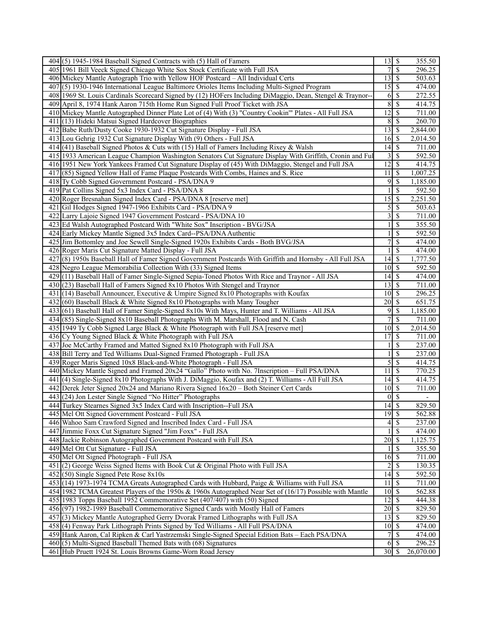| $404$ (5) 1945-1984 Baseball Signed Contracts with (5) Hall of Famers                                                             | $13 \mid$ \$                      |                          | 355.50    |
|-----------------------------------------------------------------------------------------------------------------------------------|-----------------------------------|--------------------------|-----------|
| 405 1961 Bill Veeck Signed Chicago White Sox Stock Certificate with Full JSA                                                      | 7                                 | $\overline{\mathcal{S}}$ | 296.25    |
| 406 Mickey Mantle Autograph Trio with Yellow HOF Postcard - All Individual Certs                                                  | $13 \mid$ \$                      |                          | 503.63    |
| 407(5) 1930-1946 International League Baltimore Orioles Items Including Multi-Signed Program                                      |                                   |                          | 474.00    |
| 408 1969 St. Louis Cardinals Scorecard Signed by (12) HOFers Including DiMaggio, Dean, Stengel & Traynor--                        | 6                                 | S                        | 272.55    |
| 409 April 8, 1974 Hank Aaron 715th Home Run Signed Full Proof Ticket with JSA                                                     |                                   | 8S                       | 414.75    |
| 410 Mickey Mantle Autographed Dinner Plate Lot of (4) With (3) "Country Cookin'" Plates - All Full JSA                            | 12                                | \$                       | 711.00    |
| 411 (13) Hideki Matsui Signed Hardcover Biographies                                                                               | 8                                 | $\overline{\mathcal{S}}$ | 260.70    |
| 412 Babe Ruth/Dusty Cooke 1930-1932 Cut Signature Display - Full JSA                                                              |                                   |                          | 2,844.00  |
| 413 Lou Gehrig 1932 Cut Signature Display With (9) Others - Full JSA                                                              | $16 \,$ \$                        |                          | 2,014.50  |
|                                                                                                                                   |                                   |                          |           |
| 414 (41) Baseball Signed Photos & Cuts with (15) Hall of Famers Including Rixey & Walsh                                           |                                   |                          | 711.00    |
| 415 1933 American League Champion Washington Senators Cut Signature Display With Griffith, Cronin and Ful                         |                                   | $3$ $\sqrt{3}$           | 592.50    |
| 416 1951 New York Yankees Framed Cut Signature Display of (45) With DiMaggio, Stengel and Full JSA                                | $12 \mid$ \$                      |                          | 414.75    |
| 417(85) Signed Yellow Hall of Fame Plaque Postcards With Combs, Haines and S. Rice                                                | 11                                | $\mathcal{S}$            | 1,007.25  |
| 418 Ty Cobb Signed Government Postcard - PSA/DNA 9                                                                                | 9                                 | \$                       | 1,185.00  |
| 419 Pat Collins Signed 5x3 Index Card - PSA/DNA 8                                                                                 |                                   | \$                       | 592.50    |
| 420 Roger Bresnahan Signed Index Card - PSA/DNA 8 [reserve met]                                                                   | 15                                | $\sqrt{S}$               | 2,251.50  |
| 421 Gil Hodges Signed 1947-1966 Exhibits Card - PSA/DNA 9                                                                         | 5                                 | $\overline{\mathcal{S}}$ | 503.63    |
| 422 Larry Lajoie Signed 1947 Government Postcard - PSA/DNA 10                                                                     | 3                                 | $\mathcal{S}$            | 711.00    |
| 423 Ed Walsh Autographed Postcard With "White Sox" Inscription - BVG/JSA                                                          |                                   | $\mathbb{S}$             | 355.50    |
| 424 Early Mickey Mantle Signed 3x5 Index Card--PSA/DNA Authentic                                                                  |                                   | \$                       | 592.50    |
| 425 Jim Bottomley and Joe Sewell Single-Signed 1920s Exhibits Cards - Both BVG/JSA                                                | 7                                 | \$                       | 474.00    |
| 426 Roger Maris Cut Signature Matted Display - Full JSA                                                                           |                                   | $\mathcal{S}$            | 474.00    |
| 427(8) 1950s Baseball Hall of Famer Signed Government Postcards With Griffith and Hornsby - All Full JSA                          |                                   |                          | 1,777.50  |
| 428 Negro League Memorabilia Collection With (33) Signed Items                                                                    | $10\overline{\smash{)}\,}$        |                          | 592.50    |
| 429(11) Baseball Hall of Famer Single-Signed Sepia-Toned Photos With Rice and Traynor - All JSA                                   | $14 \mid$ \$                      |                          | 474.00    |
| 430 (23) Baseball Hall of Famers Signed 8x10 Photos With Stengel and Traynor                                                      | $\overline{13}$ \ $\overline{\$}$ |                          | 711.00    |
| 431 (14) Baseball Announcer, Executive & Umpire Signed 8x10 Photographs with Koufax                                               | $10\vert S$                       |                          | 296.25    |
| 432(60) Baseball Black & White Signed 8x10 Photographs with Many Tougher                                                          | $\overline{20}$ \$                |                          | 651.75    |
| 433 (61) Baseball Hall of Famer Single-Signed 8x10s With Mays, Hunter and T. Williams - All JSA                                   | 9                                 | \$                       | 1,185.00  |
| 434 (85) Single-Signed 8x10 Baseball Photographs With M. Marshall, Flood and N. Cash                                              | 7                                 | $\overline{\mathcal{S}}$ | 711.00    |
| 435 1949 Ty Cobb Signed Large Black & White Photograph with Full JSA [reserve met]                                                | $10 \mid$ \$                      |                          | 2,014.50  |
| 436 Cy Young Signed Black & White Photograph with Full JSA                                                                        | 17                                | $\sqrt{s}$               | 711.00    |
| 437 Joe McCarthy Framed and Matted Signed 8x10 Photograph with Full JSA                                                           |                                   | \$                       | 237.00    |
| 438 Bill Terry and Ted Williams Dual-Signed Framed Photograph - Full JSA                                                          |                                   | $\mathcal{S}$            | 237.00    |
| 439 Roger Maris Signed 10x8 Black-and-White Photograph - Full JSA                                                                 | 5                                 | $\overline{\mathcal{S}}$ | 414.75    |
| 440 Mickey Mantle Signed and Framed 20x24 "Gallo" Photo with No. 7Inscription - Full PSA/DNA                                      | $11 \mid S$                       |                          | 770.25    |
| 441 (4) Single-Signed 8x10 Photographs With J. DiMaggio, Koufax and (2) T. Williams - All Full JSA                                | $14 \mid$ \$                      |                          | 414.75    |
| 442 Derek Jeter Signed 20x24 and Mariano Rivera Signed 16x20 - Both Steiner Cert Cards                                            | $10\overline{\smash{)}\,}$        |                          |           |
|                                                                                                                                   |                                   |                          | 711.00    |
| 443 (24) Jon Lester Single Signed "No Hitter" Photographs<br>444 Turkey Stearnes Signed 3x5 Index Card with Inscription--Full JSA | $\overline{14}$ \$                | $0 \mid \mathsf{S}$      | 829.50    |
|                                                                                                                                   |                                   |                          |           |
| 445 Mel Ott Signed Government Postcard - Full JSA                                                                                 | $19$ $\overline{\text{S}}$        | $\overline{\mathcal{S}}$ | 562.88    |
| 446 Wahoo Sam Crawford Signed and Inscribed Index Card - Full JSA                                                                 | 4                                 |                          | 237.00    |
| 447 Jimmie Foxx Cut Signature Signed "Jim Foxx" - Full JSA                                                                        |                                   | $\overline{\mathcal{S}}$ | 474.00    |
| 448 Jackie Robinson Autographed Government Postcard with Full JSA                                                                 | $20\overline{\smash{)}\,}$        |                          | 1,125.75  |
| 449 Mel Ott Cut Signature - Full JSA                                                                                              |                                   | S                        | 355.50    |
| 450 Mel Ott Signed Photograph - Full JSA                                                                                          | $16$ \$                           |                          | 711.00    |
| 451 (2) George Weiss Signed Items with Book Cut & Original Photo with Full JSA                                                    | 2                                 | $\overline{\mathcal{S}}$ | 130.35    |
| $452(50)$ Single Signed Pete Rose $8x10s$                                                                                         | $14 \mid$ \$                      |                          | 592.50    |
| 453 (14) 1973-1974 TCMA Greats Autographed Cards with Hubbard, Paige & Williams with Full JSA                                     | 11                                | $\sqrt{s}$               | 711.00    |
| 454 1982 TCMA Greatest Players of the 1950s & 1960s Autographed Near Set of (16/17) Possible with Mantle                          | $10\overline{\smash{)}\,}$        |                          | 562.88    |
| 455 1983 Topps Baseball 1952 Commemorative Set (407/407) with (50) Signed                                                         | $12 \mid$ \$                      |                          | 444.38    |
| 456 (97) 1982-1989 Baseball Commemorative Signed Cards with Mostly Hall of Famers                                                 | $\overline{20}$ \$                |                          | 829.50    |
| 457 (3) Mickey Mantle Autographed Gerry Dvorak Framed Lithographs with Full JSA                                                   | $13 \mid$ \$                      |                          | 829.50    |
| 458 (4) Fenway Park Lithograph Prints Signed by Ted Williams - All Full PSA/DNA                                                   | $10 \mid$ \$                      |                          | 474.00    |
| 459 Hank Aaron, Cal Ripken & Carl Yastrzemski Single-Signed Special Edition Bats - Each PSA/DNA                                   | 7                                 | l s                      | 474.00    |
| $460(5)$ Multi-Signed Baseball Themed Bats with $(68)$ Signatures                                                                 |                                   | $6$ \ $\sqrt{3}$         | 296.25    |
| 461 Hub Pruett 1924 St. Louis Browns Game-Worn Road Jersey                                                                        | $30\overline{\smash{)}\,}$        |                          | 26,070.00 |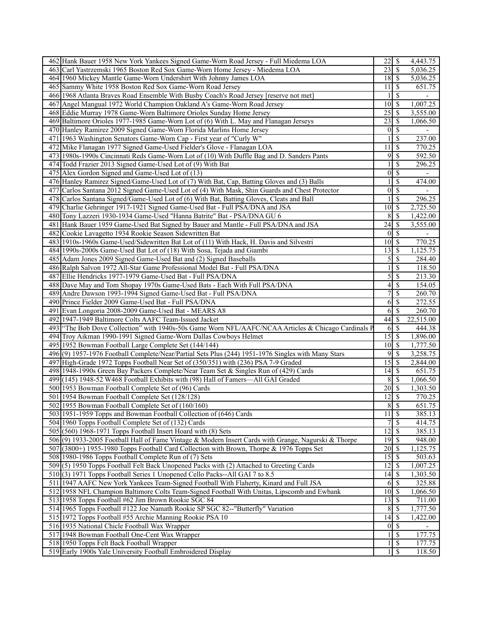| 462 Hank Bauer 1958 New York Yankees Signed Game-Worn Road Jersey - Full Miedema LOA                      | 22<br>  \$                                   | 4,443.75         |
|-----------------------------------------------------------------------------------------------------------|----------------------------------------------|------------------|
| 463 Carl Yastrzemski 1965 Boston Red Sox Game-Worn Home Jersey - Miedema LOA                              | $\sqrt{s}$<br>23                             | 5,036.25         |
| 464 1960 Mickey Mantle Game-Worn Undershirt With Johnny James LOA                                         | $18$ $\overline{\phantom{1}5}$               | 5,036.25         |
| 465 Sammy White 1958 Boston Red Sox Game-Worn Road Jersey                                                 | -\$<br>11                                    | 651.75           |
| 466 1968 Atlanta Braves Road Ensemble With Busby Coach's Road Jersey [reserve not met]                    | \$                                           |                  |
| 467 Angel Mangual 1972 World Champion Oakland A's Game-Worn Road Jersey                                   | $10 \mid$ \$                                 | 1,007.25         |
| 468 Eddie Murray 1978 Game-Worn Baltimore Orioles Sunday Home Jersey                                      | $\sqrt{s}$<br>25                             | 3,555.00         |
| 469 Baltimore Orioles 1977-1985 Game-Worn Lot of (6) With L. May and Flanagan Jerseys                     | 23<br>l \$                                   | 1,066.50         |
| 470 Hanley Ramirez 2009 Signed Game-Worn Florida Marlins Home Jersey                                      | $0\sqrt{s}$                                  |                  |
| 471 1963 Washington Senators Game-Worn Cap - First year of "Curly W"                                      | $\overline{\mathcal{S}}$                     | 237.00           |
| 472 Mike Flanagan 1977 Signed Game-Used Fielder's Glove - Flanagan LOA                                    | 11<br>  \$                                   | 770.25           |
| 473 1980s-1990s Cincinnati Reds Game-Worn Lot of (10) With Duffle Bag and D. Sanders Pants                | 95                                           | 592.50           |
| 474 Todd Frazier 2013 Signed Game-Used Lot of (9) With Bat                                                | $\mathcal{S}$                                | 296.25           |
| 475 Alex Gordon Signed and Game-Used Lot of (13)                                                          | $\overline{\mathcal{S}}$<br>$\boldsymbol{0}$ |                  |
| 476 Hanley Ramirez Signed/Game-Used Lot of (7) With Bat, Cap, Batting Gloves and (3) Balls                | $\mathcal{S}$                                | 474.00           |
| 477 Carlos Santana 2012 Signed Game-Used Lot of (4) With Mask, Shin Guards and Chest Protector            | $\overline{\mathcal{S}}$<br>$\boldsymbol{0}$ |                  |
| 478 Carlos Santana Signed/Game-Used Lot of (6) With Bat, Batting Gloves, Cleats and Ball                  | \$                                           | 296.25           |
| 479 Charlie Gehringer 1917-1921 Signed Game-Used Bat - Full PSA/DNA and JSA                               | 10<br>$\vert$ \$                             | 2,725.50         |
| 480 Tony Lazzeri 1930-1934 Game-Used "Hanna Batrite" Bat - PSA/DNA GU 6                                   | $\sqrt{s}$<br>8                              | 1,422.00         |
| 481 Hank Bauer 1959 Game-Used Bat Signed by Bauer and Mantle - Full PSA/DNA and JSA                       | 24<br>l \$                                   | 3,555.00         |
| 482 Cookie Lavagetto 1934 Rookie Season Sidewritten Bat                                                   | $\sqrt{s}$<br>$\overline{0}$                 |                  |
| 483 1910s-1960s Game-Used/Sidewritten Bat Lot of (11) With Hack, H. Davis and Silvestri                   | $10 \mid$ \$                                 | 770.25           |
| 484 1990s-2000s Game-Used Bat Lot of (18) With Sosa, Tejada and Giambi                                    | 13<br>  \$                                   | 1,125.75         |
| 485 Adam Jones 2009 Signed Game-Used Bat and (2) Signed Baseballs                                         | 5<br>$\vert$ \$                              | 284.40           |
| 486 Ralph Salvon 1972 All-Star Game Professional Model Bat - Full PSA/DNA                                 | $\mathcal{S}$                                | 118.50           |
| 487 Ellie Hendricks 1977-1979 Game-Used Bat - Full PSA/DNA                                                | 5<br>$\overline{\mathcal{S}}$                | 213.30           |
| 488 Dave May and Tom Shopay 1970s Game-Used Bats - Each With Full PSA/DNA                                 | 4<br>$\vert$ \$                              | 154.05           |
| 489 Andre Dawson 1993-1994 Signed Game-Used Bat - Full PSA/DNA                                            | $\mathcal{S}$<br>7                           | 260.70           |
| 490 Prince Fielder 2009 Game-Used Bat - Full PSA/DNA                                                      | -\$<br>6                                     | 272.55           |
| 491 Evan Longoria 2008-2009 Game-Used Bat - MEARS A8                                                      | $6$ \ $\sqrt{3}$                             | 260.70           |
|                                                                                                           |                                              |                  |
|                                                                                                           |                                              |                  |
| 492 1947-1949 Baltimore Colts AAFC Team-Issued Jacket                                                     | 44<br><sup>\$</sup>                          | 22,515.00        |
| 493 "The Bob Dove Collection" with 1940s-50s Game Worn NFL/AAFC/NCAA Articles & Chicago Cardinals P       | 6S                                           | 444.38           |
| 494 Troy Aikman 1990-1991 Signed Game-Worn Dallas Cowboys Helmet                                          | $15 \overline{\smash{)}\,}$                  | 1,896.00         |
| 495 1952 Bowman Football Large Complete Set (144/144)                                                     | $10 \mid$ \$                                 | 1,777.50         |
| 496(9) 1957-1976 Football Complete/Near/Partial Sets Plus (244) 1951-1976 Singles with Many Stars         | 9<br>  \$                                    | 3,258.75         |
| 497 High-Grade 1972 Topps Football Near Set of (350/351) with (236) PSA 7-9 Graded                        | 15<br>  \$                                   | 2,844.00         |
| 498 1948-1990s Green Bay Packers Complete/Near Team Set & Singles Run of (429) Cards                      | 14<br>l \$                                   | 651.75           |
| 499 (145) 1948-52 W468 Football Exhibits with (98) Hall of Famers—All GAI Graded                          | 8<br>  S                                     | 1,066.50         |
| 500 1953 Bowman Football Complete Set of (96) Cards                                                       | $\overline{\mathcal{S}}$<br>20               | 1,303.50         |
| 501 1954 Bowman Football Complete Set (128/128)                                                           | $\overline{12}$ \$                           | 770.25           |
| 502 1955 Bowman Football Complete Set of (160/160)                                                        | 8S                                           | 651.75           |
| 503 1951-1959 Topps and Bowman Football Collection of (646) Cards                                         | $11 \overline{\smash{\big)}\, \, \text{\$}}$ | 385.13           |
| 504 1960 Topps Football Complete Set of (132) Cards                                                       | $\overline{7}$<br>$\sqrt{s}$                 | 414.75           |
| 505 (560) 1968-1971 Topps Football Insert Hoard with (8) Sets                                             | $\overline{12}$<br>$\sqrt{s}$                | 385.13           |
| 506(9) 1933-2005 Football Hall of Fame Vintage & Modern Insert Cards with Grange, Nagurski & Thorpe       |                                              | 948.00           |
| 507 (3800+) 1955-1980 Topps Football Card Collection with Brown, Thorpe & 1976 Topps Set                  | $20 \mid$ \$                                 | 1,125.75         |
| 508 1980-1986 Topps Football Complete Run of (7) Sets                                                     | $15 \overline{\smash{\big)}\ 5}$             | 503.63           |
| 509(5) 1950 Topps Football Felt Back Unopened Packs with (2) Attached to Greeting Cards                   | $\overline{12}$<br>  \$                      | 1,007.25         |
| 510(3) 1971 Topps Football Series 1 Unopened Cello Packs--All GAI 7 to 8.5                                |                                              | 1,303.50         |
| 511 1947 AAFC New York Yankees Team-Signed Football With Flaherty, Kinard and Full JSA                    | $6 \overline{\smash{)}\,}$                   | 325.88           |
| 512 1958 NFL Champion Baltimore Colts Team-Signed Football With Unitas, Lipscomb and Ewbank               | $\overline{10}$ \$                           | 1,066.50         |
| 513 1958 Topps Football #62 Jim Brown Rookie SGC 84                                                       | $13 \mid$ \$                                 | 711.00           |
| 514 1965 Topps Football #122 Joe Namath Rookie SP SGC 82--"Butterfly" Variation                           | $\,8\,$<br>  \$                              | 1,777.50         |
| 515 1972 Topps Football #55 Archie Manning Rookie PSA 10                                                  |                                              | 1,422.00         |
| 516 1935 National Chicle Football Wax Wrapper                                                             | $\sqrt{s}$<br>$\overline{0}$                 |                  |
| 517 1948 Bowman Football One-Cent Wax Wrapper                                                             | $\sqrt{3}$                                   | 177.75           |
| 518 1950 Topps Felt Back Football Wrapper<br>519 Early 1900s Yale University Football Embroidered Display | $\sqrt{S}$<br>$1 \mid \text{\$}$             | 177.75<br>118.50 |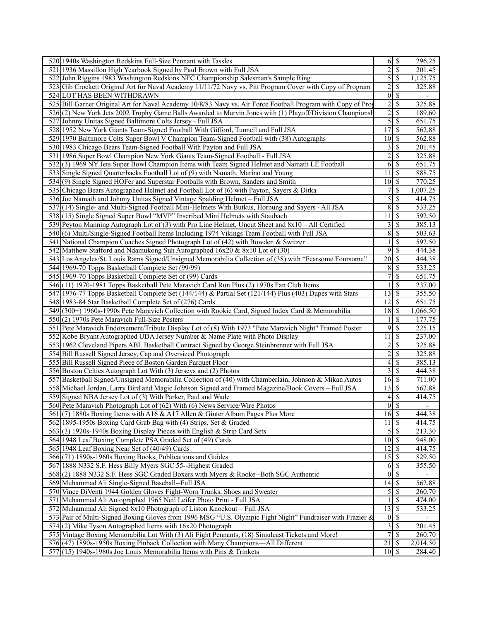| 520 1940s Washington Redskins Full-Size Pennant with Tassles                                                 |                                             | 6S                            | 296.25                   |
|--------------------------------------------------------------------------------------------------------------|---------------------------------------------|-------------------------------|--------------------------|
| 521 1936 Massillon High Yearbook Signed by Paul Brown with Full JSA                                          | $\overline{2}$                              | $\overline{\mathcal{S}}$      | 201.45                   |
| 522 John Riggins 1983 Washington Redskins NFC Championship Salesman's Sample Ring                            |                                             | 5S                            | 1,125.75                 |
| 523 Gib Crockett Original Art for Naval Academy 11/11/72 Navy vs. Pitt Program Cover with Copy of Program    | $\overline{c}$                              | \$                            | 325.88                   |
| 524 LOT HAS BEEN WITHDRAWN                                                                                   | $\overline{0}$                              | \$                            |                          |
| 525 Bill Garner Original Art for Naval Academy 10/8/83 Navy vs. Air Force Football Program with Copy of Prog | $\overline{2}$                              | $\mathcal{S}$                 | 325.88                   |
| 526(2) New York Jets 2002 Trophy Game Balls Awarded to Marvin Jones with (1) Playoff/Division Championsh     | $\overline{2}$                              | $\overline{\mathcal{S}}$      | 189.60                   |
| 527 Johnny Unitas Signed Baltimore Colts Jersey - Full JSA                                                   | 5                                           | $\overline{\mathcal{S}}$      | 651.75                   |
| 528 1952 New York Giants Team-Signed Football With Gifford, Tunnell and Full JSA                             | $\overline{17}$                             | $\sqrt{s}$                    | 562.88                   |
| 529 1970 Baltimore Colts Super Bowl V Champion Team-Signed Football with (38) Autographs                     | $10 \mid$ \$                                |                               | 562.88                   |
| 530 1983 Chicago Bears Team-Signed Football With Payton and Full JSA                                         | 3                                           | \$                            | 201.45                   |
| 531 1986 Super Bowl Champion New York Giants Team-Signed Football - Full JSA                                 | $\overline{c}$                              | $\mathcal{S}$                 | 325.88                   |
| 532(3) 1969 NY Jets Super Bowl Champion Items with Team Signed Helmet and Namath LE Football                 | 6                                           | $\overline{\mathcal{S}}$      | 651.75                   |
| 533 Single Signed Quarterbacks Football Lot of (9) with Namath, Marino and Young                             | 11                                          | $\mathbb{S}$                  | 888.75                   |
| 534(9) Single Signed HOFer and Superstar Footballs with Brown, Sanders and Smith                             | $10 \overline{\smash{)}\,}$                 |                               | 770.25                   |
| 535 Chicago Bears Autographed Helmet and Football Lot of (6) with Payton, Sayers & Ditka                     | 7                                           | \$                            | 1,007.25                 |
| 536 Joe Namath and Johnny Unitas Signed Vintage Spalding Helmet - Full JSA                                   | 5                                           | \$                            | 414.75                   |
|                                                                                                              | $\overline{\bf 8}$                          | $\overline{\mathcal{S}}$      |                          |
| 537 [(14) Single- and Multi-Signed Football Mini-Helmets With Butkus, Hornung and Sayers - All JSA           |                                             |                               | 533.25                   |
| 538 (15) Single Signed Super Bowl "MVP" Inscribed Mini Helmets with Staubach                                 | 11                                          | $\mathcal{S}$                 | 592.50<br>385.13         |
| 539 Peyton Manning Autograph Lot of (3) with Pro Line Helmet, Uncut Sheet and 8x10 – All Certified           | 3                                           | $\mathbb{S}$                  |                          |
| 540(6) Multi/Single-Signed Football Items Including 1974 Vikings Team Football with Full JSA                 | 8                                           | \$                            | 503.63                   |
| 541 National Champion Coaches Signed Photograph Lot of (42) with Bowden & Switzer                            |                                             | \$                            | 592.50                   |
| 542 Matthew Stafford and Ndamukong Suh Autographed 16x20 & 8x10 Lot of (30)                                  | 9                                           | $\overline{\mathcal{S}}$      | 444.38                   |
| 543 Los Angeles/St. Louis Rams Signed/Unsigned Memorabilia Collection of (38) with "Fearsome Foursome"       | $\overline{20}$ \$                          |                               | 444.38                   |
| 544 1969-70 Topps Basketball Complete Set (99/99)                                                            | $8\,$                                       | $\overline{\mathcal{S}}$      | 533.25                   |
| 545 1969-70 Topps Basketball Complete Set of (99) Cards                                                      | $\overline{7}$                              | $\overline{\mathcal{S}}$      | 651.75                   |
| 546 (11) 1970-1981 Topps Basketball Pete Maravich Card Run Plus (2) 1970s Fan Club Items                     |                                             | \$                            | 237.00                   |
| 547 1976-77 Topps Basketball Complete Set (144/144) & Partial Set (121/144) Plus (403) Dupes with Stars      | 13                                          | $\sqrt{S}$                    | 355.50                   |
| 548 1983-84 Star Basketball Complete Set of (276) Cards                                                      | 12                                          | l \$                          | 651.75                   |
| 549 (300+) 1960s-1990s Pete Maravich Collection with Rookie Card, Signed Index Card & Memorabilia            | 18                                          | $\vert$ \$                    | 1,066.50                 |
| 550(2) 1970s Pete Maravich Full-Size Posters                                                                 |                                             | \$                            | 177.75                   |
| 551 Pete Maravich Endorsement/Tribute Display Lot of (8) With 1973 "Pete Maravich Night" Framed Poster       | 9                                           | $\sqrt{s}$                    | 225.15                   |
| 552 Kobe Bryant Autographed UDA Jersey Number & Name Plate with Photo Display                                | 11                                          | \$                            | 237.00                   |
| 553 1962 Cleveland Pipers ABL Basketball Contract Signed by George Steinbrenner with Full JSA                | 2                                           | \$                            | 325.88                   |
| 554 Bill Russell Signed Jersey, Cap and Oversized Photograph                                                 | $\overline{2}$                              | $\mathcal{S}$                 | 325.88                   |
| 555 Bill Russell Signed Piece of Boston Garden Parquet Floor                                                 | $\overline{\mathcal{L}}$                    | \$                            | 385.13                   |
| 556 Boston Celtics Autograph Lot With (3) Jerseys and (2) Photos                                             |                                             | $3\overline{3}$               | 444.38                   |
| 557 Basketball Signed/Unsigned Memorabilia Collection of (40) with Chamberlain, Johnson & Mikan Autos        | $16 \mid$ \$                                |                               | 711.00                   |
| 558 Michael Jordan, Larry Bird and Magic Johnson Signed and Framed Magazine/Book Covers - Full JSA           | $13\overline{3}$                            |                               | 562.88                   |
| 559 Signed NBA Jersey Lot of (3) With Parker, Paul and Wade                                                  | 4                                           | \$                            | 414.75                   |
| 560 Pete Maravich Photograph Lot of (62) With (6) News Service/Wire Photos                                   |                                             | $\overline{0}$ $\overline{s}$ | $\overline{\phantom{a}}$ |
| 561 (7) 1880s Boxing Items with A16 & A17 Allen & Ginter Album Pages Plus More                               | $16$ $\sqrt{s}$                             |                               | 444.38                   |
| 562 1895-1950s Boxing Card Grab Bag with (4) Strips, Set & Graded                                            | $11 \overline{\smash{\big)}\, \, \text{s}}$ |                               | 414.75                   |
| 563(3) 1920s-1940s Boxing Display Pieces with English & Strip Card Sets                                      |                                             | $\sqrt{5}$                    | 213.30                   |
| 564 1948 Leaf Boxing Complete PSA Graded Set of (49) Cards                                                   | $10 \mid$ \$                                |                               | 948.00                   |
| 565 1948 Leaf Boxing Near Set of (40/49) Cards                                                               | $12 \mid$ \$                                |                               | 414.75                   |
|                                                                                                              |                                             |                               |                          |
| 566 (71) 1890s-1960s Boxing Books, Publications and Guides                                                   |                                             |                               | 829.50                   |
| 567 1888 N332 S.F. Hess Billy Myers SGC 55--Highest Graded                                                   |                                             | $6\overline{3}$               | 355.50                   |
| 568(2) 1888 N332 S.F. Hess SGC Graded Boxers with Myers & Rooke--Both SGC Authentic                          |                                             | $0 \mid \mathsf{S}$           |                          |
| 569 Muhammad Ali Single-Signed Baseball--Full JSA                                                            | $14 \overline{\smash{)}\,}$                 |                               | 562.88                   |
| 570 Vince DiVenti 1944 Golden Gloves Fight-Worn Trunks, Shoes and Sweater                                    |                                             | $5\sqrt{5}$                   | 260.70                   |
| 571 Muhammad Ali Autographed 1965 Neil Leifer Photo Print - Full JSA                                         |                                             | \$                            | 474.00                   |
| 572 Muhammad Ali Signed 8x10 Photograph of Liston Knockout - Full JSA                                        | $13 \overline{\smash{)}\, \text{S}}$        |                               | 533.25                   |
| 573 Pair of Multi-Signed Boxing Gloves from 1996 MSG "U.S. Olympic Fight Night" Fundraiser with Frazier &    |                                             | $0\sqrt{s}$                   |                          |
| $574(2)$ Mike Tyson Autographed Items with $16x20$ Photograph                                                | $\overline{\mathbf{3}}$                     | $\mathbb{S}$                  | $\overline{201}.45$      |
| 575 Vintage Boxing Memorabilia Lot With (3) Ali Fight Pennants, (18) Simulcast Tickets and More!             | $\overline{7}$                              | $\overline{\mathcal{S}}$      | 260.70                   |
| 576 (47) 1890s-1950s Boxing Pinback Collection with Many Champions—All Different                             | 21                                          | \$                            | 2,014.50                 |
| $577$ $(15)$ 1940s-1980s Joe Louis Memorabilia Items with Pins & Trinkets                                    | $10 \mid$ \$                                |                               | 284.40                   |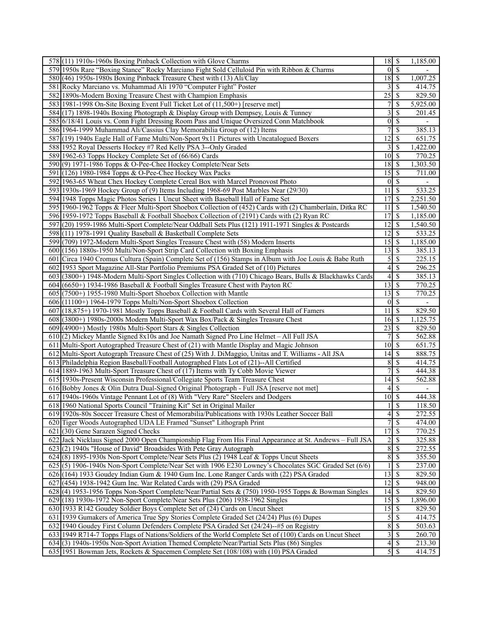| 578(11) 1910s-1960s Boxing Pinback Collection with Glove Charms                                           | $18 \overline{\smash{)}\,5}$    |                                | 1,185.00                 |
|-----------------------------------------------------------------------------------------------------------|---------------------------------|--------------------------------|--------------------------|
| 579 1950s Rare "Boxing Stance" Rocky Marciano Fight Sold Celluloid Pin with Ribbon & Charms               | $\overline{0}$                  | $\sqrt{s}$                     |                          |
| 580 (46) 1950s-1980s Boxing Pinback Treasure Chest with (13) Ali/Clay                                     | 18S                             |                                | 1,007.25                 |
| 581 Rocky Marciano vs. Muhammad Ali 1970 "Computer Fight" Poster                                          | 3                               | -\$                            | 414.75                   |
| 582 1890s-Modern Boxing Treasure Chest with Champion Emphasis                                             | $\overline{25}$                 | -\$                            | 829.50                   |
| 583 1981-1998 On-Site Boxing Event Full Ticket Lot of (11,500+) [reserve met]                             | 7                               | <sup>\$</sup>                  | 5,925.00                 |
| 584 (17) 1898-1940s Boxing Photograph & Display Group with Dempsey, Louis & Tunney                        | 3                               | $\mathcal{S}$                  | 201.45                   |
| 585 6/18/41 Louis vs. Conn Fight Dressing Room Pass and Unique Oversized Conn Matchbook                   | $\overline{0}$                  | $\overline{\mathcal{S}}$       |                          |
| 586 1964-1999 Muhammad Ali/Cassius Clay Memorabilia Group of (12) Items                                   | 7                               | $\overline{\mathcal{S}}$       | 385.13                   |
| 587 (19) 1940s Eagle Hall of Fame Multi/Non-Sport 9x11 Pictures with Uncatalogued Boxers                  | 12                              | $\mathcal{S}$                  | 651.75                   |
| 588 1952 Royal Desserts Hockey #7 Red Kelly PSA 3--Only Graded                                            | 3                               | $\overline{\mathcal{S}}$       | 1,422.00                 |
| 589 1962-63 Topps Hockey Complete Set of (66/66) Cards                                                    | $\overline{10}$ \$              |                                | 770.25                   |
| 590(9) 1971-1986 Topps & O-Pee-Chee Hockey Complete/Near Sets                                             | 18                              | \$                             | 1,303.50                 |
| 591 (126) 1980-1984 Topps & O-Pee-Chee Hockey Wax Packs                                                   | $15\overline{\smash{)}\,}$      |                                | 711.00                   |
| 592 1963-65 Wheat Chex Hockey Complete Cereal Box with Marcel Pronovost Photo                             | $\overline{0}$                  | $\sqrt{s}$                     |                          |
| 593 1930s-1969 Hockey Group of (9) Items Including 1968-69 Post Marbles Near (29/30)                      | 11                              | $\sqrt{S}$                     | 533.25                   |
|                                                                                                           | $\overline{17}$                 | $\overline{\mathcal{S}}$       |                          |
| 594 1948 Topps Magic Photos Series 1 Uncut Sheet with Baseball Hall of Fame Set                           |                                 |                                | 2,251.50                 |
| 595 1960-1962 Topps & Fleer Multi-Sport Shoebox Collection of (452) Cards with (2) Chamberlain, Ditka RC  | 11                              | \$                             | 1,540.50                 |
| 596 1959-1972 Topps Baseball & Football Shoebox Collection of (2191) Cards with (2) Ryan RC               | $\overline{17}$                 | $\sqrt{s}$                     | 1,185.00                 |
| 597 (20) 1959-1986 Multi-Sport Complete/Near Oddball Sets Plus (121) 1911-1971 Singles & Postcards        | $\overline{12}$                 | $\sqrt{s}$                     | 1,540.50                 |
| 598(11) 1978-1991 Quality Baseball & Basketball Complete Sets                                             | 12                              | $\sqrt{s}$                     | 533.25                   |
| 599 (709) 1972-Modern Multi-Sport Singles Treasure Chest with (58) Modern Inserts                         | 15                              | $\sqrt{s}$                     | 1,185.00                 |
| 600 (156) 1880s-1950 Multi/Non-Sport Strip Card Collection with Boxing Emphasis                           | $13 \mid$ \$                    |                                | 385.13                   |
| 601 Circa 1940 Cromus Cultura (Spain) Complete Set of (156) Stamps in Album with Joe Louis & Babe Ruth    | 5                               | $\vert$ \$                     | 225.15                   |
| 602 1953 Sport Magazine All-Star Portfolio Premiums PSA Graded Set of (10) Pictures                       | 4                               | $\overline{\mathcal{S}}$       | 296.25                   |
| 603 (3800+) 1948-Modern Multi-Sport Singles Collection with (710) Chicago Bears, Bulls & Blackhawks Cards |                                 | $4\sqrt{3}$                    | 385.13                   |
| 604 (6650+) 1934-1986 Baseball & Football Singles Treasure Chest with Payton RC                           | $\overline{13}$ $\overline{\$}$ |                                | 770.25                   |
| 605 (7500+) 1955-1980 Multi-Sport Shoebox Collection with Mantle                                          |                                 |                                | 770.25                   |
| 606(11100+) 1964-1979 Topps Multi/Non-Sport Shoebox Collection                                            | $\overline{0}$                  | \$                             | $\overline{\phantom{0}}$ |
| $607$ (18,875+) 1970-1981 Mostly Topps Baseball & Football Cards with Several Hall of Famers              | 11                              | $\sqrt{s}$                     | 829.50                   |
| 608 (3800+) 1980s-2000s Modern Multi-Sport Wax Box/Pack & Singles Treasure Chest                          | $16 \mid$ \$                    |                                | 1,125.75                 |
| 609 (4900+) Mostly 1980s Multi-Sport Stars & Singles Collection                                           | $23 \mid$ \$                    |                                | 829.50                   |
| $610(2)$ Mickey Mantle Signed 8x10s and Joe Namath Signed Pro Line Helmet – All Full JSA                  |                                 | <sup>\$</sup>                  | 562.88                   |
| 611 Multi-Sport Autographed Treasure Chest of (21) with Mantle Display and Magic Johnson                  | 10                              | \$                             | 651.75                   |
| 612 Multi-Sport Autograph Treasure Chest of (25) With J. DiMaggio, Unitas and T. Williams - All JSA       | 14                              | $\sqrt{S}$                     | 888.75                   |
| 613 Philadelphia Region Baseball/Football Autographed Flats Lot of (21)--All Certified                    | $\,$ 8 $\,$                     | $\overline{\mathcal{S}}$       | 414.75                   |
| 614 1889-1963 Multi-Sport Treasure Chest of (17) Items with Ty Cobb Movie Viewer                          | 7                               | $\overline{\mathcal{S}}$       | 444.38                   |
| 615 1930s-Present Wisconsin Professional/Collegiate Sports Team Treasure Chest                            | $\overline{14}$ \$              |                                | 562.88                   |
| 616 Bobby Jones & Olin Dutra Dual-Signed Original Photograph - Full JSA [reserve not met]                 | 4                               | -\$                            |                          |
| 617 1940s-1960s Vintage Pennant Lot of (8) With "Very Rare" Steelers and Dodgers                          | 10                              | $\mathcal{S}$                  | 444.38                   |
| 618 1960 National Sports Council "Training Kit" Set in Original Mailer                                    | $\mathbf{1}$                    | $\overline{\mathcal{S}}$       | 118.50                   |
| 619 1920s-80s Soccer Treasure Chest of Memorabilia/Publications with 1930s Leather Soccer Ball            |                                 | 4S                             | 272.55                   |
| 620 Tiger Woods Autographed UDA LE Framed "Sunset" Lithograph Print                                       | 7                               | $\overline{\mathcal{S}}$       | 474.00                   |
| 621 (30) Gene Sarazen Signed Checks                                                                       | $\overline{17}$ \$              |                                | 770.25                   |
| 622 Jack Nicklaus Signed 2000 Open Championship Flag From His Final Appearance at St. Andrews - Full JSA  |                                 | $2$ $\sqrt{ }$                 | 325.88                   |
| $623(2)$ 1940s "House of David" Broadsides With Pete Gray Autograph                                       | $\,$ 8 $\,$                     |                                |                          |
|                                                                                                           | $\overline{\bf 8}$              | \$                             | 272.55                   |
| 624 (8) 1895-1930s Non-Sport Complete/Near Sets Plus (2) 1948 Leaf & Topps Uncut Sheets                   |                                 | $\mathcal{S}$                  | 355.50                   |
| 625(5) 1906-1940s Non-Sport Complete/Near Set with 1906 E230 Lowney's Chocolates SGC Graded Set (6/6)     |                                 | $\mathcal{S}$                  | 237.00                   |
| 626 (164) 1933 Goudey Indian Gum & 1940 Gum Inc. Lone Ranger Cards with (22) PSA Graded                   | $\overline{13}$                 | $\sqrt{s}$                     | 829.50                   |
| 627 (454) 1938-1942 Gum Inc. War Related Cards with (29) PSA Graded                                       | 12                              | \$                             | 948.00                   |
| 628(4) 1953-1956 Topps Non-Sport Complete/Near/Partial Sets & (750) 1950-1955 Topps & Bowman Singles      |                                 |                                | 829.50                   |
| 629(18) 1930s-1972 Non-Sport Complete/Near Sets Plus (206) 1938-1962 Singles                              | 15                              | \$                             | 1,896.00                 |
| 630 1933 R142 Goudey Soldier Boys Complete Set of (24) Cards on Uncut Sheet                               | 15                              | \$                             | 829.50                   |
| 631 1939 Gumakers of America True Spy Stories Complete Graded Set (24/24) Plus (6) Dupes                  | 5                               | $\overline{\mathcal{S}}$       | 414.75                   |
| 632 1940 Goudey First Column Defenders Complete PSA Graded Set (24/24)--#5 on Registry                    | 8                               | $\overline{\mathcal{S}}$       | 503.63                   |
| 633 1949 R714-7 Topps Flags of Nations/Soldiers of the World Complete Set of (100) Cards on Uncut Sheet   | 3                               | $\sqrt{s}$                     | 260.70                   |
| 634(3) 1940s-1950s Non-Sport Aviation Themed Complete/Near/Partial Sets Plus (86) Singles                 |                                 |                                | 213.30                   |
| 635 1951 Bowman Jets, Rockets & Spacemen Complete Set (108/108) with (10) PSA Graded                      |                                 | $\overline{5}$ $\overline{\$}$ | 414.75                   |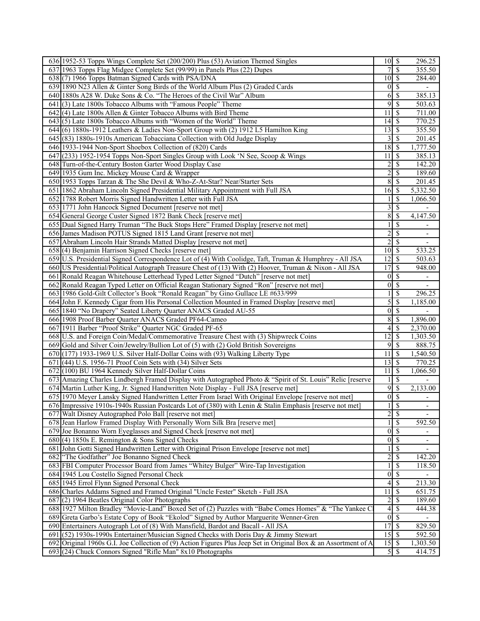| 636 1952-53 Topps Wings Complete Set (200/200) Plus (53) Aviation Themed Singles                                | $10 \mid S$        |                          | 296.25                   |
|-----------------------------------------------------------------------------------------------------------------|--------------------|--------------------------|--------------------------|
| 637 1963 Topps Flag Midgee Complete Set (99/99) in Panels Plus (22) Dupes                                       | 7                  | $\sqrt{s}$               | 355.50                   |
| 638(7) 1966 Topps Batman Signed Cards with PSA/DNA                                                              | $10 \mid S$        |                          | 284.40                   |
| 639 1890 N23 Allen & Ginter Song Birds of the World Album Plus (2) Graded Cards                                 | $\overline{0}$     | \$                       | $\overline{\phantom{a}}$ |
| 640 1880s A28 W. Duke Sons & Co. "The Heroes of the Civil War" Album                                            | 6                  | $\mathcal{S}$            | 385.13                   |
| $641(3)$ Late 1800s Tobacco Albums with "Famous People" Theme                                                   | 9                  | -\$                      | 503.63                   |
| $642$ (4) Late 1800s Allen & Ginter Tobacco Albums with Bird Theme                                              | 11                 | -\$                      | $\overline{711.00}$      |
| $643(5)$ Late 1800s Tobacco Albums with "Women of the World" Theme                                              |                    |                          | 770.25                   |
| 644 (6) 1880s-1912 Leathers & Ladies Non-Sport Group with (2) 1912 L5 Hamilton King                             | 13                 | \$                       | 355.50                   |
| 645 (83) 1880s-1910s American Tobacciana Collection with Old Judge Display                                      | 3                  | -\$                      | 201.45                   |
| 646 1933-1944 Non-Sport Shoebox Collection of (820) Cards                                                       | 18                 | \$                       | 1,777.50                 |
| 647 (233) 1952-1954 Topps Non-Sport Singles Group with Look 'N See, Scoop & Wings                               | 11                 | \$                       | 385.13                   |
| 648 Turn-of-the-Century Boston Garter Wood Display Case                                                         | 2                  | $\overline{\mathcal{S}}$ | 142.20                   |
| 649 1935 Gum Inc. Mickey Mouse Card & Wrapper                                                                   | $\overline{c}$     | $\mathcal{S}$            | 189.60                   |
| 650 1953 Topps Tarzan & The She Devil & Who-Z-At-Star? Near/Starter Sets                                        | 8                  | $\mathcal{S}$            | 201.45                   |
| 651 1862 Abraham Lincoln Signed Presidential Military Appointment with Full JSA                                 |                    |                          | 5,332.50                 |
| 652 1788 Robert Morris Signed Handwritten Letter with Full JSA                                                  |                    | \$                       | 1,066.50                 |
| 653 1771 John Hancock Signed Document [reserve not met]                                                         | 3                  | - \$                     |                          |
| 654 General George Custer Signed 1872 Bank Check [reserve met]                                                  | 8                  | \$                       | 4,147.50                 |
| 655 Dual Signed Harry Truman "The Buck Stops Here" Framed Display [reserve not met]                             |                    | $\mathbb{S}$             |                          |
| 656 James Madison POTUS Signed 1815 Land Grant [reserve not met]                                                | $\overline{c}$     | $\mathcal{S}$            | $\overline{\phantom{a}}$ |
| 657 Abraham Lincoln Hair Strands Matted Display [reserve not met]                                               | 2                  | $\mathbb{S}$             | $\overline{\phantom{a}}$ |
| 658(4) Benjamin Harrison Signed Checks [reserve met]                                                            | $10 \mid S$        |                          | 533.25                   |
| 659 U.S. Presidential Signed Correspondence Lot of (4) With Coolidge, Taft, Truman & Humphrey - All JSA         | 12                 | \$                       | 503.63                   |
| 660 US Presidential/Political Autograph Treasure Chest of (13) With (2) Hoover, Truman & Nixon - All JSA        | 17                 | $\overline{\mathcal{S}}$ | 948.00                   |
| 661 Ronald Reagan Whitehouse Letterhead Typed Letter Signed "Dutch" [reserve not met]                           | $\overline{0}$     | $\overline{\mathcal{S}}$ |                          |
| 662 Ronald Reagan Typed Letter on Official Reagan Stationary Signed "Ron" [reserve not met]                     | 0                  | $\mathcal{S}$            | $\blacksquare$           |
| 663 1986 Gold-Gilt Collector's Book "Ronald Reagan" by Gino Gullace LE #633/999                                 |                    | \$                       | 296.25                   |
| 664 John F. Kennedy Cigar from His Personal Collection Mounted in Framed Display [reserve met]                  | 5                  | <sup>\$</sup>            | 1,185.00                 |
| 665 1840 "No Drapery" Seated Liberty Quarter ANACS Graded AU-55                                                 |                    | $0\vert S$               | $\blacksquare$           |
| 666 1908 Proof Barber Quarter ANACS Graded PF64-Cameo                                                           | $\overline{8}$     | $\mathcal{S}$            | 1,896.00                 |
| 667 1911 Barber "Proof Strike" Quarter NGC Graded PF-65                                                         | 4                  | $\overline{\mathbf{s}}$  | 2,370.00                 |
| 668 U.S. and Foreign Coin/Medal/Commemorative Treasure Chest with (3) Shipwreck Coins                           | 12                 | -\$                      | 1,303.50                 |
| 669 Gold and Silver Coin/Jewelry/Bullion Lot of (5) with (2) Gold British Sovereigns                            | 9                  | $\mathbb{S}$             | 888.75                   |
| $670$ $(177)$ 1933-1969 U.S. Silver Half-Dollar Coins with (93) Walking Liberty Type                            | 11                 | $\sqrt{S}$               | 1,540.50                 |
| $671$ (44) U.S. 1956-71 Proof Coin Sets with (34) Silver Sets                                                   | $\overline{1}3$ \$ |                          | 770.25                   |
| 672 (100) BU 1964 Kennedy Silver Half-Dollar Coins                                                              | 11                 | -\$                      | 1,066.50                 |
| 673 Amazing Charles Lindbergh Framed Display with Autographed Photo & "Spirit of St. Louis" Relic [reserve      | 1                  | $\overline{\mathcal{S}}$ |                          |
| 674 Martin Luther King, Jr. Signed Handwritten Note Display - Full JSA [reserve met]                            | 9                  | \$                       | 2,133.00                 |
| 675 1970 Meyer Lansky Signed Handwritten Letter From Israel With Original Envelope [reserve not met]            | $\overline{0}$     | <sup>\$</sup>            |                          |
| 676 Impressive 1910s-1940s Russian Postcards Lot of (380) with Lenin & Stalin Emphasis [reserve not met]        | $\mathbf{1}$       | $\sqrt{s}$               | $\overline{\phantom{0}}$ |
| 677 Walt Disney Autographed Polo Ball [reserve not met]                                                         | $\overline{2}$     | $\sqrt{s}$               |                          |
| 678 Jean Harlow Framed Display With Personally Worn Silk Bra [reserve met]                                      |                    | $\overline{\mathcal{S}}$ | 592.50                   |
| 679 Joe Bonanno Worn Eyeglasses and Signed Check [reserve not met]                                              |                    | $0\sqrt{s}$              |                          |
| $680(4)$ 1850s E. Remington & Sons Signed Checks                                                                | $\boldsymbol{0}$   | $\sqrt{s}$               | $\overline{\phantom{a}}$ |
| 681 John Gotti Signed Handwritten Letter with Original Prison Envelope [reserve not met]                        |                    | $\mathbb{S}$             | $\overline{\phantom{a}}$ |
| 682 The Godfather" Joe Bonanno Signed Check                                                                     | $\overline{c}$     | $\overline{\mathcal{S}}$ | 142.20                   |
| 683 FBI Computer Processor Board from James "Whitey Bulger" Wire-Tap Investigation                              |                    | $\overline{\mathcal{S}}$ |                          |
| 684 1945 Lou Costello Signed Personal Check                                                                     | $\boldsymbol{0}$   | $\sqrt{s}$               | 118.50                   |
| 685 1945 Errol Flynn Signed Personal Check                                                                      | 4                  | $\sqrt{s}$               | $\overline{213.30}$      |
| 686 Charles Addams Signed and Framed Original "Uncle Fester" Sketch - Full JSA                                  |                    | $\sqrt{s}$               |                          |
| 687(2) 1964 Beatles Original Color Photographs                                                                  | 11                 | $2 \mid$ \$              | 651.75<br>189.60         |
| 688 1927 Milton Bradley "Movie-Land" Boxed Set of (2) Puzzles with "Babe Comes Homes" & "The Yankee C           |                    | 4S                       | 444.38                   |
|                                                                                                                 |                    | $0\sqrt{s}$              |                          |
| 689 Greta Garbo's Estate Copy of Book "Ekolod" Signed by Author Marguerite Wenner-Gren                          | 17S                |                          | $\overline{829}.50$      |
| 690 Entertainers Autograph Lot of (8) With Mansfield, Bardot and Bacall - All JSA                               |                    |                          |                          |
| $691(52)$ 1930s-1990s Entertainer/Musician Signed Checks with Doris Day & Jimmy Stewart                         |                    |                          | 592.50                   |
| 692 Original 1960s G.I. Joe Collection of (9) Action Figures Plus Jeep Set in Original Box & an Assortment of A |                    |                          | 1,303.50                 |
| 693 (24) Chuck Connors Signed "Rifle Man" 8x10 Photographs                                                      |                    |                          | 414.75                   |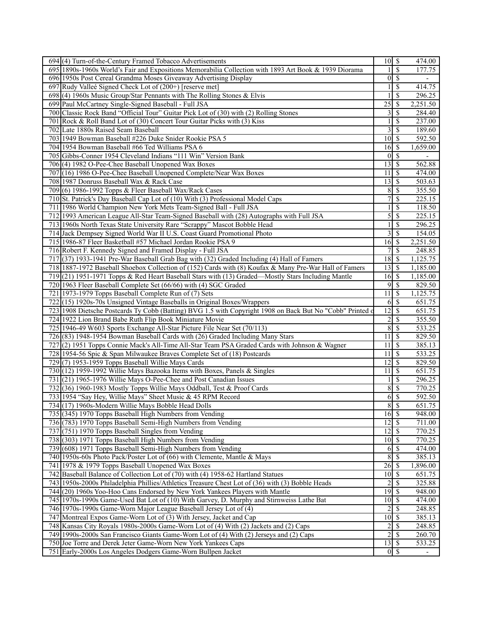| 694 (4) Turn-of-the-Century Framed Tobacco Advertisements                                                                               | $10 \overline{\smash{)}\,}$       |                          | 474.00         |
|-----------------------------------------------------------------------------------------------------------------------------------------|-----------------------------------|--------------------------|----------------|
| 695 1890s-1960s World's Fair and Expositions Memorabilia Collection with 1893 Art Book & 1939 Diorama                                   |                                   | \$                       | 177.75         |
| 696 1950s Post Cereal Grandma Moses Giveaway Advertising Display                                                                        |                                   | $0\vert\$                | $\blacksquare$ |
| 697 Rudy Valleé Signed Check Lot of (200+) [reserve met]                                                                                |                                   | \$                       | 414.75         |
| 698(4) 1960s Music Group/Star Pennants with The Rolling Stones & Elvis                                                                  |                                   | \$                       | 296.25         |
| 699 Paul McCartney Single-Signed Baseball - Full JSA                                                                                    | $\overline{25}$                   | \$                       | 2,251.50       |
| 700 Classic Rock Band "Official Tour" Guitar Pick Lot of (30) with (2) Rolling Stones                                                   | 3                                 | \$                       | 284.40         |
| 701 Rock & Roll Band Lot of (30) Concert Tour Guitar Picks with (3) Kiss                                                                |                                   | \$                       | 237.00         |
| 702 Late 1880s Raised Seam Baseball                                                                                                     | 3                                 | $\overline{\mathcal{S}}$ | 189.60         |
| 703 1949 Bowman Baseball #226 Duke Snider Rookie PSA 5                                                                                  | $10 \mid$ \$                      |                          | 592.50         |
| 704 1954 Bowman Baseball #66 Ted Williams PSA 6                                                                                         | $16 \mid$ \$                      |                          | 1,659.00       |
| 705 Gibbs-Conner 1954 Cleveland Indians "111 Win" Version Bank                                                                          |                                   | $0\vert S$               |                |
| 706(4) 1982 O-Pee-Chee Baseball Unopened Wax Boxes                                                                                      |                                   |                          | 562.88         |
| 707 (16) 1986 O-Pee-Chee Baseball Unopened Complete/Near Wax Boxes                                                                      | 11                                | $\sqrt{s}$               | 474.00         |
| 708 1987 Donruss Baseball Wax & Rack Case                                                                                               | $13 \overline{\smash{)}\,}$       |                          | 503.63         |
| 709 (6) 1986-1992 Topps & Fleer Baseball Wax/Rack Cases                                                                                 | 8                                 | <sup>\$</sup>            | 355.50         |
| 710 St. Patrick's Day Baseball Cap Lot of (10) With (3) Professional Model Caps                                                         | 7                                 | <sup>\$</sup>            | 225.15         |
| 711 1986 World Champion New York Mets Team-Signed Ball - Full JSA                                                                       |                                   | <sup>\$</sup>            | 118.50         |
| 712 1993 American League All-Star Team-Signed Baseball with (28) Autographs with Full JSA                                               | 5                                 | $\mathcal{S}$            | 225.15         |
| 713 1960s North Texas State University Rare "Scrappy" Mascot Bobble Head                                                                |                                   | $\overline{\mathcal{S}}$ | 296.25         |
|                                                                                                                                         | 3                                 | $\sqrt{S}$               | 154.05         |
| 714 Jack Dempsey Signed World War II U.S. Coast Guard Promotional Photo<br>715 1986-87 Fleer Basketball #57 Michael Jordan Rookie PSA 9 |                                   |                          |                |
|                                                                                                                                         | $16$ \$<br>$\overline{7}$         |                          | 2,251.50       |
| 716 Robert F. Kennedy Signed and Framed Display - Full JSA                                                                              |                                   | \$                       | 248.85         |
| 717 (37) 1933-1941 Pre-War Baseball Grab Bag with (32) Graded Including (4) Hall of Famers                                              | 18S                               |                          | 1,125.75       |
| 718 1887-1972 Baseball Shoebox Collection of (152) Cards with (8) Koufax & Many Pre-War Hall of Famers                                  | $\overline{13}$ $\overline{S}$    |                          | 1,185.00       |
| 719(21) 1951-1971 Topps & Red Heart Baseball Stars with (13) Graded—Mostly Stars Including Mantle                                       | $16 \overline{\smash{)}\,}$       |                          | 1,185.00       |
| 720 1963 Fleer Baseball Complete Set (66/66) with (4) SGC Graded                                                                        |                                   | $9$ \ $\frac{1}{2}$      | 829.50         |
| 721 1973-1979 Topps Baseball Complete Run of (7) Sets                                                                                   | 11                                | \$                       | 1,125.75       |
| 722(15) 1920s-70s Unsigned Vintage Baseballs in Original Boxes/Wrappers                                                                 | 6                                 | l \$                     | 651.75         |
| 723 1908 Dietsche Postcards Ty Cobb (Batting) BVG 1.5 with Copyright 1908 on Back But No "Cobb" Printed of                              | $\overline{12}$ \$                |                          | 651.75         |
| 724 1922 Lion Brand Babe Ruth Flip Book Miniature Movie                                                                                 | $\overline{c}$                    | $\overline{\mathcal{S}}$ | 355.50         |
| 725 1946-49 W603 Sports Exchange All-Star Picture File Near Set (70/113)                                                                |                                   | 8s                       | 533.25         |
| 726 (83) 1948-1954 Bowman Baseball Cards with (26) Graded Including Many Stars                                                          | 11                                | $\overline{\mathcal{S}}$ | 829.50         |
| 727 (2) 1951 Topps Connie Mack's All-Time All-Star Team PSA Graded Cards with Johnson & Wagner                                          | 11                                | l \$                     | 385.13         |
| 728 1954-56 Spic & Span Milwaukee Braves Complete Set of (18) Postcards                                                                 | 11                                | l \$                     | 533.25         |
| 729(7) 1953-1959 Topps Baseball Willie Mays Cards                                                                                       | $\overline{12}$ \$                |                          | 829.50         |
| 730 (12) 1959-1992 Willie Mays Bazooka Items with Boxes, Panels & Singles                                                               | $11 \mid S$                       |                          | 651.75         |
| 731 (21) 1965-1976 Willie Mays O-Pee-Chee and Post Canadian Issues                                                                      |                                   | $\overline{\mathcal{S}}$ | 296.25         |
| 732(36) 1960-1983 Mostly Topps Willie Mays Oddball, Test & Proof Cards                                                                  | 8                                 | $\mathcal{S}$            | 770.25         |
| 733 1954 "Say Hey, Willie Mays" Sheet Music & 45 RPM Record                                                                             | 6                                 | \$                       | 592.50         |
| 734 (17) 1960s-Modern Willie Mays Bobble Head Dolls                                                                                     |                                   | 85                       | 651.75         |
| 735 (345) 1970 Topps Baseball High Numbers from Vending                                                                                 | $16 \overline{\smash{)}\,}$       |                          | 948.00         |
| 736 (783) 1970 Topps Baseball Semi-High Numbers from Vending                                                                            | $\overline{12}$ \ $\overline{\$}$ |                          | 711.00         |
| 737 (751) 1970 Topps Baseball Singles from Vending                                                                                      |                                   |                          | 770.25         |
| 738 (303) 1971 Topps Baseball High Numbers from Vending                                                                                 | $10 \mid$ \$                      |                          | 770.25         |
| 739 (608) 1971 Topps Baseball Semi-High Numbers from Vending                                                                            | 6                                 | S                        | 474.00         |
| 740 1950s-60s Photo Pack/Poster Lot of (66) with Clemente, Mantle & Mays                                                                | $\overline{8}$                    | l \$                     | 385.13         |
| 741 1978 & 1979 Topps Baseball Unopened Wax Boxes                                                                                       | $26 \overline{\smash{\big)}\,}$   |                          | 1,896.00       |
| 742 Baseball Balance of Collection Lot of (70) with (4) 1958-62 Hartland Statues                                                        | $10 \vert S$                      |                          | 651.75         |
| 743 1950s-2000s Philadelphia Phillies/Athletics Treasure Chest Lot of (36) with (3) Bobble Heads                                        | $\overline{c}$                    | $\overline{\mathcal{S}}$ | 325.88         |
| 744 (20) 1960s Yoo-Hoo Cans Endorsed by New York Yankees Players with Mantle                                                            | $\overline{19}$ \$                |                          | 948.00         |
| 745 1970s-1990s Game-Used Bat Lot of (10) With Garvey, D. Murphy and Stirnweiss Lathe Bat                                               | $10 \mid$ \$                      |                          | 474.00         |
| 746 1970s-1990s Game-Worn Major League Baseball Jersey Lot of (4)                                                                       | 2                                 | S                        | 248.85         |
| 747 Montreal Expos Game-Worn Lot of (3) With Jersey, Jacket and Cap                                                                     | $10 \overline{\smash{)}\,}$       |                          | 385.13         |
| 748 Kansas City Royals 1980s-2000s Game-Worn Lot of (4) With (2) Jackets and (2) Caps                                                   |                                   | $\overline{\mathcal{S}}$ | 248.85         |
|                                                                                                                                         |                                   |                          |                |
|                                                                                                                                         | $\overline{2}$                    |                          |                |
| 749 1990s-2000s San Francisco Giants Game-Worn Lot of (4) With (2) Jerseys and (2) Caps                                                 | $\overline{c}$                    | $\overline{\mathcal{S}}$ | 260.70         |
| 750 Joe Torre and Derek Jeter Game-Worn New York Yankees Caps<br>751 Early-2000s Los Angeles Dodgers Game-Worn Bullpen Jacket           | $13 \mid$ \$                      | $0 \mid S$               | 533.25         |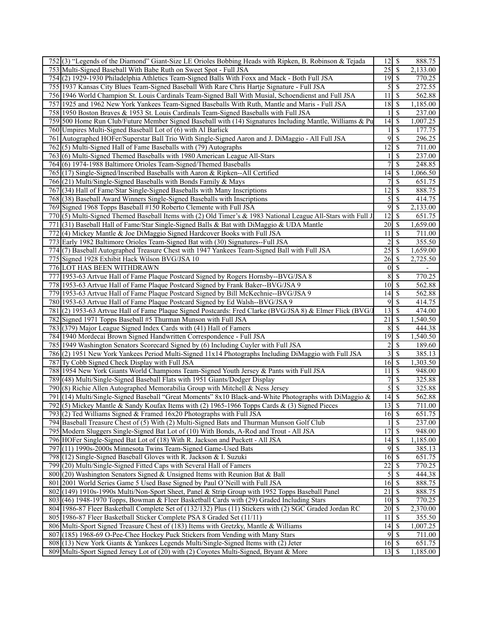| 752(3) "Legends of the Diamond" Giant-Size LE Orioles Bobbing Heads with Ripken, B. Robinson & Tejada                                                                         | $\overline{12}$ \$              |                                    | 888.75             |
|-------------------------------------------------------------------------------------------------------------------------------------------------------------------------------|---------------------------------|------------------------------------|--------------------|
| 753 Multi-Signed Baseball With Babe Ruth on Sweet Spot - Full JSA                                                                                                             | 25                              | \$                                 | 2,133.00           |
| 754 (2) 1929-1930 Philadelphia Athletics Team-Signed Balls With Foxx and Mack - Both Full JSA                                                                                 | $19$ \$                         |                                    | 770.25             |
| 755 1937 Kansas City Blues Team-Signed Baseball With Rare Chris Hartje Signature - Full JSA                                                                                   | 5                               | \$                                 | 272.55             |
| 756 1946 World Champion St. Louis Cardinals Team-Signed Ball With Musial, Schoendienst and Full JSA                                                                           | 11                              | \$                                 | 562.88             |
| 757 1925 and 1962 New York Yankees Team-Signed Baseballs With Ruth, Mantle and Maris - Full JSA                                                                               | 18                              | \$                                 | 1,185.00           |
| 758 1950 Boston Braves & 1953 St. Louis Cardinals Team-Signed Baseballs with Full JSA                                                                                         |                                 | $\overline{\mathcal{S}}$           | 237.00             |
|                                                                                                                                                                               | 14                              | $\mathbb{S}$                       |                    |
| 759 500 Home Run Club/Future Member Signed Baseball with (14) Signatures Including Mantle, Williams & Pu                                                                      |                                 |                                    | 1,007.25           |
| 760 Umpires Multi-Signed Baseball Lot of (6) with Al Barlick                                                                                                                  |                                 | \$                                 | 177.75             |
| Autographed HOFer/Superstar Ball Trio With Single-Signed Aaron and J. DiMaggio - All Full JSA<br>761                                                                          | 9                               | \$                                 | 296.25             |
| 762(5) Multi-Signed Hall of Fame Baseballs with (79) Autographs                                                                                                               | 12                              | \$                                 | 711.00             |
| 763(6) Multi-Signed Themed Baseballs with 1980 American League All-Stars                                                                                                      |                                 | \$                                 | 237.00             |
| 764(6) 1974-1988 Baltimore Orioles Team-Signed/Themed Baseballs                                                                                                               | 7                               | \$                                 | 248.85             |
| 765(17) Single-Signed/Inscribed Baseballs with Aaron & Ripken--All Certified                                                                                                  | 14S                             |                                    | 1,066.50           |
| 766 (21) Multi/Single-Signed Baseballs with Bonds Family & Mays                                                                                                               | 7                               | \$                                 | 651.75             |
| (34) Hall of Fame/Star Single-Signed Baseballs with Many Inscriptions<br>7671                                                                                                 | 12 <sup>1</sup>                 | \$                                 | 888.75             |
| 768 (38) Baseball Award Winners Single-Signed Baseballs with Inscriptions                                                                                                     | $\overline{5}$                  | \$                                 | 414.75             |
| 769 Signed 1968 Topps Baseball #150 Roberto Clemente with Full JSA                                                                                                            | 9                               | \$                                 | 2,133.00           |
| 770(5) Multi-Signed Themed Baseball Items with (2) Old Timer's & 1983 National League All-Stars with Full J                                                                   | $\overline{12}$ \$              |                                    | 651.75             |
| 771 (31) Baseball Hall of Fame/Star Single-Signed Balls & Bat with DiMaggio & UDA Mantle                                                                                      | $20 \mid S$                     |                                    | 1,659.00           |
| 772 (4) Mickey Mantle & Joe DiMaggio Signed Hardcover Books with Full JSA                                                                                                     | 11                              | <sup>\$</sup>                      | 711.00             |
| 773 Early 1982 Baltimore Orioles Team-Signed Bat with (30) Signatures--Full JSA                                                                                               |                                 |                                    | 355.50             |
|                                                                                                                                                                               | $2\vert$<br>$\overline{25}$ \$  | \$                                 |                    |
| 774 (7) Baseball Autographed Treasure Chest with 1947 Yankees Team-Signed Ball with Full JSA                                                                                  |                                 |                                    | 1,659.00           |
| 775 Signed 1928 Exhibit Hack Wilson BVG/JSA 10                                                                                                                                | $26 \mid$ \$                    |                                    | 2,725.50           |
| 776 LOT HAS BEEN WITHDRAWN                                                                                                                                                    |                                 | $0 \mid \mathsf{S}$                |                    |
| 777 1953-63 Artvue Hall of Fame Plaque Postcard Signed by Rogers Hornsby--BVG/JSA 8                                                                                           | 8S                              |                                    | 770.25             |
| 778 1953-63 Artvue Hall of Fame Plaque Postcard Signed by Frank Baker--BVG/JSA 9                                                                                              | $10 \mid S$                     |                                    | 562.88             |
| 779 1953-63 Artvue Hall of Fame Plaque Postcard Signed by Bill McKechnie--BVG/JSA 9                                                                                           | 14                              | \$                                 | 562.88             |
| 780 1953-63 Artvue Hall of Fame Plaque Postcard Signed by Ed Walsh--BVG/JSA 9                                                                                                 | 9                               | <sup>\$</sup>                      | 414.75             |
| 781 (2) 1953-63 Artvue Hall of Fame Plaque Signed Postcards: Fred Clarke (BVG/JSA 8) & Elmer Flick (BVG/                                                                      | $\overline{13}$ $\overline{\$}$ |                                    | 474.00             |
| 782 Signed 1971 Topps Baseball #5 Thurman Munson with Full JSA                                                                                                                | 21                              | <sup>\$</sup>                      | 1,540.50           |
| 783 (379) Major League Signed Index Cards with (41) Hall of Famers                                                                                                            | $8\sqrt{5}$                     |                                    | 444.38             |
| 784 1940 Mordecai Brown Signed Handwritten Correspondence - Full JSA                                                                                                          | 19                              | \$                                 | 1,540.50           |
| 785 1949 Washington Senators Scorecard Signed by (6) Including Cuyler with Full JSA                                                                                           | $\frac{2}{ }$                   | \$                                 | 189.60             |
| 786(2) 1951 New York Yankees Period Multi-Signed 11x14 Photographs Including DiMaggio with Full JSA                                                                           |                                 | $3 \overline{\smash{)}\, \text{}}$ | 385.13             |
| 787 Ty Cobb Signed Check Display with Full JSA                                                                                                                                | 16S                             |                                    | 1,303.50           |
| 788 1954 New York Giants World Champions Team-Signed Youth Jersey & Pants with Full JSA                                                                                       | 11S                             |                                    | 948.00             |
| 789(48) Multi/Single-Signed Baseball Flats with 1951 Giants/Dodger Display                                                                                                    | 7 <sup>1</sup>                  | \$                                 | 325.88             |
|                                                                                                                                                                               | $\overline{5}$                  |                                    | 325.88             |
| $(8)$ Richie Allen Autographed Memorabilia Group with Mitchell & Ness Jersey<br>790                                                                                           |                                 | \$                                 |                    |
| 791 (14) Multi/Single-Signed Baseball "Great Moments" 8x10 Black-and-White Photographs with DiMaggio &                                                                        | 14                              | \$                                 | 562.88             |
| 792(5) Mickey Mantle & Sandy Koufax Items with (2) 1965-1966 Topps Cards $\&$ (3) Signed Pieces                                                                               | $\overline{13}$ $\overline{\$}$ |                                    | 711.00             |
| 793(2) Ted Williams Signed & Framed 16x20 Photographs with Full JSA                                                                                                           | $16 \mid$ \$                    |                                    | 651.75             |
| 794 Baseball Treasure Chest of (5) With (2) Multi-Signed Bats and Thurman Munson Golf Club                                                                                    |                                 | $\overline{\mathcal{S}}$           | 237.00             |
| 795 Modern Sluggers Single-Signed Bat Lot of (10) With Bonds, A-Rod and Trout - All JSA                                                                                       | 17S                             |                                    | 948.00             |
| 796 HOFer Single-Signed Bat Lot of (18) With R. Jackson and Puckett - All JSA                                                                                                 |                                 |                                    | 1,185.00           |
| 797(11) 1990s-2000s Minnesota Twins Team-Signed Game-Used Bats                                                                                                                | 9                               | \$                                 | 385.13             |
| 798 (12) Single-Signed Baseball Gloves with R. Jackson & I. Suzuki                                                                                                            | $16 \overline{\smash{)}\,}$     |                                    | 651.75             |
| (20) Multi/Single-Signed Fitted Caps with Several Hall of Famers<br>799                                                                                                       | $\overline{22}$                 | \$                                 | 770.25             |
| 800 (20) Washington Senators Signed & Unsigned Items with Reunion Bat & Ball                                                                                                  | $\overline{5}$                  | \$                                 | 444.38             |
| 801 2001 World Series Game 5 Used Base Signed by Paul O'Neill with Full JSA                                                                                                   | $16 \overline{\smash{\big)} }$  |                                    | 888.75             |
| 802 (149) 1910s-1990s Multi/Non-Sport Sheet, Panel & Strip Group with 1952 Topps Baseball Panel                                                                               | 21                              | \$                                 | 888.75             |
| 803 (46) 1948-1970 Topps, Bowman & Fleer Basketball Cards with (29) Graded Including Stars                                                                                    | $10 \mid \mathsf{S}$            |                                    | 770.25             |
| 804 1986-87 Fleer Basketball Complete Set of (132/132) Plus (11) Stickers with (2) SGC Graded Jordan RC                                                                       | $20$ $\sqrt{s}$                 |                                    | 2,370.00           |
|                                                                                                                                                                               |                                 | $\overline{\mathcal{S}}$           | 355.50             |
|                                                                                                                                                                               |                                 |                                    |                    |
| 805 1986-87 Fleer Basketball Sticker Complete PSA 8 Graded Set (11/11)                                                                                                        | 11                              |                                    |                    |
| 806 Multi-Sport Signed Treasure Chest of (183) Items with Gretzky, Mantle & Williams                                                                                          | $14\overline{3}$                |                                    | 1,007.25           |
| 807 (185) 1968-69 O-Pee-Chee Hockey Puck Stickers from Vending with Many Stars                                                                                                |                                 | $9 \mid \frac{2}{3}$               | 711.00             |
| 808 (13) New York Giants & Yankees Legends Multi/Single-Signed Items with (2) Jeter<br>809 Multi-Sport Signed Jersey Lot of (20) with (2) Coyotes Multi-Signed, Bryant & More | $16 \mid$ \$<br>$13 \mid$ \$    |                                    | 651.75<br>1,185.00 |